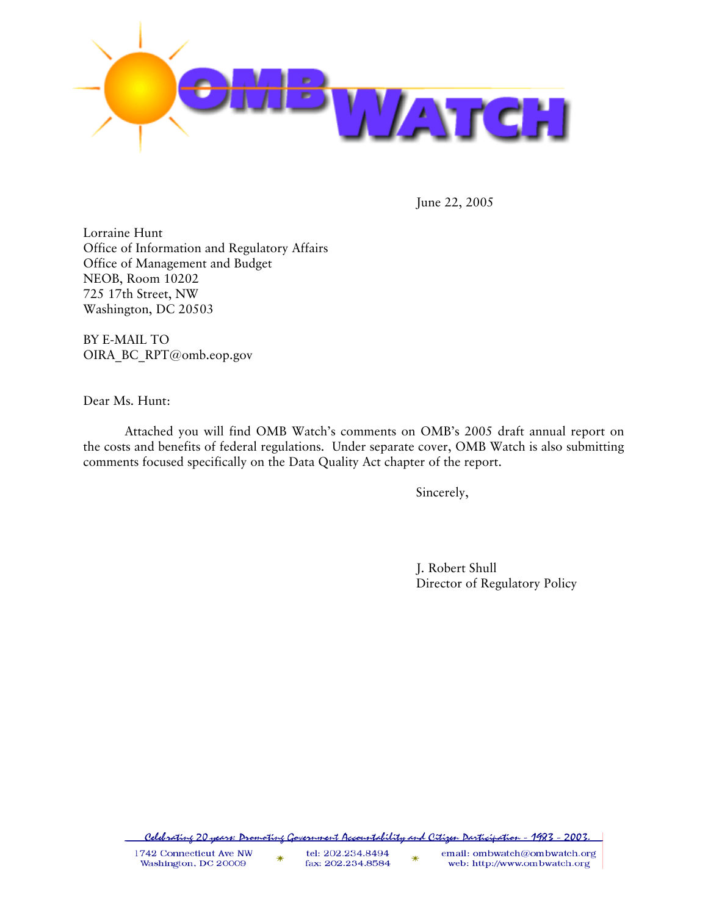

June 22, 2005

Lorraine Hunt Office of Information and Regulatory Affairs Office of Management and Budget NEOB, Room 10202 725 17th Street, NW Washington, DC 20503

BY E-MAIL TO OIRA\_BC\_RPT@omb.eop.gov

Dear Ms. Hunt:

 Attached you will find OMB Watch's comments on OMB's 2005 draft annual report on the costs and benefits of federal regulations. Under separate cover, OMB Watch is also submitting comments focused specifically on the Data Quality Act chapter of the report.

Sincerely,

 J. Robert Shull Director of Regulatory Policy

<u> Celebratine 20 years: Dromotine Government Accountability and Citizen Darticipation - 1983 - 2003.</u>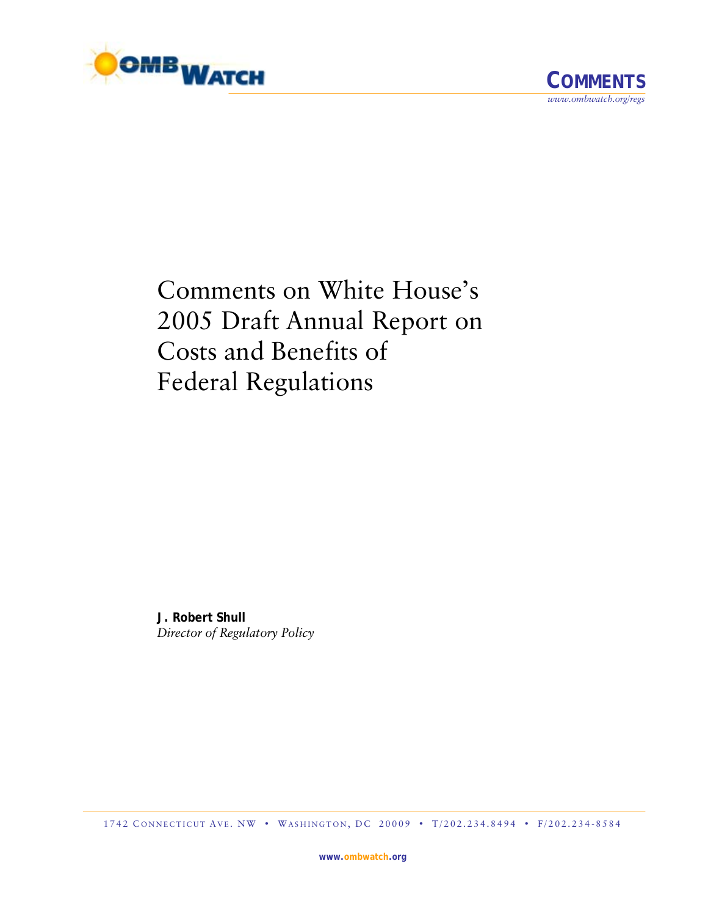

Comments on White House's 2005 Draft Annual Report on Costs and Benefits of Federal Regulations

**J. Robert Shull**  *Director of Regulatory Policy*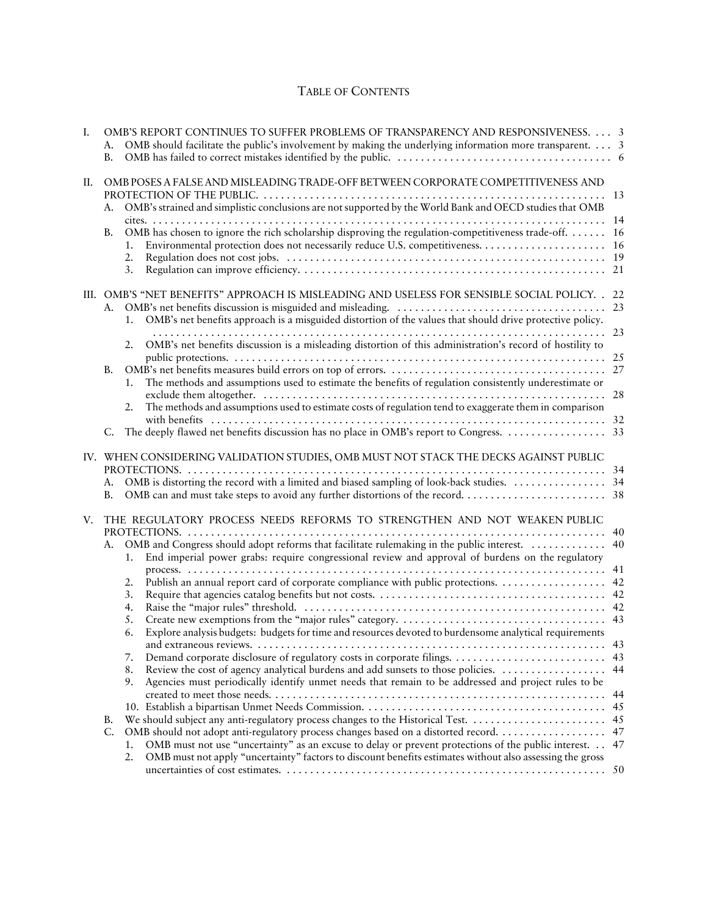## TABLE OF CONTENTS

| Ι. | А.<br><b>B.</b> | OMB'S REPORT CONTINUES TO SUFFER PROBLEMS OF TRANSPARENCY AND RESPONSIVENESS. 3<br>OMB should facilitate the public's involvement by making the underlying information more transparent. 3                               |     |
|----|-----------------|--------------------------------------------------------------------------------------------------------------------------------------------------------------------------------------------------------------------------|-----|
| П. |                 | OMB POSES A FALSE AND MISLEADING TRADE-OFF BETWEEN CORPORATE COMPETITIVENESS AND                                                                                                                                         |     |
|    |                 |                                                                                                                                                                                                                          |     |
|    | А.              | OMB's strained and simplistic conclusions are not supported by the World Bank and OECD studies that OMB                                                                                                                  |     |
|    | В.              | OMB has chosen to ignore the rich scholarship disproving the regulation-competitiveness trade-off. 16                                                                                                                    |     |
|    |                 |                                                                                                                                                                                                                          |     |
|    |                 | 2.                                                                                                                                                                                                                       |     |
|    |                 | 3.                                                                                                                                                                                                                       |     |
|    |                 |                                                                                                                                                                                                                          |     |
|    |                 | III. OMB'S "NET BENEFITS" APPROACH IS MISLEADING AND USELESS FOR SENSIBLE SOCIAL POLICY. . 22                                                                                                                            |     |
|    | А.              |                                                                                                                                                                                                                          |     |
|    |                 | OMB's net benefits approach is a misguided distortion of the values that should drive protective policy.                                                                                                                 |     |
|    |                 |                                                                                                                                                                                                                          |     |
|    |                 | OMB's net benefits discussion is a misleading distortion of this administration's record of hostility to<br>2.                                                                                                           |     |
|    |                 |                                                                                                                                                                                                                          |     |
|    | В.              |                                                                                                                                                                                                                          |     |
|    |                 | The methods and assumptions used to estimate the benefits of regulation consistently underestimate or<br>1.                                                                                                              |     |
|    |                 |                                                                                                                                                                                                                          | 28  |
|    |                 | The methods and assumptions used to estimate costs of regulation tend to exaggerate them in comparison<br>2.                                                                                                             |     |
|    | C.              |                                                                                                                                                                                                                          |     |
|    |                 |                                                                                                                                                                                                                          |     |
|    |                 | IV. WHEN CONSIDERING VALIDATION STUDIES, OMB MUST NOT STACK THE DECKS AGAINST PUBLIC                                                                                                                                     |     |
|    |                 |                                                                                                                                                                                                                          |     |
|    | А.              |                                                                                                                                                                                                                          |     |
|    | В.              |                                                                                                                                                                                                                          |     |
|    |                 |                                                                                                                                                                                                                          |     |
| V. |                 | THE REGULATORY PROCESS NEEDS REFORMS TO STRENGTHEN AND NOT WEAKEN PUBLIC                                                                                                                                                 |     |
|    |                 |                                                                                                                                                                                                                          | 40  |
|    | А.              | OMB and Congress should adopt reforms that facilitate rulemaking in the public interest.                                                                                                                                 | 40  |
|    |                 | End imperial power grabs: require congressional review and approval of burdens on the regulatory<br>1.                                                                                                                   |     |
|    |                 | 2.                                                                                                                                                                                                                       |     |
|    |                 | 3.                                                                                                                                                                                                                       |     |
|    |                 | 4.                                                                                                                                                                                                                       |     |
|    |                 | 5.                                                                                                                                                                                                                       |     |
|    |                 | Explore analysis budgets: budgets for time and resources devoted to burdensome analytical requirements<br>6.                                                                                                             |     |
|    |                 | and extraneous reviews.                                                                                                                                                                                                  |     |
|    |                 | 7.                                                                                                                                                                                                                       |     |
|    |                 | Review the cost of agency analytical burdens and add sunsets to those policies. 44<br>8.                                                                                                                                 |     |
|    |                 | Agencies must periodically identify unmet needs that remain to be addressed and project rules to be<br>9.                                                                                                                |     |
|    |                 |                                                                                                                                                                                                                          | -44 |
|    |                 |                                                                                                                                                                                                                          |     |
|    | В.              |                                                                                                                                                                                                                          |     |
|    | C.              | OMB should not adopt anti-regulatory process changes based on a distorted record.  47                                                                                                                                    |     |
|    |                 | OMB must not use "uncertainty" as an excuse to delay or prevent protections of the public interest. 47<br>1.<br>OMB must not apply "uncertainty" factors to discount benefits estimates without also assessing the gross |     |
|    |                 | 2.                                                                                                                                                                                                                       |     |
|    |                 |                                                                                                                                                                                                                          |     |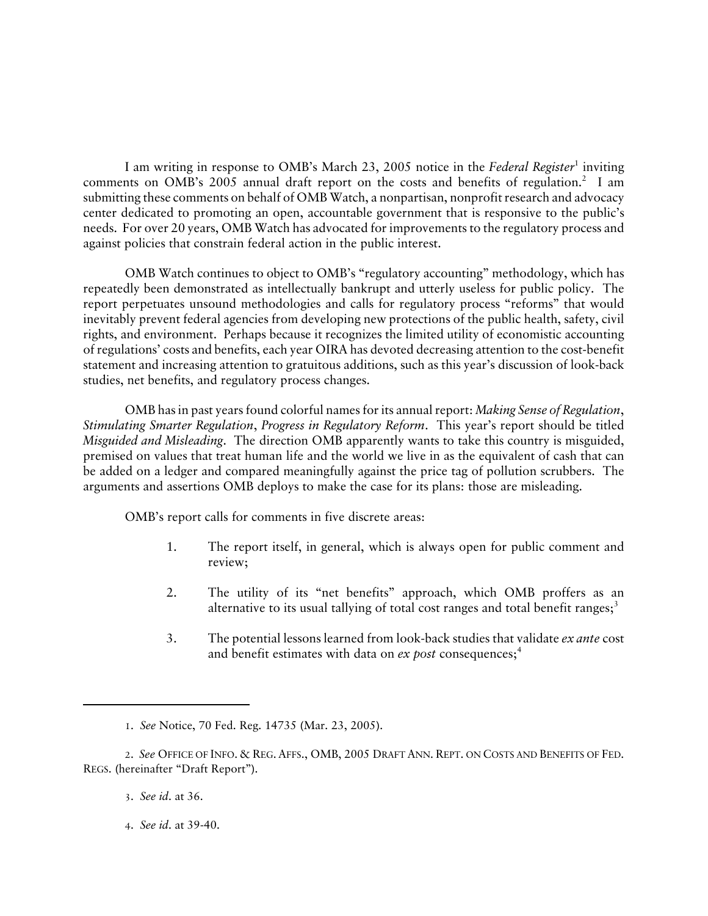I am writing in response to OMB's March 23, 2005 notice in the *Federal Register*<sup>1</sup> inviting comments on OMB's 2005 annual draft report on the costs and benefits of regulation.<sup>2</sup> I am submitting these comments on behalf of OMB Watch, a nonpartisan, nonprofit research and advocacy center dedicated to promoting an open, accountable government that is responsive to the public's needs. For over 20 years, OMB Watch has advocated for improvements to the regulatory process and against policies that constrain federal action in the public interest.

OMB Watch continues to object to OMB's "regulatory accounting" methodology, which has repeatedly been demonstrated as intellectually bankrupt and utterly useless for public policy. The report perpetuates unsound methodologies and calls for regulatory process "reforms" that would inevitably prevent federal agencies from developing new protections of the public health, safety, civil rights, and environment. Perhaps because it recognizes the limited utility of economistic accounting of regulations' costs and benefits, each year OIRA has devoted decreasing attention to the cost-benefit statement and increasing attention to gratuitous additions, such as this year's discussion of look-back studies, net benefits, and regulatory process changes.

OMB has in past years found colorful names for its annual report: *Making Sense of Regulation*, *Stimulating Smarter Regulation*, *Progress in Regulatory Reform*. This year's report should be titled *Misguided and Misleading*. The direction OMB apparently wants to take this country is misguided, premised on values that treat human life and the world we live in as the equivalent of cash that can be added on a ledger and compared meaningfully against the price tag of pollution scrubbers. The arguments and assertions OMB deploys to make the case for its plans: those are misleading.

OMB's report calls for comments in five discrete areas:

- 1. The report itself, in general, which is always open for public comment and review;
- 2. The utility of its "net benefits" approach, which OMB proffers as an alternative to its usual tallying of total cost ranges and total benefit ranges; $3$
- 3. The potential lessons learned from look-back studies that validate *ex ante* cost and benefit estimates with data on *ex post* consequences;<sup>4</sup>

#### 3. *See id*. at 36.

4. *See id*. at 39-40.

<sup>1</sup>. *See* Notice, 70 Fed. Reg. 14735 (Mar. 23, 2005).

<sup>2</sup>. *See* OFFICE OF INFO. & REG. AFFS., OMB, 2005 DRAFT ANN. REPT. ON COSTS AND BENEFITS OF FED. REGS. (hereinafter "Draft Report").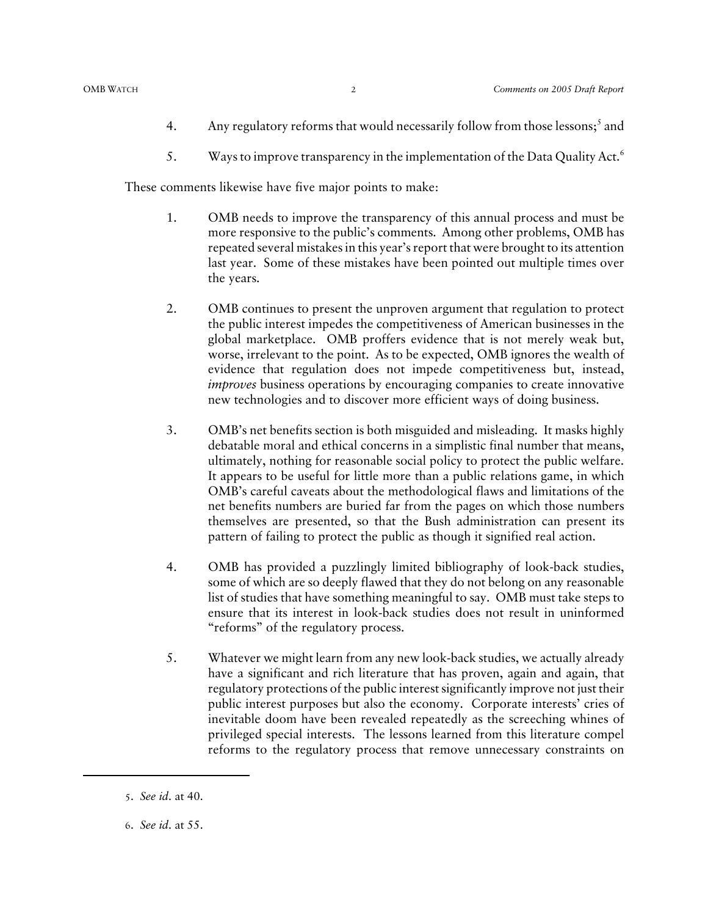- 4. Any regulatory reforms that would necessarily follow from those lessons;<sup>5</sup> and
- 5. Ways to improve transparency in the implementation of the Data Quality Act.<sup>6</sup>

These comments likewise have five major points to make:

- 1. OMB needs to improve the transparency of this annual process and must be more responsive to the public's comments. Among other problems, OMB has repeated several mistakes in this year's report that were brought to its attention last year. Some of these mistakes have been pointed out multiple times over the years.
- 2. OMB continues to present the unproven argument that regulation to protect the public interest impedes the competitiveness of American businesses in the global marketplace. OMB proffers evidence that is not merely weak but, worse, irrelevant to the point. As to be expected, OMB ignores the wealth of evidence that regulation does not impede competitiveness but, instead, *improves* business operations by encouraging companies to create innovative new technologies and to discover more efficient ways of doing business.
- 3. OMB's net benefits section is both misguided and misleading. It masks highly debatable moral and ethical concerns in a simplistic final number that means, ultimately, nothing for reasonable social policy to protect the public welfare. It appears to be useful for little more than a public relations game, in which OMB's careful caveats about the methodological flaws and limitations of the net benefits numbers are buried far from the pages on which those numbers themselves are presented, so that the Bush administration can present its pattern of failing to protect the public as though it signified real action.
- 4. OMB has provided a puzzlingly limited bibliography of look-back studies, some of which are so deeply flawed that they do not belong on any reasonable list of studies that have something meaningful to say. OMB must take steps to ensure that its interest in look-back studies does not result in uninformed "reforms" of the regulatory process.
- 5. Whatever we might learn from any new look-back studies, we actually already have a significant and rich literature that has proven, again and again, that regulatory protections of the public interest significantly improve not just their public interest purposes but also the economy. Corporate interests' cries of inevitable doom have been revealed repeatedly as the screeching whines of privileged special interests. The lessons learned from this literature compel reforms to the regulatory process that remove unnecessary constraints on

<sup>5</sup>. *See id*. at 40.

<sup>6</sup>. *See id*. at 55.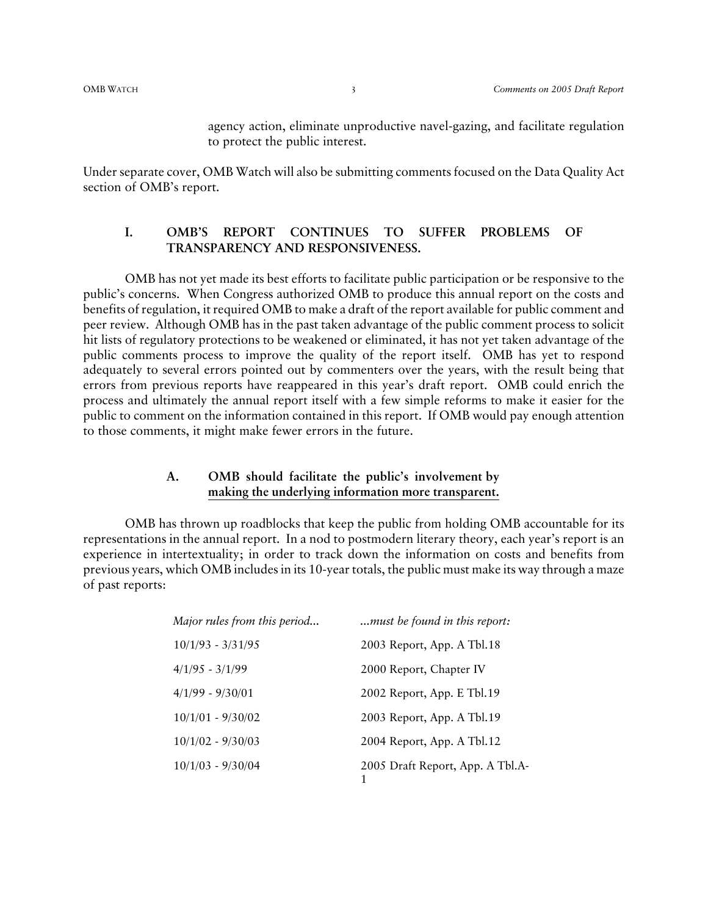agency action, eliminate unproductive navel-gazing, and facilitate regulation to protect the public interest.

Under separate cover, OMB Watch will also be submitting comments focused on the Data Quality Act section of OMB's report.

#### **I. OMB'S REPORT CONTINUES TO SUFFER PROBLEMS OF TRANSPARENCY AND RESPONSIVENESS.**

OMB has not yet made its best efforts to facilitate public participation or be responsive to the public's concerns. When Congress authorized OMB to produce this annual report on the costs and benefits of regulation, it required OMB to make a draft of the report available for public comment and peer review. Although OMB has in the past taken advantage of the public comment process to solicit hit lists of regulatory protections to be weakened or eliminated, it has not yet taken advantage of the public comments process to improve the quality of the report itself. OMB has yet to respond adequately to several errors pointed out by commenters over the years, with the result being that errors from previous reports have reappeared in this year's draft report. OMB could enrich the process and ultimately the annual report itself with a few simple reforms to make it easier for the public to comment on the information contained in this report. If OMB would pay enough attention to those comments, it might make fewer errors in the future.

#### **A. OMB should facilitate the public's involvement by making the underlying information more transparent.**

OMB has thrown up roadblocks that keep the public from holding OMB accountable for its representations in the annual report. In a nod to postmodern literary theory, each year's report is an experience in intertextuality; in order to track down the information on costs and benefits from previous years, which OMB includes in its 10-year totals, the public must make its way through a maze of past reports:

| Major rules from this period | must be found in this report:         |
|------------------------------|---------------------------------------|
| $10/1/93 - 3/31/95$          | 2003 Report, App. A Tbl.18            |
| $4/1/95 - 3/1/99$            | 2000 Report, Chapter IV               |
| $4/1/99 - 9/30/01$           | 2002 Report, App. E Tbl.19            |
| $10/1/01 - 9/30/02$          | 2003 Report, App. A Tbl.19            |
| $10/1/02 - 9/30/03$          | 2004 Report, App. A Tbl.12            |
| $10/1/03 - 9/30/04$          | 2005 Draft Report, App. A Tbl.A-<br>1 |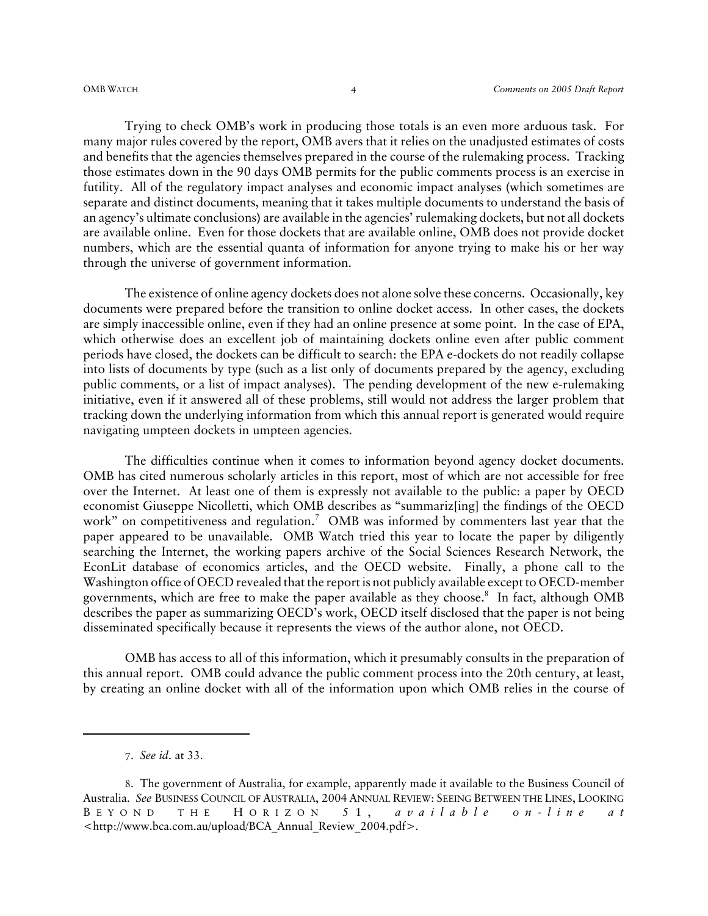Trying to check OMB's work in producing those totals is an even more arduous task. For many major rules covered by the report, OMB avers that it relies on the unadjusted estimates of costs and benefits that the agencies themselves prepared in the course of the rulemaking process. Tracking those estimates down in the 90 days OMB permits for the public comments process is an exercise in futility. All of the regulatory impact analyses and economic impact analyses (which sometimes are separate and distinct documents, meaning that it takes multiple documents to understand the basis of an agency's ultimate conclusions) are available in the agencies' rulemaking dockets, but not all dockets are available online. Even for those dockets that are available online, OMB does not provide docket numbers, which are the essential quanta of information for anyone trying to make his or her way through the universe of government information.

The existence of online agency dockets does not alone solve these concerns. Occasionally, key documents were prepared before the transition to online docket access. In other cases, the dockets are simply inaccessible online, even if they had an online presence at some point. In the case of EPA, which otherwise does an excellent job of maintaining dockets online even after public comment periods have closed, the dockets can be difficult to search: the EPA e-dockets do not readily collapse into lists of documents by type (such as a list only of documents prepared by the agency, excluding public comments, or a list of impact analyses). The pending development of the new e-rulemaking initiative, even if it answered all of these problems, still would not address the larger problem that tracking down the underlying information from which this annual report is generated would require navigating umpteen dockets in umpteen agencies.

The difficulties continue when it comes to information beyond agency docket documents. OMB has cited numerous scholarly articles in this report, most of which are not accessible for free over the Internet. At least one of them is expressly not available to the public: a paper by OECD economist Giuseppe Nicolletti, which OMB describes as "summariz[ing] the findings of the OECD work" on competitiveness and regulation.<sup>7</sup> OMB was informed by commenters last year that the paper appeared to be unavailable. OMB Watch tried this year to locate the paper by diligently searching the Internet, the working papers archive of the Social Sciences Research Network, the EconLit database of economics articles, and the OECD website. Finally, a phone call to the Washington office of OECD revealed that the report is not publicly available except to OECD-member governments, which are free to make the paper available as they choose. $^8$  In fact, although OMB describes the paper as summarizing OECD's work, OECD itself disclosed that the paper is not being disseminated specifically because it represents the views of the author alone, not OECD.

OMB has access to all of this information, which it presumably consults in the preparation of this annual report. OMB could advance the public comment process into the 20th century, at least, by creating an online docket with all of the information upon which OMB relies in the course of

7. *See id*. at 33.

<sup>8</sup>. The government of Australia, for example, apparently made it available to the Business Council of Australia. *See* BUSINESS COUNCIL OF AUSTRALIA, 2004 ANNUAL REVIEW: SEEING BETWEEN THE LINES, LOOKING B EYOND THE H ORIZON 51, *available on-line at* <http://www.bca.com.au/upload/BCA\_Annual\_Review\_2004.pdf>.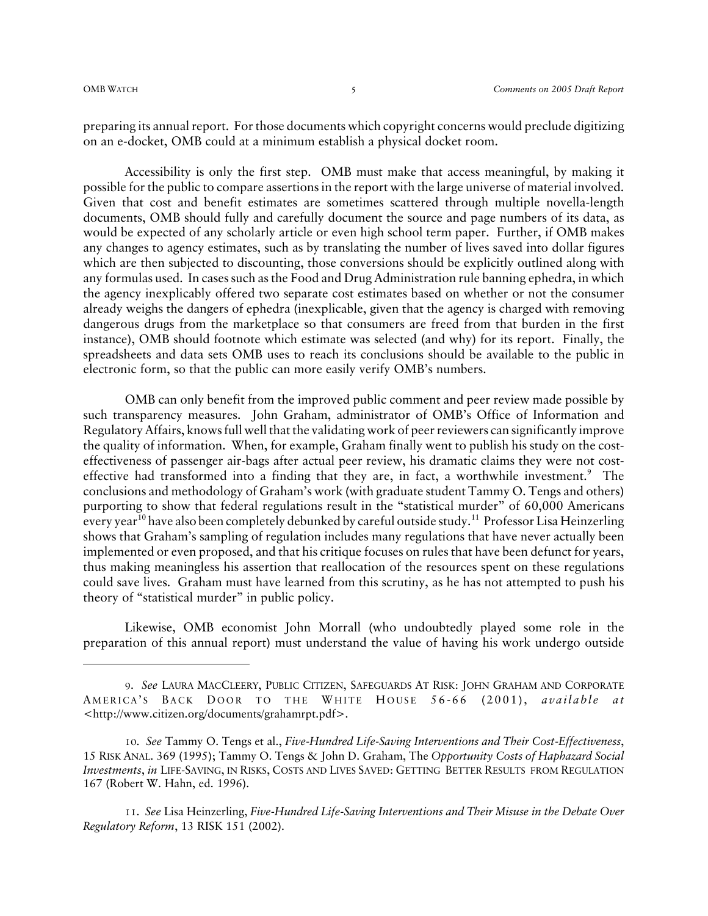preparing its annual report. For those documents which copyright concerns would preclude digitizing on an e-docket, OMB could at a minimum establish a physical docket room.

Accessibility is only the first step. OMB must make that access meaningful, by making it possible for the public to compare assertions in the report with the large universe of material involved. Given that cost and benefit estimates are sometimes scattered through multiple novella-length documents, OMB should fully and carefully document the source and page numbers of its data, as would be expected of any scholarly article or even high school term paper. Further, if OMB makes any changes to agency estimates, such as by translating the number of lives saved into dollar figures which are then subjected to discounting, those conversions should be explicitly outlined along with any formulas used. In cases such as the Food and Drug Administration rule banning ephedra, in which the agency inexplicably offered two separate cost estimates based on whether or not the consumer already weighs the dangers of ephedra (inexplicable, given that the agency is charged with removing dangerous drugs from the marketplace so that consumers are freed from that burden in the first instance), OMB should footnote which estimate was selected (and why) for its report. Finally, the spreadsheets and data sets OMB uses to reach its conclusions should be available to the public in electronic form, so that the public can more easily verify OMB's numbers.

OMB can only benefit from the improved public comment and peer review made possible by such transparency measures. John Graham, administrator of OMB's Office of Information and Regulatory Affairs, knows full well that the validating work of peer reviewers can significantly improve the quality of information. When, for example, Graham finally went to publish his study on the costeffectiveness of passenger air-bags after actual peer review, his dramatic claims they were not costeffective had transformed into a finding that they are, in fact, a worthwhile investment. $9$  The conclusions and methodology of Graham's work (with graduate student Tammy O. Tengs and others) purporting to show that federal regulations result in the "statistical murder" of 60,000 Americans every year<sup>10</sup> have also been completely debunked by careful outside study.<sup>11</sup> Professor Lisa Heinzerling shows that Graham's sampling of regulation includes many regulations that have never actually been implemented or even proposed, and that his critique focuses on rules that have been defunct for years, thus making meaningless his assertion that reallocation of the resources spent on these regulations could save lives. Graham must have learned from this scrutiny, as he has not attempted to push his theory of "statistical murder" in public policy.

Likewise, OMB economist John Morrall (who undoubtedly played some role in the preparation of this annual report) must understand the value of having his work undergo outside

11. *See* Lisa Heinzerling, *Five-Hundred Life-Saving Interventions and Their Misuse in the Debate Over Regulatory Reform*, 13 RISK 151 (2002).

<sup>9</sup>. *See* LAURA MACCLEERY, PUBLIC CITIZEN, SAFEGUARDS AT RISK: JOHN GRAHAM AND CORPORATE AMERICA'S BACK DOOR TO THE WHITE HOUSE 56-66 (2001), *available at* <http://www.citizen.org/documents/grahamrpt.pdf>.

<sup>10</sup>. *See* Tammy O. Tengs et al., *Five-Hundred Life-Saving Interventions and Their Cost-Effectiveness*, 15 RISK ANAL. 369 (1995); Tammy O. Tengs & John D. Graham, The *Opportunity Costs of Haphazard Social Investments*, *in* LIFE-SAVING, IN RISKS, COSTS AND LIVES SAVED: GETTING BETTER RESULTS FROM REGULATION 167 (Robert W. Hahn, ed. 1996).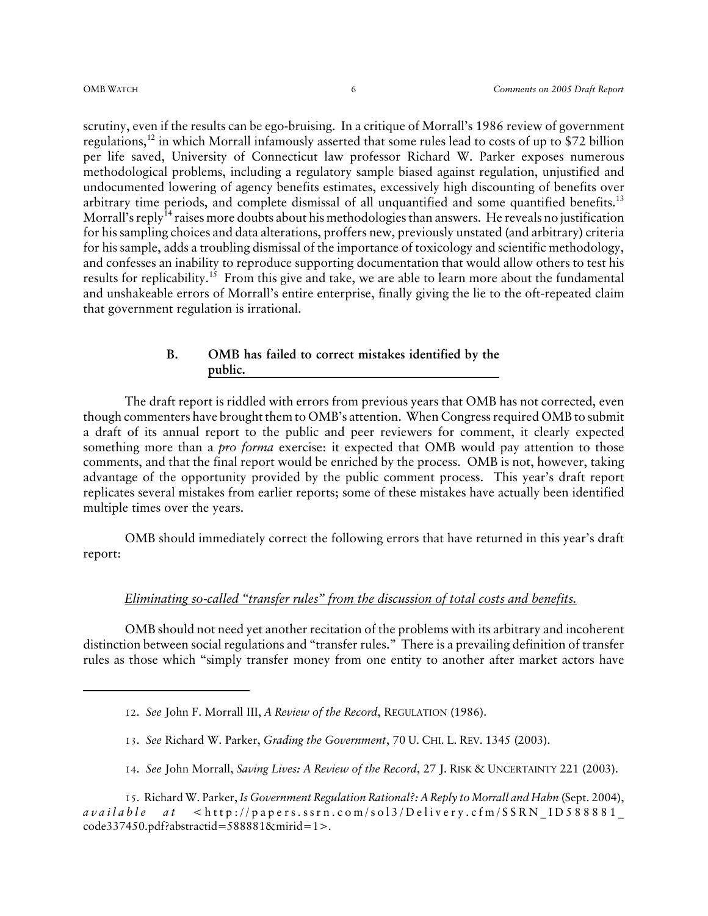scrutiny, even if the results can be ego-bruising. In a critique of Morrall's 1986 review of government regulations,12 in which Morrall infamously asserted that some rules lead to costs of up to \$72 billion per life saved, University of Connecticut law professor Richard W. Parker exposes numerous methodological problems, including a regulatory sample biased against regulation, unjustified and undocumented lowering of agency benefits estimates, excessively high discounting of benefits over arbitrary time periods, and complete dismissal of all unquantified and some quantified benefits.<sup>13</sup> Morrall's reply<sup>14</sup> raises more doubts about his methodologies than answers. He reveals no justification for his sampling choices and data alterations, proffers new, previously unstated (and arbitrary) criteria for his sample, adds a troubling dismissal of the importance of toxicology and scientific methodology, and confesses an inability to reproduce supporting documentation that would allow others to test his results for replicability.<sup>15</sup> From this give and take, we are able to learn more about the fundamental and unshakeable errors of Morrall's entire enterprise, finally giving the lie to the oft-repeated claim that government regulation is irrational.

### **B. OMB has failed to correct mistakes identified by the public.**

The draft report is riddled with errors from previous years that OMB has not corrected, even though commenters have brought them to OMB's attention. When Congress required OMB to submit a draft of its annual report to the public and peer reviewers for comment, it clearly expected something more than a *pro forma* exercise: it expected that OMB would pay attention to those comments, and that the final report would be enriched by the process. OMB is not, however, taking advantage of the opportunity provided by the public comment process. This year's draft report replicates several mistakes from earlier reports; some of these mistakes have actually been identified multiple times over the years.

OMB should immediately correct the following errors that have returned in this year's draft report:

#### *Eliminating so-called "transfer rules" from the discussion of total costs and benefits.*

OMB should not need yet another recitation of the problems with its arbitrary and incoherent distinction between social regulations and "transfer rules." There is a prevailing definition of transfer rules as those which "simply transfer money from one entity to another after market actors have

- 13. *See* Richard W. Parker, *Grading the Government*, 70 U. CHI. L. REV. 1345 (2003).
- 14. *See* John Morrall, *Saving Lives: A Review of the Record*, 27 J. RISK & UNCERTAINTY 221 (2003).

<sup>12</sup>. *See* John F. Morrall III, *A Review of the Record*, REGULATION (1986).

<sup>15</sup>. Richard W. Parker, *Is Government Regulation Rational?: A Reply to Morrall and Hahn* (Sept. 2004), *available at* <http://papers.ssrn.com/sol3/Delivery.cfm/SSRN\_ID588881\_ code337450.pdf?abstractid=588881&mirid=1>.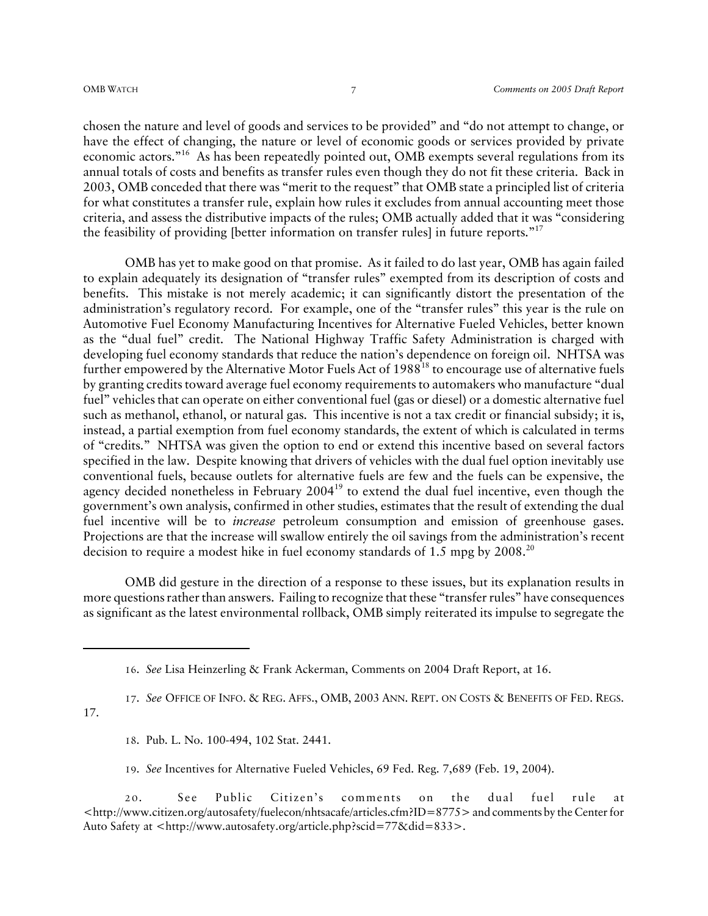chosen the nature and level of goods and services to be provided" and "do not attempt to change, or have the effect of changing, the nature or level of economic goods or services provided by private economic actors."16 As has been repeatedly pointed out, OMB exempts several regulations from its annual totals of costs and benefits as transfer rules even though they do not fit these criteria. Back in 2003, OMB conceded that there was "merit to the request" that OMB state a principled list of criteria for what constitutes a transfer rule, explain how rules it excludes from annual accounting meet those criteria, and assess the distributive impacts of the rules; OMB actually added that it was "considering the feasibility of providing [better information on transfer rules] in future reports."<sup>17</sup>

OMB has yet to make good on that promise. As it failed to do last year, OMB has again failed to explain adequately its designation of "transfer rules" exempted from its description of costs and benefits. This mistake is not merely academic; it can significantly distort the presentation of the administration's regulatory record. For example, one of the "transfer rules" this year is the rule on Automotive Fuel Economy Manufacturing Incentives for Alternative Fueled Vehicles, better known as the "dual fuel" credit. The National Highway Traffic Safety Administration is charged with developing fuel economy standards that reduce the nation's dependence on foreign oil. NHTSA was further empowered by the Alternative Motor Fuels Act of  $1988<sup>18</sup>$  to encourage use of alternative fuels by granting credits toward average fuel economy requirements to automakers who manufacture "dual fuel" vehicles that can operate on either conventional fuel (gas or diesel) or a domestic alternative fuel such as methanol, ethanol, or natural gas. This incentive is not a tax credit or financial subsidy; it is, instead, a partial exemption from fuel economy standards, the extent of which is calculated in terms of "credits." NHTSA was given the option to end or extend this incentive based on several factors specified in the law. Despite knowing that drivers of vehicles with the dual fuel option inevitably use conventional fuels, because outlets for alternative fuels are few and the fuels can be expensive, the agency decided nonetheless in February 2004<sup>19</sup> to extend the dual fuel incentive, even though the government's own analysis, confirmed in other studies, estimates that the result of extending the dual fuel incentive will be to *increase* petroleum consumption and emission of greenhouse gases. Projections are that the increase will swallow entirely the oil savings from the administration's recent decision to require a modest hike in fuel economy standards of 1.5 mpg by 2008.<sup>20</sup>

OMB did gesture in the direction of a response to these issues, but its explanation results in more questions rather than answers. Failing to recognize that these "transfer rules" have consequences as significant as the latest environmental rollback, OMB simply reiterated its impulse to segregate the

17. *See* OFFICE OF INFO. & REG. AFFS., OMB, 2003 ANN. REPT. ON COSTS & BENEFITS OF FED. REGS.

17.

- 18. Pub. L. No. 100-494, 102 Stat. 2441.
- 19. *See* Incentives for Alternative Fueled Vehicles, 69 Fed. Reg. 7,689 (Feb. 19, 2004).

<sup>16</sup>. *See* Lisa Heinzerling & Frank Ackerman, Comments on 2004 Draft Report, at 16.

<sup>2 0</sup>. See Public Citizen's comments on the dual fuel rule at <http://www.citizen.org/autosafety/fuelecon/nhtsacafe/articles.cfm?ID=8775> and comments by the Center for Auto Safety at <http://www.autosafety.org/article.php?scid=77&did=833>.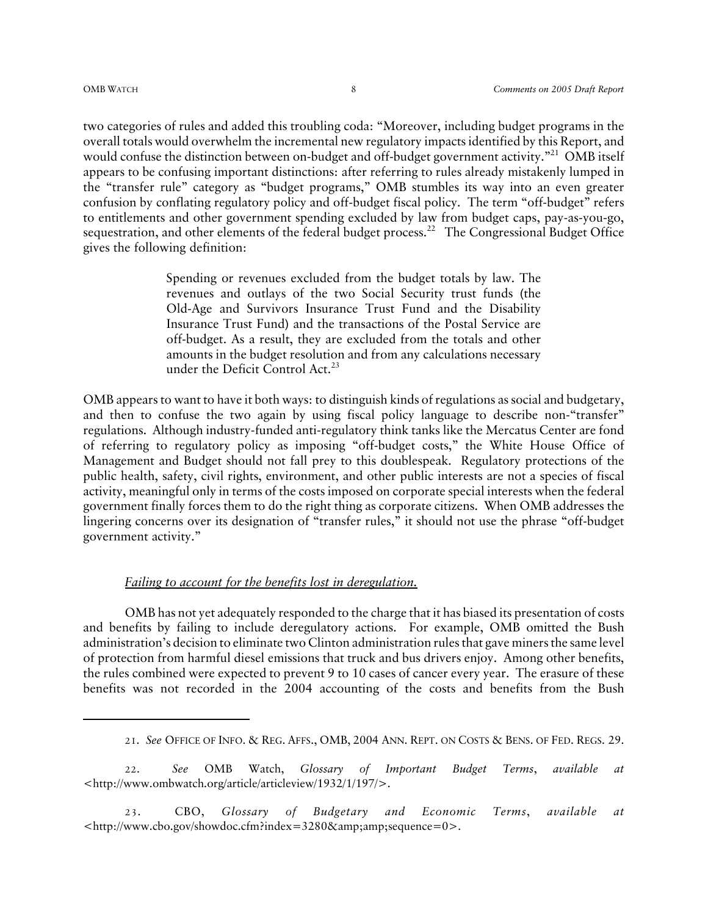two categories of rules and added this troubling coda: "Moreover, including budget programs in the overall totals would overwhelm the incremental new regulatory impacts identified by this Report, and would confuse the distinction between on-budget and off-budget government activity."<sup>21</sup> OMB itself appears to be confusing important distinctions: after referring to rules already mistakenly lumped in the "transfer rule" category as "budget programs," OMB stumbles its way into an even greater confusion by conflating regulatory policy and off-budget fiscal policy. The term "off-budget" refers to entitlements and other government spending excluded by law from budget caps, pay-as-you-go, sequestration, and other elements of the federal budget process.<sup>22</sup> The Congressional Budget Office gives the following definition:

> Spending or revenues excluded from the budget totals by law. The revenues and outlays of the two Social Security trust funds (the Old-Age and Survivors Insurance Trust Fund and the Disability Insurance Trust Fund) and the transactions of the Postal Service are off-budget. As a result, they are excluded from the totals and other amounts in the budget resolution and from any calculations necessary under the Deficit Control Act. $^{23}$

OMB appears to want to have it both ways: to distinguish kinds of regulations as social and budgetary, and then to confuse the two again by using fiscal policy language to describe non-"transfer" regulations. Although industry-funded anti-regulatory think tanks like the Mercatus Center are fond of referring to regulatory policy as imposing "off-budget costs," the White House Office of Management and Budget should not fall prey to this doublespeak. Regulatory protections of the public health, safety, civil rights, environment, and other public interests are not a species of fiscal activity, meaningful only in terms of the costs imposed on corporate special interests when the federal government finally forces them to do the right thing as corporate citizens. When OMB addresses the lingering concerns over its designation of "transfer rules," it should not use the phrase "off-budget government activity."

#### *Failing to account for the benefits lost in deregulation.*

OMB has not yet adequately responded to the charge that it has biased its presentation of costs and benefits by failing to include deregulatory actions. For example, OMB omitted the Bush administration's decision to eliminate two Clinton administration rules that gave miners the same level of protection from harmful diesel emissions that truck and bus drivers enjoy. Among other benefits, the rules combined were expected to prevent 9 to 10 cases of cancer every year. The erasure of these benefits was not recorded in the 2004 accounting of the costs and benefits from the Bush

22. *See* OMB Watch, *Glossary of Important Budget Terms*, *available at* <http://www.ombwatch.org/article/articleview/1932/1/197/>.

<sup>21</sup>. *See* OFFICE OF INFO. & REG. AFFS., OMB, 2004 ANN. REPT. ON COSTS & BENS. OF FED. REGS. 29.

<sup>23</sup>. CBO, *Glossary of Budgetary and Economic Terms*, *available at* <http://www.cbo.gov/showdoc.cfm?index=3280&amp;amp;sequence=0>.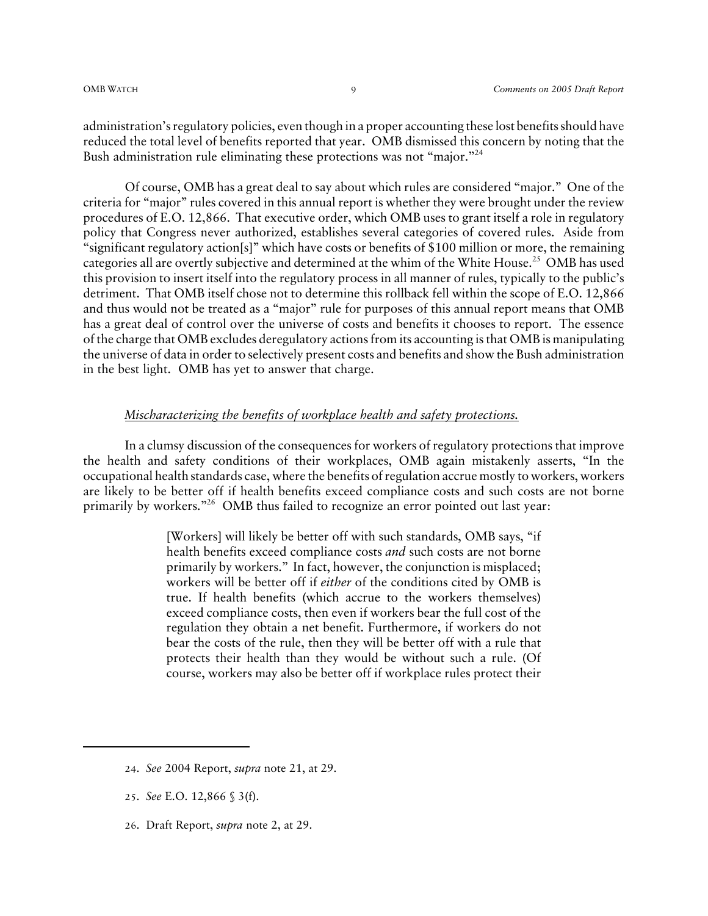administration's regulatory policies, even though in a proper accounting these lost benefits should have reduced the total level of benefits reported that year. OMB dismissed this concern by noting that the Bush administration rule eliminating these protections was not "major."24

Of course, OMB has a great deal to say about which rules are considered "major." One of the criteria for "major" rules covered in this annual report is whether they were brought under the review procedures of E.O. 12,866. That executive order, which OMB uses to grant itself a role in regulatory policy that Congress never authorized, establishes several categories of covered rules. Aside from "significant regulatory action[s]" which have costs or benefits of \$100 million or more, the remaining categories all are overtly subjective and determined at the whim of the White House.<sup>25</sup> OMB has used this provision to insert itself into the regulatory process in all manner of rules, typically to the public's detriment. That OMB itself chose not to determine this rollback fell within the scope of E.O. 12,866 and thus would not be treated as a "major" rule for purposes of this annual report means that OMB has a great deal of control over the universe of costs and benefits it chooses to report. The essence of the charge that OMB excludes deregulatory actions from its accounting is that OMB is manipulating the universe of data in order to selectively present costs and benefits and show the Bush administration in the best light. OMB has yet to answer that charge.

#### *Mischaracterizing the benefits of workplace health and safety protections.*

In a clumsy discussion of the consequences for workers of regulatory protections that improve the health and safety conditions of their workplaces, OMB again mistakenly asserts, "In the occupational health standards case, where the benefits of regulation accrue mostly to workers, workers are likely to be better off if health benefits exceed compliance costs and such costs are not borne primarily by workers."<sup>26</sup> OMB thus failed to recognize an error pointed out last year:

> [Workers] will likely be better off with such standards, OMB says, "if health benefits exceed compliance costs *and* such costs are not borne primarily by workers." In fact, however, the conjunction is misplaced; workers will be better off if *either* of the conditions cited by OMB is true. If health benefits (which accrue to the workers themselves) exceed compliance costs, then even if workers bear the full cost of the regulation they obtain a net benefit. Furthermore, if workers do not bear the costs of the rule, then they will be better off with a rule that protects their health than they would be without such a rule. (Of course, workers may also be better off if workplace rules protect their

26. Draft Report, *supra* note 2, at 29.

<sup>24</sup>. *See* 2004 Report, *supra* note 21, at 29.

<sup>25</sup>. *See* E.O. 12,866 § 3(f).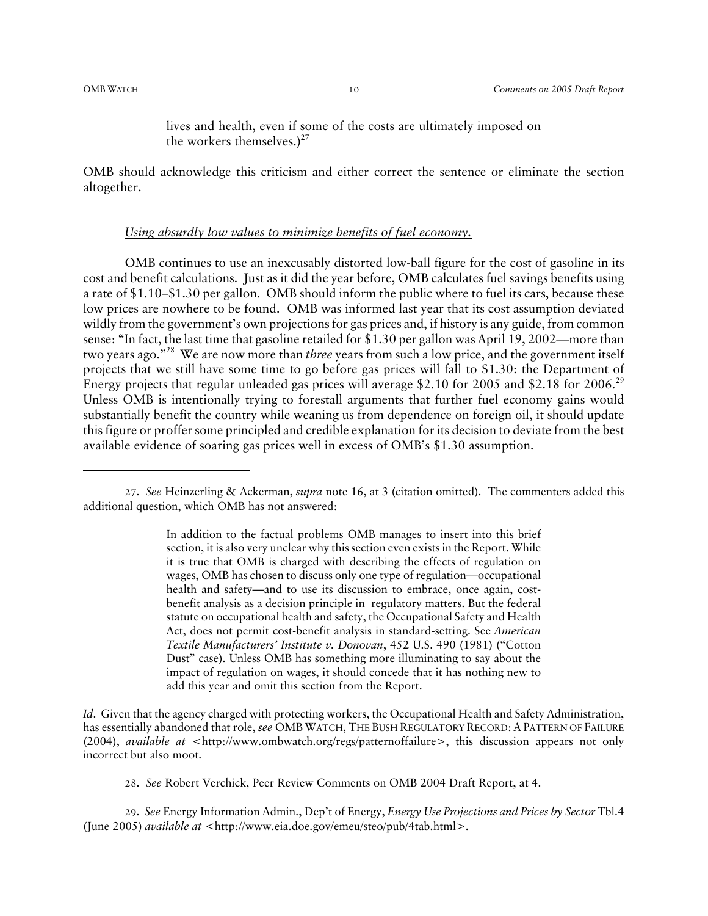lives and health, even if some of the costs are ultimately imposed on the workers themselves.) $27$ 

OMB should acknowledge this criticism and either correct the sentence or eliminate the section altogether.

#### *Using absurdly low values to minimize benefits of fuel economy.*

OMB continues to use an inexcusably distorted low-ball figure for the cost of gasoline in its cost and benefit calculations. Just as it did the year before, OMB calculates fuel savings benefits using a rate of \$1.10–\$1.30 per gallon. OMB should inform the public where to fuel its cars, because these low prices are nowhere to be found. OMB was informed last year that its cost assumption deviated wildly from the government's own projections for gas prices and, if history is any guide, from common sense: "In fact, the last time that gasoline retailed for \$1.30 per gallon was April 19, 2002—more than two years ago."28 We are now more than *three* years from such a low price, and the government itself projects that we still have some time to go before gas prices will fall to \$1.30: the Department of Energy projects that regular unleaded gas prices will average \$2.10 for 2005 and \$2.18 for 2006.<sup>29</sup> Unless OMB is intentionally trying to forestall arguments that further fuel economy gains would substantially benefit the country while weaning us from dependence on foreign oil, it should update this figure or proffer some principled and credible explanation for its decision to deviate from the best available evidence of soaring gas prices well in excess of OMB's \$1.30 assumption.

In addition to the factual problems OMB manages to insert into this brief section, it is also very unclear why this section even exists in the Report. While it is true that OMB is charged with describing the effects of regulation on wages, OMB has chosen to discuss only one type of regulation—occupational health and safety—and to use its discussion to embrace, once again, costbenefit analysis as a decision principle in regulatory matters. But the federal statute on occupational health and safety, the Occupational Safety and Health Act, does not permit cost-benefit analysis in standard-setting. See *American Textile Manufacturers' Institute v. Donovan*, 452 U.S. 490 (1981) ("Cotton Dust" case). Unless OMB has something more illuminating to say about the impact of regulation on wages, it should concede that it has nothing new to add this year and omit this section from the Report.

*Id.* Given that the agency charged with protecting workers, the Occupational Health and Safety Administration, has essentially abandoned that role, *see* OMBWATCH, THE BUSH REGULATORY RECORD: A PATTERN OF FAILURE (2004), *available at* <http://www.ombwatch.org/regs/patternoffailure>, this discussion appears not only incorrect but also moot.

28. *See* Robert Verchick, Peer Review Comments on OMB 2004 Draft Report, at 4.

29. *See* Energy Information Admin., Dep't of Energy, *Energy Use Projections and Prices by Sector* Tbl.4 (June 2005) *available at* <http://www.eia.doe.gov/emeu/steo/pub/4tab.html>.

<sup>27</sup>. *See* Heinzerling & Ackerman, *supra* note 16, at 3 (citation omitted). The commenters added this additional question, which OMB has not answered: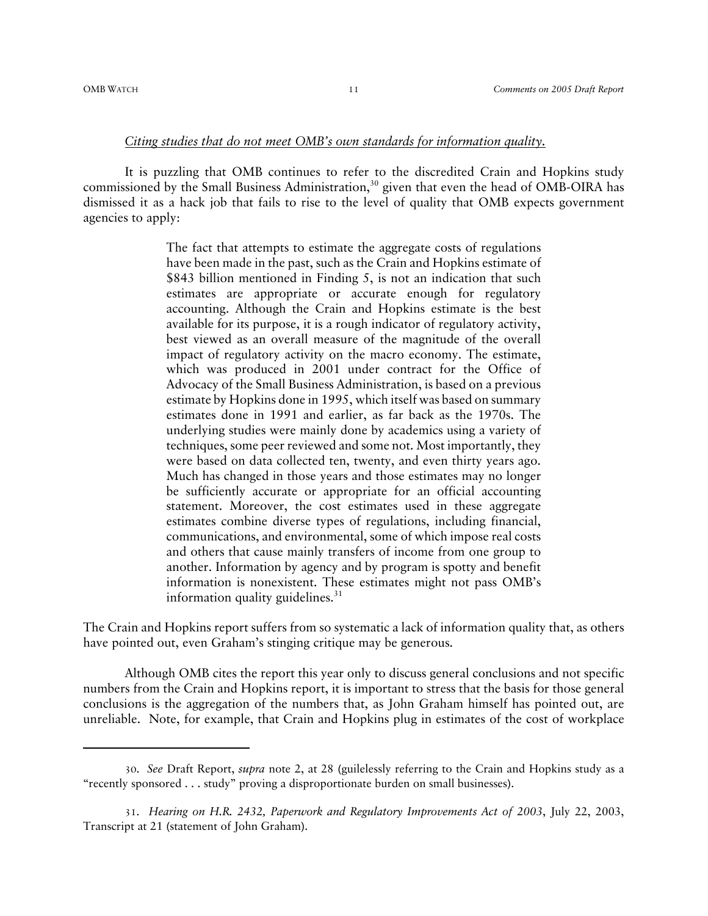#### *Citing studies that do not meet OMB's own standards for information quality.*

It is puzzling that OMB continues to refer to the discredited Crain and Hopkins study commissioned by the Small Business Administration,<sup>30</sup> given that even the head of OMB-OIRA has dismissed it as a hack job that fails to rise to the level of quality that OMB expects government agencies to apply:

> The fact that attempts to estimate the aggregate costs of regulations have been made in the past, such as the Crain and Hopkins estimate of \$843 billion mentioned in Finding 5, is not an indication that such estimates are appropriate or accurate enough for regulatory accounting. Although the Crain and Hopkins estimate is the best available for its purpose, it is a rough indicator of regulatory activity, best viewed as an overall measure of the magnitude of the overall impact of regulatory activity on the macro economy. The estimate, which was produced in 2001 under contract for the Office of Advocacy of the Small Business Administration, is based on a previous estimate by Hopkins done in 1995, which itself was based on summary estimates done in 1991 and earlier, as far back as the 1970s. The underlying studies were mainly done by academics using a variety of techniques, some peer reviewed and some not. Most importantly, they were based on data collected ten, twenty, and even thirty years ago. Much has changed in those years and those estimates may no longer be sufficiently accurate or appropriate for an official accounting statement. Moreover, the cost estimates used in these aggregate estimates combine diverse types of regulations, including financial, communications, and environmental, some of which impose real costs and others that cause mainly transfers of income from one group to another. Information by agency and by program is spotty and benefit information is nonexistent. These estimates might not pass OMB's information quality guidelines. $31$

The Crain and Hopkins report suffers from so systematic a lack of information quality that, as others have pointed out, even Graham's stinging critique may be generous.

Although OMB cites the report this year only to discuss general conclusions and not specific numbers from the Crain and Hopkins report, it is important to stress that the basis for those general conclusions is the aggregation of the numbers that, as John Graham himself has pointed out, are unreliable. Note, for example, that Crain and Hopkins plug in estimates of the cost of workplace

<sup>30</sup>. *See* Draft Report, *supra* note 2, at 28 (guilelessly referring to the Crain and Hopkins study as a "recently sponsored . . . study" proving a disproportionate burden on small businesses).

<sup>31</sup>. *Hearing on H.R. 2432, Paperwork and Regulatory Improvements Act of 2003*, July 22, 2003, Transcript at 21 (statement of John Graham).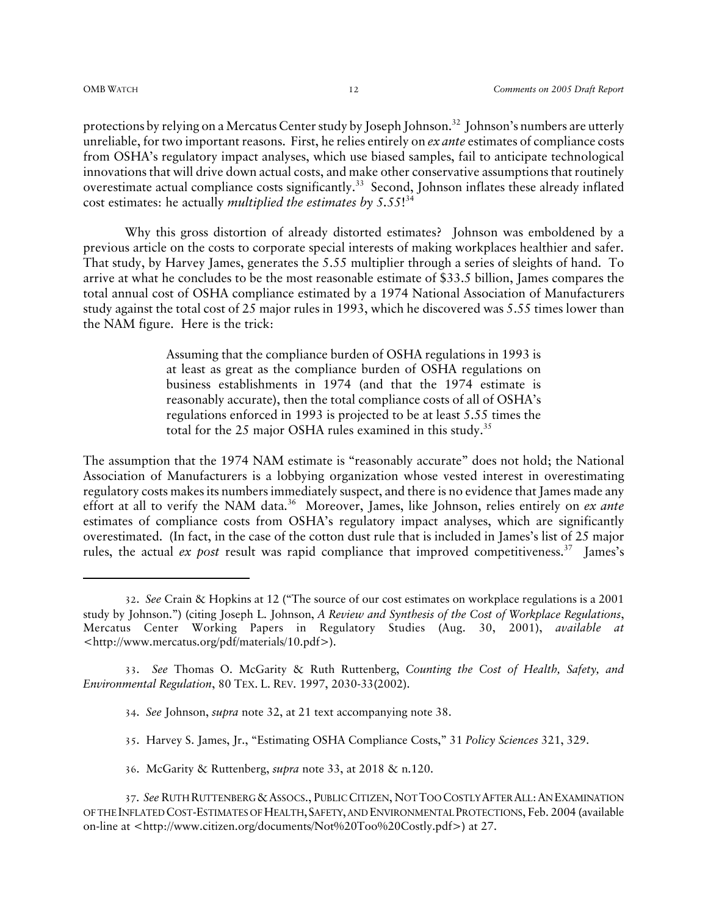protections by relying on a Mercatus Center study by Joseph Johnson.<sup>32</sup> Johnson's numbers are utterly unreliable, for two important reasons. First, he relies entirely on *ex ante* estimates of compliance costs from OSHA's regulatory impact analyses, which use biased samples, fail to anticipate technological innovations that will drive down actual costs, and make other conservative assumptions that routinely overestimate actual compliance costs significantly.<sup>33</sup> Second, Johnson inflates these already inflated cost estimates: he actually *multiplied the estimates by 5.55*! 34

Why this gross distortion of already distorted estimates? Johnson was emboldened by a previous article on the costs to corporate special interests of making workplaces healthier and safer. That study, by Harvey James, generates the 5.55 multiplier through a series of sleights of hand. To arrive at what he concludes to be the most reasonable estimate of \$33.5 billion, James compares the total annual cost of OSHA compliance estimated by a 1974 National Association of Manufacturers study against the total cost of 25 major rules in 1993, which he discovered was 5.55 times lower than the NAM figure. Here is the trick:

> Assuming that the compliance burden of OSHA regulations in 1993 is at least as great as the compliance burden of OSHA regulations on business establishments in 1974 (and that the 1974 estimate is reasonably accurate), then the total compliance costs of all of OSHA's regulations enforced in 1993 is projected to be at least 5.55 times the total for the 25 major OSHA rules examined in this study.<sup>35</sup>

The assumption that the 1974 NAM estimate is "reasonably accurate" does not hold; the National Association of Manufacturers is a lobbying organization whose vested interest in overestimating regulatory costs makes its numbers immediately suspect, and there is no evidence that James made any effort at all to verify the NAM data.<sup>36</sup> Moreover, James, like Johnson, relies entirely on *ex ante* estimates of compliance costs from OSHA's regulatory impact analyses, which are significantly overestimated. (In fact, in the case of the cotton dust rule that is included in James's list of 25 major rules, the actual *ex post* result was rapid compliance that improved competitiveness.<sup>37</sup> James's

- 35. Harvey S. James, Jr., "Estimating OSHA Compliance Costs," 31 *Policy Sciences* 321, 329.
- 36. McGarity & Ruttenberg, *supra* note 33, at 2018 & n.120.

<sup>32</sup>. *See* Crain & Hopkins at 12 ("The source of our cost estimates on workplace regulations is a 2001 study by Johnson.") (citing Joseph L. Johnson, *A Review and Synthesis of the Cost of Workplace Regulations*, Mercatus Center Working Papers in Regulatory Studies (Aug. 30, 2001), *available at* <http://www.mercatus.org/pdf/materials/10.pdf>).

<sup>33</sup>. *See* Thomas O. McGarity & Ruth Ruttenberg, *Counting the Cost of Health, Safety, and Environmental Regulation*, 80 TEX. L. REV. 1997, 2030-33(2002).

<sup>34</sup>. *See* Johnson, *supra* note 32, at 21 text accompanying note 38.

<sup>37</sup>. *See* RUTH RUTTENBERG &ASSOCS., PUBLIC CITIZEN, NOT TOO COSTLY AFTER ALL:AN EXAMINATION OF THE INFLATED COST-ESTIMATES OF HEALTH,SAFETY, AND ENVIRONMENTAL PROTECTIONS, Feb. 2004 (available on-line at <http://www.citizen.org/documents/Not%20Too%20Costly.pdf>) at 27.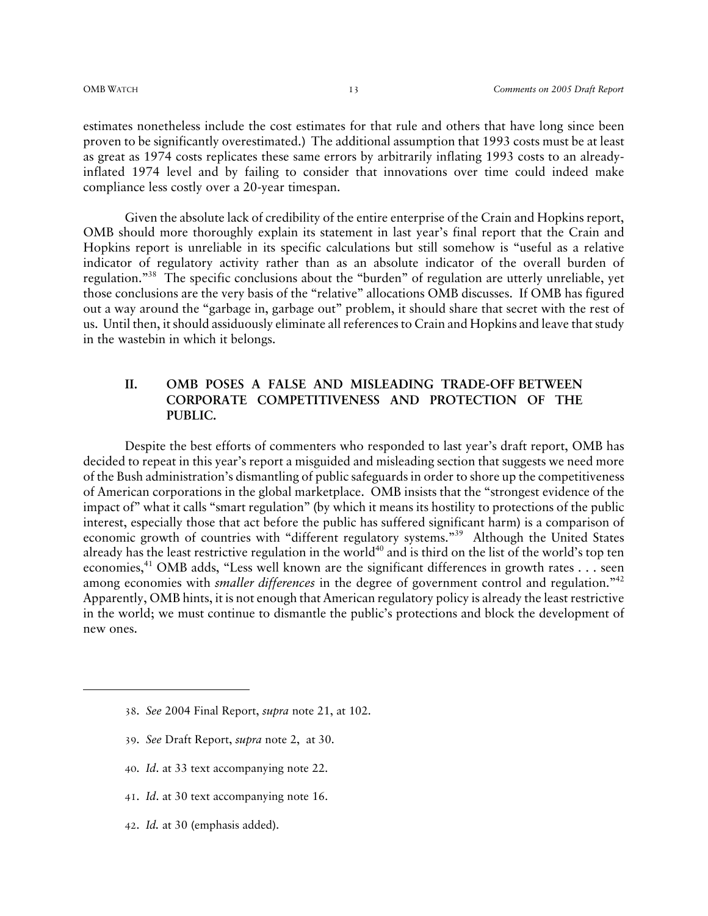estimates nonetheless include the cost estimates for that rule and others that have long since been proven to be significantly overestimated.) The additional assumption that 1993 costs must be at least as great as 1974 costs replicates these same errors by arbitrarily inflating 1993 costs to an alreadyinflated 1974 level and by failing to consider that innovations over time could indeed make compliance less costly over a 20-year timespan.

Given the absolute lack of credibility of the entire enterprise of the Crain and Hopkins report, OMB should more thoroughly explain its statement in last year's final report that the Crain and Hopkins report is unreliable in its specific calculations but still somehow is "useful as a relative indicator of regulatory activity rather than as an absolute indicator of the overall burden of regulation."38 The specific conclusions about the "burden" of regulation are utterly unreliable, yet those conclusions are the very basis of the "relative" allocations OMB discusses. If OMB has figured out a way around the "garbage in, garbage out" problem, it should share that secret with the rest of us. Until then, it should assiduously eliminate all references to Crain and Hopkins and leave that study in the wastebin in which it belongs.

#### **II. OMB POSES A FALSE AND MISLEADING TRADE-OFF BETWEEN CORPORATE COMPETITIVENESS AND PROTECTION OF THE PUBLIC.**

Despite the best efforts of commenters who responded to last year's draft report, OMB has decided to repeat in this year's report a misguided and misleading section that suggests we need more of the Bush administration's dismantling of public safeguards in order to shore up the competitiveness of American corporations in the global marketplace. OMB insists that the "strongest evidence of the impact of" what it calls "smart regulation" (by which it means its hostility to protections of the public interest, especially those that act before the public has suffered significant harm) is a comparison of economic growth of countries with "different regulatory systems."<sup>39</sup> Although the United States already has the least restrictive regulation in the world<sup>40</sup> and is third on the list of the world's top ten economies,<sup>41</sup> OMB adds, "Less well known are the significant differences in growth rates  $\dots$  seen among economies with *smaller differences* in the degree of government control and regulation."<sup>42</sup> Apparently, OMB hints, it is not enough that American regulatory policy is already the least restrictive in the world; we must continue to dismantle the public's protections and block the development of new ones.

- 39. *See* Draft Report, *supra* note 2, at 30.
- 40. *Id*. at 33 text accompanying note 22.
- 41. *Id*. at 30 text accompanying note 16.
- 42. *Id.* at 30 (emphasis added).

<sup>38</sup>. *See* 2004 Final Report, *supra* note 21, at 102.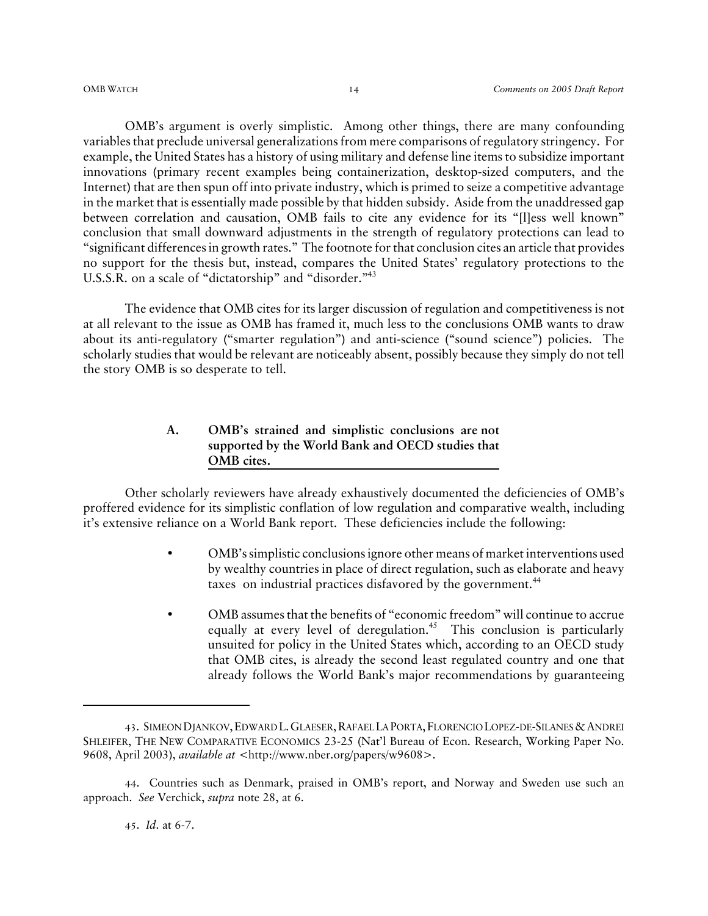OMB's argument is overly simplistic. Among other things, there are many confounding variables that preclude universal generalizations from mere comparisons of regulatory stringency. For example, the United States has a history of using military and defense line items to subsidize important innovations (primary recent examples being containerization, desktop-sized computers, and the Internet) that are then spun off into private industry, which is primed to seize a competitive advantage in the market that is essentially made possible by that hidden subsidy. Aside from the unaddressed gap between correlation and causation, OMB fails to cite any evidence for its "[l]ess well known" conclusion that small downward adjustments in the strength of regulatory protections can lead to "significant differences in growth rates." The footnote for that conclusion cites an article that provides no support for the thesis but, instead, compares the United States' regulatory protections to the U.S.S.R. on a scale of "dictatorship" and "disorder."43

The evidence that OMB cites for its larger discussion of regulation and competitiveness is not at all relevant to the issue as OMB has framed it, much less to the conclusions OMB wants to draw about its anti-regulatory ("smarter regulation") and anti-science ("sound science") policies. The scholarly studies that would be relevant are noticeably absent, possibly because they simply do not tell the story OMB is so desperate to tell.

#### **A. OMB's strained and simplistic conclusions are not supported by the World Bank and OECD studies that OMB cites.**

Other scholarly reviewers have already exhaustively documented the deficiencies of OMB's proffered evidence for its simplistic conflation of low regulation and comparative wealth, including it's extensive reliance on a World Bank report. These deficiencies include the following:

- OMB's simplistic conclusions ignore other means of market interventions used by wealthy countries in place of direct regulation, such as elaborate and heavy taxes on industrial practices disfavored by the government.<sup>44</sup>
- OMB assumes that the benefits of "economic freedom" will continue to accrue equally at every level of deregulation.<sup>45</sup> This conclusion is particularly unsuited for policy in the United States which, according to an OECD study that OMB cites, is already the second least regulated country and one that already follows the World Bank's major recommendations by guaranteeing

<sup>43</sup>. SIMEON DJANKOV,EDWARD L.GLAESER,RAFAEL LA PORTA,FLORENCIO LOPEZ-DE-SILANES &ANDREI SHLEIFER, THE NEW COMPARATIVE ECONOMICS 23-25 (Nat'l Bureau of Econ. Research, Working Paper No. 9608, April 2003), *available at* <http://www.nber.org/papers/w9608>.

<sup>44</sup>. Countries such as Denmark, praised in OMB's report, and Norway and Sweden use such an approach. *See* Verchick, *supra* note 28, at 6.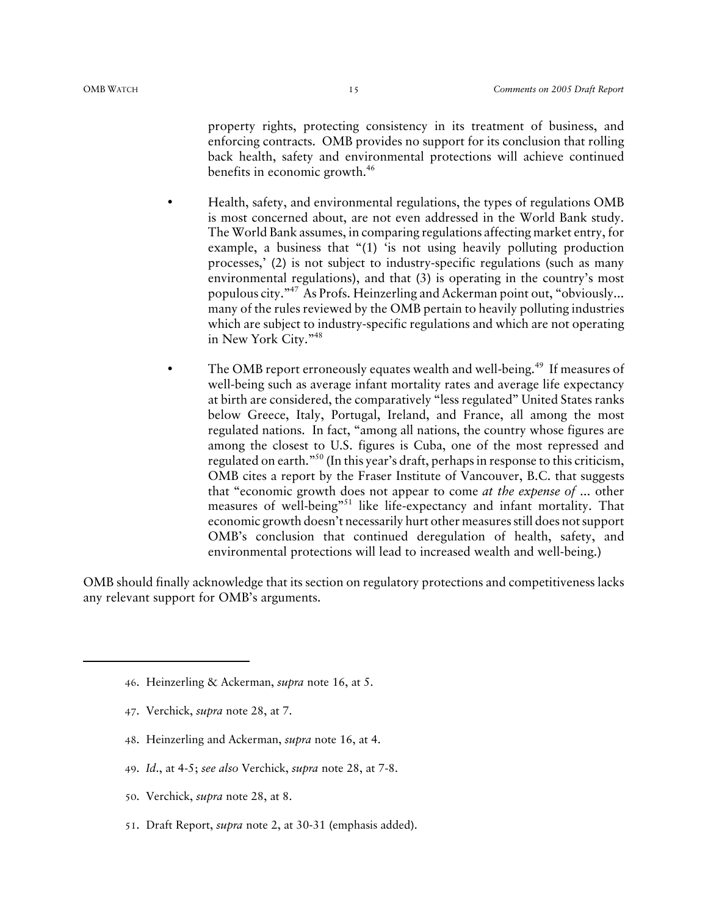property rights, protecting consistency in its treatment of business, and enforcing contracts. OMB provides no support for its conclusion that rolling back health, safety and environmental protections will achieve continued benefits in economic growth.<sup>46</sup>

- Health, safety, and environmental regulations, the types of regulations OMB is most concerned about, are not even addressed in the World Bank study. The World Bank assumes, in comparing regulations affecting market entry, for example, a business that "(1) 'is not using heavily polluting production processes,' (2) is not subject to industry-specific regulations (such as many environmental regulations), and that (3) is operating in the country's most populous city."47 As Profs. Heinzerling and Ackerman point out, "obviously... many of the rules reviewed by the OMB pertain to heavily polluting industries which are subject to industry-specific regulations and which are not operating in New York City."48
- The OMB report erroneously equates wealth and well-being.<sup>49</sup> If measures of well-being such as average infant mortality rates and average life expectancy at birth are considered, the comparatively "less regulated" United States ranks below Greece, Italy, Portugal, Ireland, and France, all among the most regulated nations. In fact, "among all nations, the country whose figures are among the closest to U.S. figures is Cuba, one of the most repressed and regulated on earth."50 (In this year's draft, perhaps in response to this criticism, OMB cites a report by the Fraser Institute of Vancouver, B.C. that suggests that "economic growth does not appear to come *at the expense of* ... other measures of well-being"<sup>51</sup> like life-expectancy and infant mortality. That economic growth doesn't necessarily hurt other measures still does not support OMB's conclusion that continued deregulation of health, safety, and environmental protections will lead to increased wealth and well-being.)

OMB should finally acknowledge that its section on regulatory protections and competitiveness lacks any relevant support for OMB's arguments.

- 47. Verchick, *supra* note 28, at 7.
- 48. Heinzerling and Ackerman, *supra* note 16, at 4.
- 49. *Id*., at 4-5; *see also* Verchick, *supra* note 28, at 7-8.
- 50. Verchick, *supra* note 28, at 8.
- 51. Draft Report, *supra* note 2, at 30-31 (emphasis added).

<sup>46</sup>. Heinzerling & Ackerman, *supra* note 16, at 5.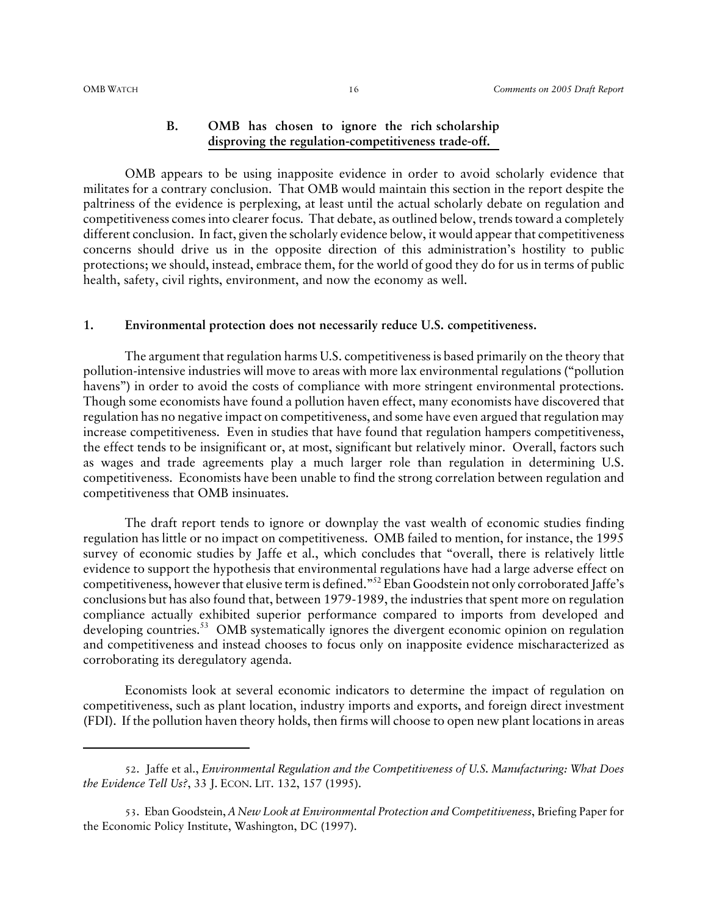#### **B. OMB has chosen to ignore the rich scholarship disproving the regulation-competitiveness trade-off.**

OMB appears to be using inapposite evidence in order to avoid scholarly evidence that militates for a contrary conclusion. That OMB would maintain this section in the report despite the paltriness of the evidence is perplexing, at least until the actual scholarly debate on regulation and competitiveness comes into clearer focus. That debate, as outlined below, trends toward a completely different conclusion. In fact, given the scholarly evidence below, it would appear that competitiveness concerns should drive us in the opposite direction of this administration's hostility to public protections; we should, instead, embrace them, for the world of good they do for us in terms of public health, safety, civil rights, environment, and now the economy as well.

#### **1. Environmental protection does not necessarily reduce U.S. competitiveness.**

The argument that regulation harms U.S. competitiveness is based primarily on the theory that pollution-intensive industries will move to areas with more lax environmental regulations ("pollution havens") in order to avoid the costs of compliance with more stringent environmental protections. Though some economists have found a pollution haven effect, many economists have discovered that regulation has no negative impact on competitiveness, and some have even argued that regulation may increase competitiveness. Even in studies that have found that regulation hampers competitiveness, the effect tends to be insignificant or, at most, significant but relatively minor. Overall, factors such as wages and trade agreements play a much larger role than regulation in determining U.S. competitiveness. Economists have been unable to find the strong correlation between regulation and competitiveness that OMB insinuates.

The draft report tends to ignore or downplay the vast wealth of economic studies finding regulation has little or no impact on competitiveness. OMB failed to mention, for instance, the 1995 survey of economic studies by Jaffe et al., which concludes that "overall, there is relatively little evidence to support the hypothesis that environmental regulations have had a large adverse effect on competitiveness, however that elusive term is defined."52 Eban Goodstein not only corroborated Jaffe's conclusions but has also found that, between 1979-1989, the industries that spent more on regulation compliance actually exhibited superior performance compared to imports from developed and developing countries.<sup>53</sup> OMB systematically ignores the divergent economic opinion on regulation and competitiveness and instead chooses to focus only on inapposite evidence mischaracterized as corroborating its deregulatory agenda.

Economists look at several economic indicators to determine the impact of regulation on competitiveness, such as plant location, industry imports and exports, and foreign direct investment (FDI). If the pollution haven theory holds, then firms will choose to open new plant locations in areas

<sup>52</sup>. Jaffe et al., *Environmental Regulation and the Competitiveness of U.S. Manufacturing: What Does the Evidence Tell Us?*, 33 J. ECON. LIT. 132, 157 (1995).

<sup>53</sup>. Eban Goodstein, *A New Look at Environmental Protection and Competitiveness*, Briefing Paper for the Economic Policy Institute, Washington, DC (1997).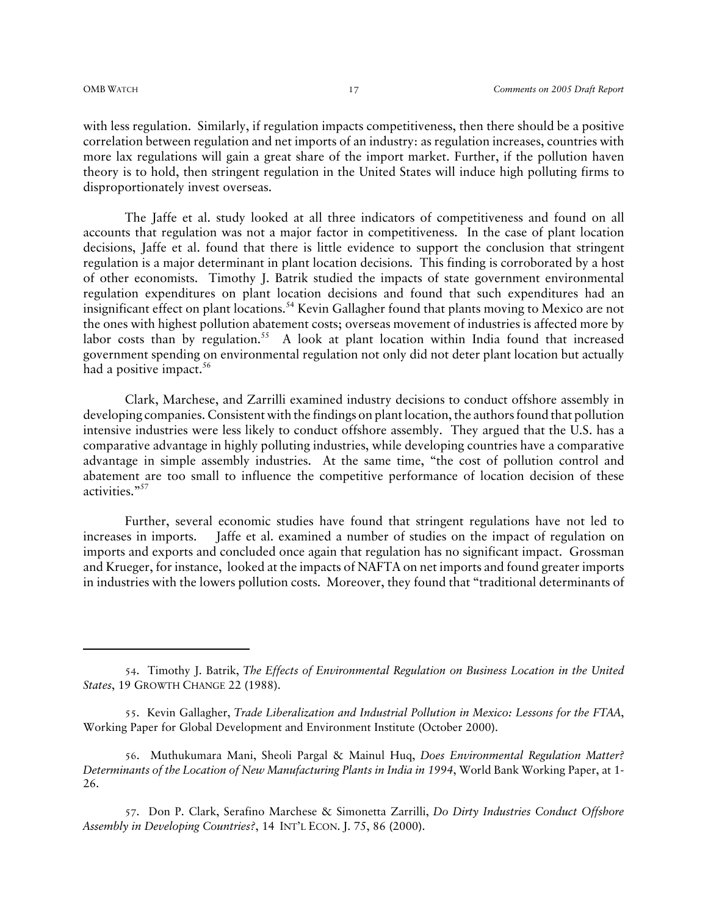with less regulation. Similarly, if regulation impacts competitiveness, then there should be a positive correlation between regulation and net imports of an industry: as regulation increases, countries with more lax regulations will gain a great share of the import market. Further, if the pollution haven theory is to hold, then stringent regulation in the United States will induce high polluting firms to disproportionately invest overseas.

The Jaffe et al. study looked at all three indicators of competitiveness and found on all accounts that regulation was not a major factor in competitiveness. In the case of plant location decisions, Jaffe et al. found that there is little evidence to support the conclusion that stringent regulation is a major determinant in plant location decisions. This finding is corroborated by a host of other economists. Timothy J. Batrik studied the impacts of state government environmental regulation expenditures on plant location decisions and found that such expenditures had an insignificant effect on plant locations.54 Kevin Gallagher found that plants moving to Mexico are not the ones with highest pollution abatement costs; overseas movement of industries is affected more by labor costs than by regulation.<sup>55</sup> A look at plant location within India found that increased government spending on environmental regulation not only did not deter plant location but actually had a positive impact.<sup>56</sup>

Clark, Marchese, and Zarrilli examined industry decisions to conduct offshore assembly in developing companies. Consistent with the findings on plant location, the authors found that pollution intensive industries were less likely to conduct offshore assembly. They argued that the U.S. has a comparative advantage in highly polluting industries, while developing countries have a comparative advantage in simple assembly industries. At the same time, "the cost of pollution control and abatement are too small to influence the competitive performance of location decision of these activities."<sup>57</sup>

Further, several economic studies have found that stringent regulations have not led to increases in imports. Jaffe et al. examined a number of studies on the impact of regulation on imports and exports and concluded once again that regulation has no significant impact. Grossman and Krueger, for instance, looked at the impacts of NAFTA on net imports and found greater imports in industries with the lowers pollution costs. Moreover, they found that "traditional determinants of

56. Muthukumara Mani, Sheoli Pargal & Mainul Huq, *Does Environmental Regulation Matter? Determinants of the Location of New Manufacturing Plants in India in 1994*, World Bank Working Paper, at 1- 26.

57. Don P. Clark, Serafino Marchese & Simonetta Zarrilli, *Do Dirty Industries Conduct Offshore Assembly in Developing Countries?*, 14 INT'L ECON. J. 75, 86 (2000).

<sup>54</sup>. Timothy J. Batrik, *The Effects of Environmental Regulation on Business Location in the United States*, 19 GROWTH CHANGE 22 (1988).

<sup>55</sup>. Kevin Gallagher, *Trade Liberalization and Industrial Pollution in Mexico: Lessons for the FTAA*, Working Paper for Global Development and Environment Institute (October 2000).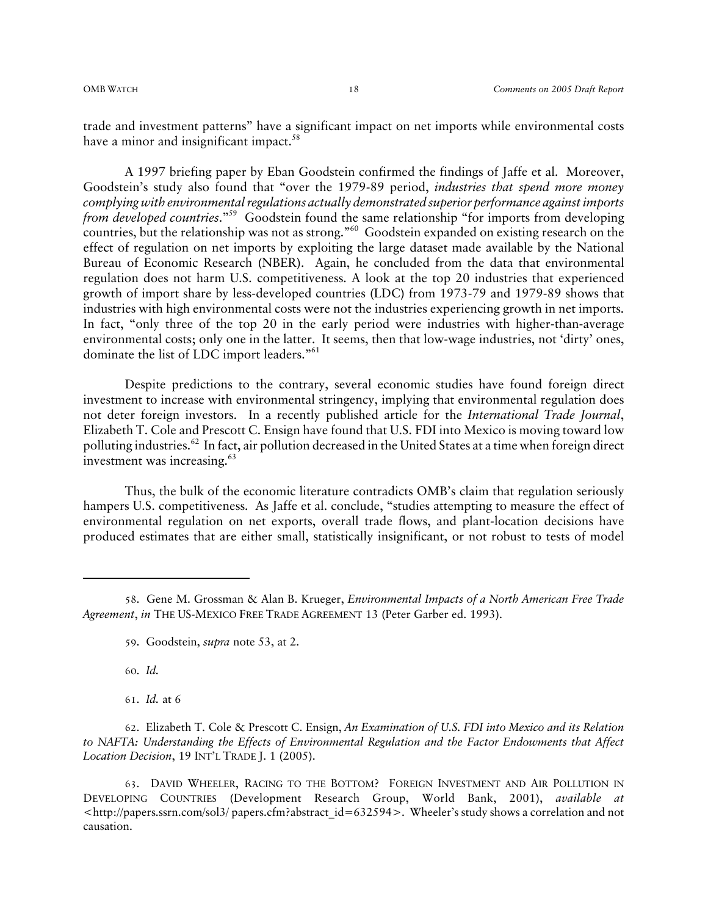trade and investment patterns" have a significant impact on net imports while environmental costs have a minor and insignificant impact.<sup>58</sup>

A 1997 briefing paper by Eban Goodstein confirmed the findings of Jaffe et al. Moreover, Goodstein's study also found that "over the 1979-89 period, *industries that spend more money complying with environmental regulations actually demonstrated superior performance against imports from developed countries*."59 Goodstein found the same relationship "for imports from developing countries, but the relationship was not as strong."60 Goodstein expanded on existing research on the effect of regulation on net imports by exploiting the large dataset made available by the National Bureau of Economic Research (NBER). Again, he concluded from the data that environmental regulation does not harm U.S. competitiveness. A look at the top 20 industries that experienced growth of import share by less-developed countries (LDC) from 1973-79 and 1979-89 shows that industries with high environmental costs were not the industries experiencing growth in net imports. In fact, "only three of the top 20 in the early period were industries with higher-than-average environmental costs; only one in the latter. It seems, then that low-wage industries, not 'dirty' ones, dominate the list of LDC import leaders."<sup>61</sup>

Despite predictions to the contrary, several economic studies have found foreign direct investment to increase with environmental stringency, implying that environmental regulation does not deter foreign investors. In a recently published article for the *International Trade Journal*, Elizabeth T. Cole and Prescott C. Ensign have found that U.S. FDI into Mexico is moving toward low polluting industries.<sup>62</sup> In fact, air pollution decreased in the United States at a time when foreign direct investment was increasing.<sup>63</sup>

Thus, the bulk of the economic literature contradicts OMB's claim that regulation seriously hampers U.S. competitiveness. As Jaffe et al. conclude, "studies attempting to measure the effect of environmental regulation on net exports, overall trade flows, and plant-location decisions have produced estimates that are either small, statistically insignificant, or not robust to tests of model

60. *Id.*

61. *Id.* at 6

62. Elizabeth T. Cole & Prescott C. Ensign, *An Examination of U.S. FDI into Mexico and its Relation to NAFTA: Understanding the Effects of Environmental Regulation and the Factor Endowments that Affect Location Decision*, 19 INT'L TRADE J. 1 (2005).

63. DAVID WHEELER, RACING TO THE BOTTOM? FOREIGN INVESTMENT AND AIR POLLUTION IN DEVELOPING COUNTRIES (Development Research Group, World Bank, 2001), *available at* <http://papers.ssrn.com/sol3/ papers.cfm?abstract\_id=632594>. Wheeler's study shows a correlation and not causation.

<sup>58</sup>. Gene M. Grossman & Alan B. Krueger, *Environmental Impacts of a North American Free Trade Agreement*, *in* THE US-MEXICO FREE TRADE AGREEMENT 13 (Peter Garber ed. 1993).

<sup>59</sup>. Goodstein, *supra* note 53, at 2.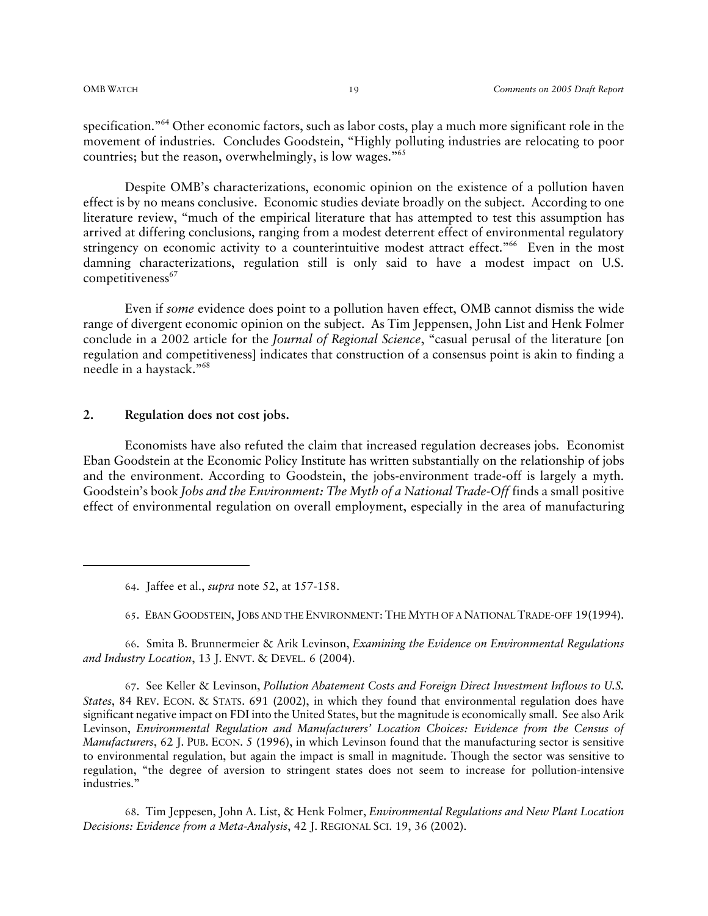specification."<sup>64</sup> Other economic factors, such as labor costs, play a much more significant role in the movement of industries. Concludes Goodstein, "Highly polluting industries are relocating to poor countries; but the reason, overwhelmingly, is low wages."65

Despite OMB's characterizations, economic opinion on the existence of a pollution haven effect is by no means conclusive. Economic studies deviate broadly on the subject. According to one literature review, "much of the empirical literature that has attempted to test this assumption has arrived at differing conclusions, ranging from a modest deterrent effect of environmental regulatory stringency on economic activity to a counterintuitive modest attract effect."<sup>66</sup> Even in the most damning characterizations, regulation still is only said to have a modest impact on U.S. competitiveness<sup>67</sup>

Even if *some* evidence does point to a pollution haven effect, OMB cannot dismiss the wide range of divergent economic opinion on the subject. As Tim Jeppensen, John List and Henk Folmer conclude in a 2002 article for the *Journal of Regional Science*, "casual perusal of the literature [on regulation and competitiveness] indicates that construction of a consensus point is akin to finding a needle in a haystack."68

#### **2. Regulation does not cost jobs.**

Economists have also refuted the claim that increased regulation decreases jobs. Economist Eban Goodstein at the Economic Policy Institute has written substantially on the relationship of jobs and the environment. According to Goodstein, the jobs-environment trade-off is largely a myth. Goodstein's book *Jobs and the Environment: The Myth of a National Trade-Off* finds a small positive effect of environmental regulation on overall employment, especially in the area of manufacturing

65. EBAN GOODSTEIN, JOBS AND THE ENVIRONMENT: THE MYTH OF A NATIONAL TRADE-OFF 19(1994).

66. Smita B. Brunnermeier & Arik Levinson, *Examining the Evidence on Environmental Regulations and Industry Location*, 13 J. ENVT. & DEVEL. 6 (2004).

67. See Keller & Levinson, *Pollution Abatement Costs and Foreign Direct Investment Inflows to U.S. States*, 84 REV. ECON. & STATS. 691 (2002), in which they found that environmental regulation does have significant negative impact on FDI into the United States, but the magnitude is economically small. See also Arik Levinson, *Environmental Regulation and Manufacturers' Location Choices: Evidence from the Census of Manufacturers*, 62 J. PUB. ECON. 5 (1996), in which Levinson found that the manufacturing sector is sensitive to environmental regulation, but again the impact is small in magnitude. Though the sector was sensitive to regulation, "the degree of aversion to stringent states does not seem to increase for pollution-intensive industries."

68. Tim Jeppesen, John A. List, & Henk Folmer, *Environmental Regulations and New Plant Location Decisions: Evidence from a Meta-Analysis*, 42 J. REGIONAL SCI. 19, 36 (2002).

<sup>64</sup>. Jaffee et al., *supra* note 52, at 157-158.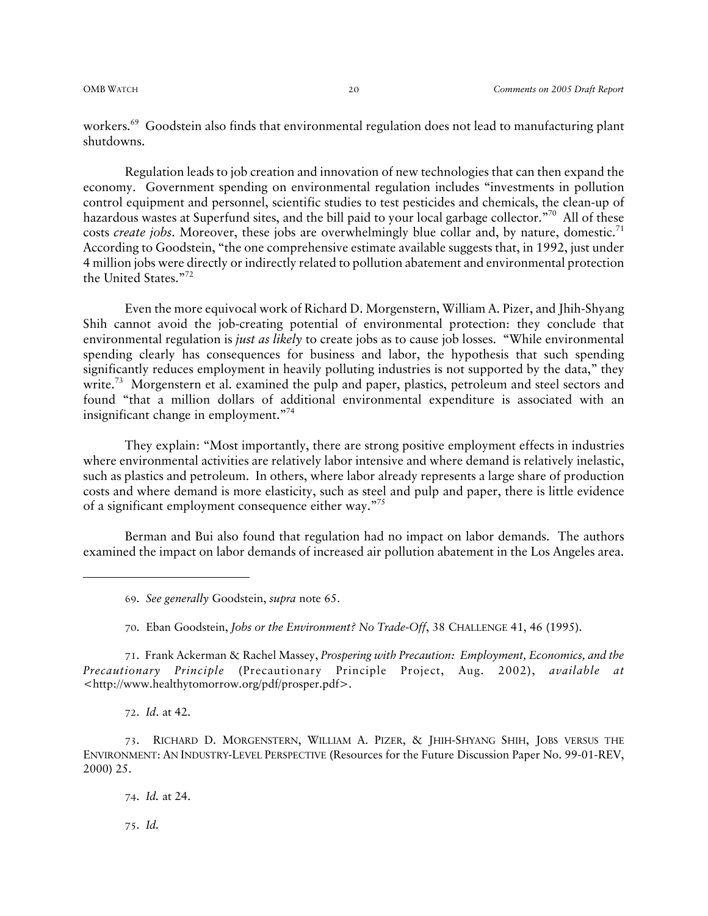workers.<sup>69</sup> Goodstein also finds that environmental regulation does not lead to manufacturing plant shutdowns.

Regulation leads to job creation and innovation of new technologies that can then expand the economy. Government spending on environmental regulation includes "investments in pollution control equipment and personnel, scientific studies to test pesticides and chemicals, the clean-up of hazardous wastes at Superfund sites, and the bill paid to your local garbage collector."<sup>70</sup> All of these costs *create jobs*. Moreover, these jobs are overwhelmingly blue collar and, by nature, domestic.<sup>71</sup> According to Goodstein, "the one comprehensive estimate available suggests that, in 1992, just under 4 million jobs were directly or indirectly related to pollution abatement and environmental protection the United States."72

Even the more equivocal work of Richard D. Morgenstern, William A. Pizer, and Jhih-Shyang Shih cannot avoid the job-creating potential of environmental protection: they conclude that environmental regulation is *just as likely* to create jobs as to cause job losses. "While environmental spending clearly has consequences for business and labor, the hypothesis that such spending significantly reduces employment in heavily polluting industries is not supported by the data," they write.<sup>73</sup> Morgenstern et al. examined the pulp and paper, plastics, petroleum and steel sectors and found "that a million dollars of additional environmental expenditure is associated with an insignificant change in employment."74

They explain: "Most importantly, there are strong positive employment effects in industries where environmental activities are relatively labor intensive and where demand is relatively inelastic, such as plastics and petroleum. In others, where labor already represents a large share of production costs and where demand is more elasticity, such as steel and pulp and paper, there is little evidence of a significant employment consequence either way."75

Berman and Bui also found that regulation had no impact on labor demands. The authors examined the impact on labor demands of increased air pollution abatement in the Los Angeles area.

70. Eban Goodstein, *Jobs or the Environment? No Trade-Off*, 38 CHALLENGE 41, 46 (1995).

71. Frank Ackerman & Rachel Massey, *Prospering with Precaution: Employment, Economics, and the Precautionary Principle* (Precautionary Principle Project, Aug. 2002), *available at* <http://www.healthytomorrow.org/pdf/prosper.pdf>.

72. *Id*. at 42.

73. RICHARD D. MORGENSTERN, WILLIAM A. PIZER, & JHIH-SHYANG SHIH, JOBS VERSUS THE ENVIRONMENT: AN INDUSTRY-LEVEL PERSPECTIVE (Resources for the Future Discussion Paper No. 99-01-REV, 2000) 25.

74. *Id.* at 24.

75. *Id.*

<sup>69</sup>. *See generally* Goodstein, *supra* note 65.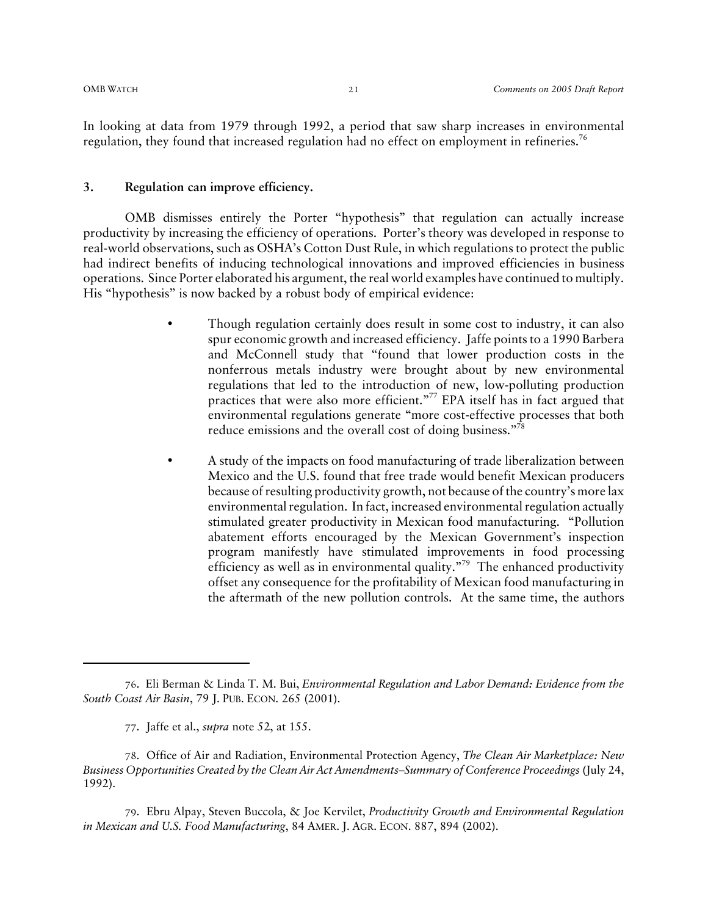In looking at data from 1979 through 1992, a period that saw sharp increases in environmental regulation, they found that increased regulation had no effect on employment in refineries.<sup>76</sup>

#### **3. Regulation can improve efficiency.**

OMB dismisses entirely the Porter "hypothesis" that regulation can actually increase productivity by increasing the efficiency of operations. Porter's theory was developed in response to real-world observations, such as OSHA's Cotton Dust Rule, in which regulations to protect the public had indirect benefits of inducing technological innovations and improved efficiencies in business operations. Since Porter elaborated his argument, the real world examples have continued to multiply. His "hypothesis" is now backed by a robust body of empirical evidence:

- Though regulation certainly does result in some cost to industry, it can also spur economic growth and increased efficiency. Jaffe points to a 1990 Barbera and McConnell study that "found that lower production costs in the nonferrous metals industry were brought about by new environmental regulations that led to the introduction of new, low-polluting production practices that were also more efficient."<sup>77</sup> EPA itself has in fact argued that environmental regulations generate "more cost-effective processes that both reduce emissions and the overall cost of doing business."<sup>78</sup>
- A study of the impacts on food manufacturing of trade liberalization between Mexico and the U.S. found that free trade would benefit Mexican producers because of resulting productivity growth, not because of the country's more lax environmental regulation. In fact, increased environmental regulation actually stimulated greater productivity in Mexican food manufacturing. "Pollution abatement efforts encouraged by the Mexican Government's inspection program manifestly have stimulated improvements in food processing efficiency as well as in environmental quality."<sup>79</sup> The enhanced productivity offset any consequence for the profitability of Mexican food manufacturing in the aftermath of the new pollution controls. At the same time, the authors

<sup>76</sup>. Eli Berman & Linda T. M. Bui, *Environmental Regulation and Labor Demand: Evidence from the South Coast Air Basin*, 79 J. PUB. ECON. 265 (2001).

<sup>77</sup>. Jaffe et al., *supra* note 52, at 155.

<sup>78</sup>. Office of Air and Radiation, Environmental Protection Agency, *The Clean Air Marketplace: New Business Opportunities Created by the Clean Air Act Amendments–Summary of Conference Proceedings* (July 24, 1992).

<sup>79</sup>. Ebru Alpay, Steven Buccola, & Joe Kervilet, *Productivity Growth and Environmental Regulation in Mexican and U.S. Food Manufacturing*, 84 AMER. J. AGR. ECON. 887, 894 (2002).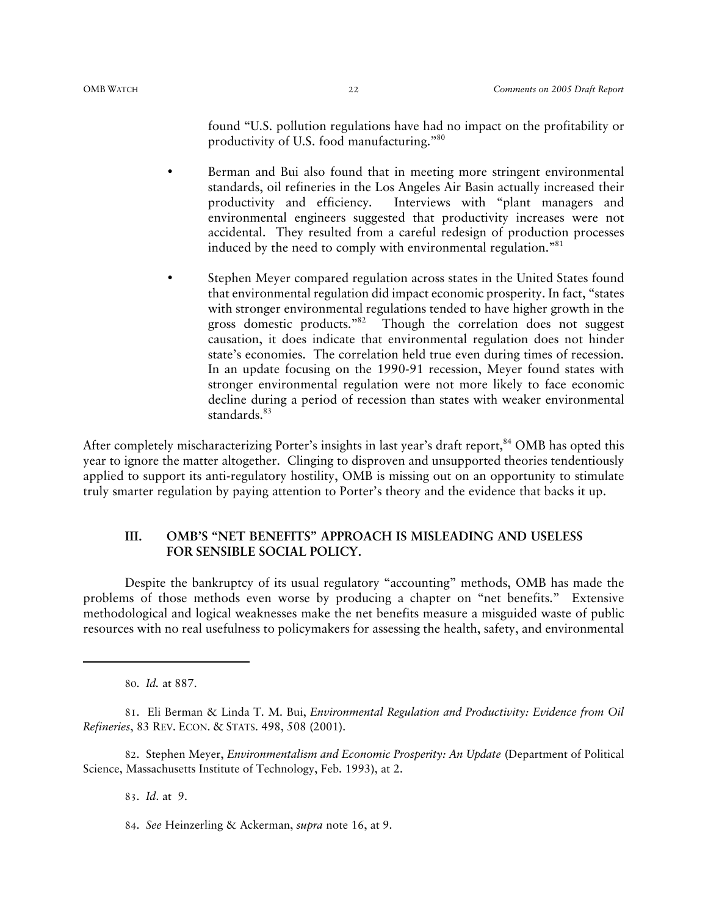found "U.S. pollution regulations have had no impact on the profitability or productivity of U.S. food manufacturing."80

- Berman and Bui also found that in meeting more stringent environmental standards, oil refineries in the Los Angeles Air Basin actually increased their productivity and efficiency. Interviews with "plant managers and environmental engineers suggested that productivity increases were not accidental. They resulted from a careful redesign of production processes induced by the need to comply with environmental regulation."<sup>81</sup>
- Stephen Meyer compared regulation across states in the United States found that environmental regulation did impact economic prosperity. In fact, "states with stronger environmental regulations tended to have higher growth in the gross domestic products."82 Though the correlation does not suggest causation, it does indicate that environmental regulation does not hinder state's economies. The correlation held true even during times of recession. In an update focusing on the 1990-91 recession, Meyer found states with stronger environmental regulation were not more likely to face economic decline during a period of recession than states with weaker environmental standards.<sup>83</sup>

After completely mischaracterizing Porter's insights in last year's draft report,<sup>84</sup> OMB has opted this year to ignore the matter altogether. Clinging to disproven and unsupported theories tendentiously applied to support its anti-regulatory hostility, OMB is missing out on an opportunity to stimulate truly smarter regulation by paying attention to Porter's theory and the evidence that backs it up.

#### **III. OMB'S "NET BENEFITS" APPROACH IS MISLEADING AND USELESS FOR SENSIBLE SOCIAL POLICY.**

Despite the bankruptcy of its usual regulatory "accounting" methods, OMB has made the problems of those methods even worse by producing a chapter on "net benefits." Extensive methodological and logical weaknesses make the net benefits measure a misguided waste of public resources with no real usefulness to policymakers for assessing the health, safety, and environmental

80. *Id.* at 887.

81. Eli Berman & Linda T. M. Bui, *Environmental Regulation and Productivity: Evidence from Oil Refineries*, 83 REV. ECON. & STATS. 498, 508 (2001).

82. Stephen Meyer, *Environmentalism and Economic Prosperity: An Update* (Department of Political Science, Massachusetts Institute of Technology, Feb. 1993), at 2.

83. *Id*. at 9.

<sup>84</sup>. *See* Heinzerling & Ackerman, *supra* note 16, at 9.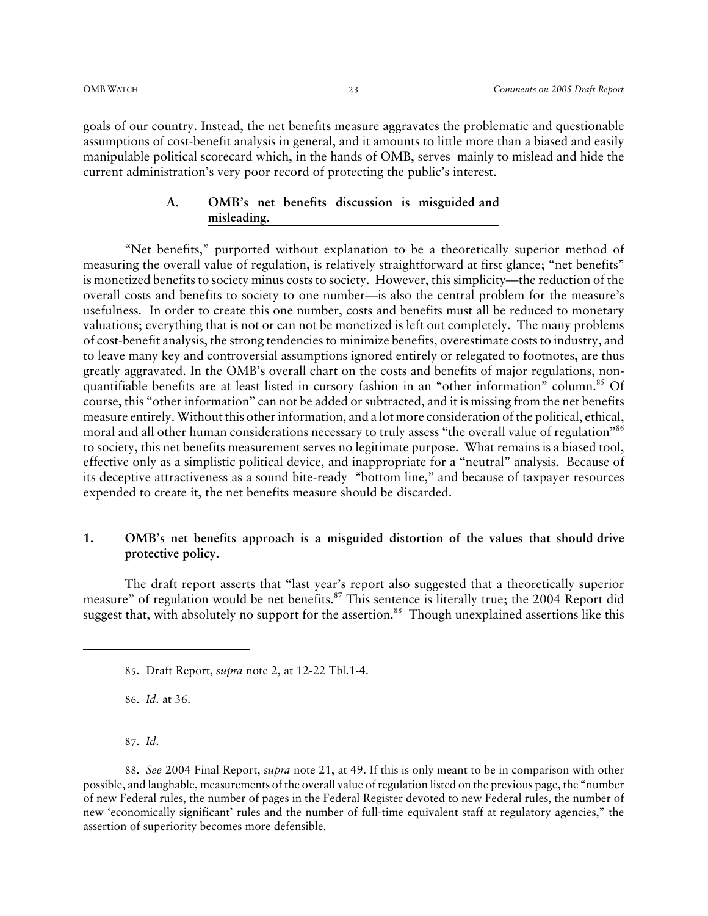goals of our country. Instead, the net benefits measure aggravates the problematic and questionable assumptions of cost-benefit analysis in general, and it amounts to little more than a biased and easily manipulable political scorecard which, in the hands of OMB, serves mainly to mislead and hide the current administration's very poor record of protecting the public's interest.

### **A. OMB's net benefits discussion is misguided and misleading.**

"Net benefits," purported without explanation to be a theoretically superior method of measuring the overall value of regulation, is relatively straightforward at first glance; "net benefits" is monetized benefits to society minus costs to society. However, this simplicity—the reduction of the overall costs and benefits to society to one number—is also the central problem for the measure's usefulness. In order to create this one number, costs and benefits must all be reduced to monetary valuations; everything that is not or can not be monetized is left out completely. The many problems of cost-benefit analysis, the strong tendencies to minimize benefits, overestimate costs to industry, and to leave many key and controversial assumptions ignored entirely or relegated to footnotes, are thus greatly aggravated. In the OMB's overall chart on the costs and benefits of major regulations, nonquantifiable benefits are at least listed in cursory fashion in an "other information" column.<sup>85</sup> Of course, this "other information" can not be added or subtracted, and it is missing from the net benefits measure entirely. Without this other information, and a lot more consideration of the political, ethical, moral and all other human considerations necessary to truly assess "the overall value of regulation"<sup>86</sup> to society, this net benefits measurement serves no legitimate purpose. What remains is a biased tool, effective only as a simplistic political device, and inappropriate for a "neutral" analysis. Because of its deceptive attractiveness as a sound bite-ready "bottom line," and because of taxpayer resources expended to create it, the net benefits measure should be discarded.

#### **1. OMB's net benefits approach is a misguided distortion of the values that should drive protective policy.**

The draft report asserts that "last year's report also suggested that a theoretically superior measure" of regulation would be net benefits.<sup>87</sup> This sentence is literally true; the 2004 Report did suggest that, with absolutely no support for the assertion.<sup>88</sup> Though unexplained assertions like this

86. *Id*. at 36.

87. *Id*.

88. *See* 2004 Final Report, *supra* note 21, at 49. If this is only meant to be in comparison with other possible, and laughable, measurements of the overall value of regulation listed on the previous page, the "number of new Federal rules, the number of pages in the Federal Register devoted to new Federal rules, the number of new 'economically significant' rules and the number of full-time equivalent staff at regulatory agencies," the assertion of superiority becomes more defensible.

<sup>85</sup>. Draft Report, *supra* note 2, at 12-22 Tbl.1-4.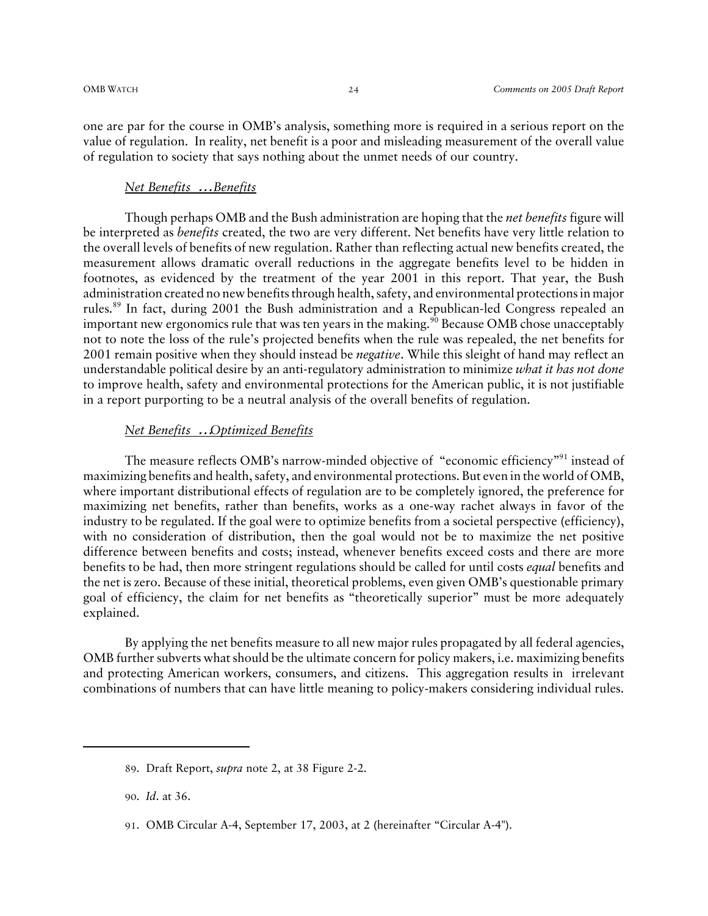one are par for the course in OMB's analysis, something more is required in a serious report on the value of regulation. In reality, net benefit is a poor and misleading measurement of the overall value of regulation to society that says nothing about the unmet needs of our country.

#### *Net Benefits* … *Benefits*

Though perhaps OMB and the Bush administration are hoping that the *net benefits* figure will be interpreted as *benefits* created, the two are very different. Net benefits have very little relation to the overall levels of benefits of new regulation. Rather than reflecting actual new benefits created, the measurement allows dramatic overall reductions in the aggregate benefits level to be hidden in footnotes, as evidenced by the treatment of the year 2001 in this report. That year, the Bush administration created no new benefits through health, safety, and environmental protections in major rules.89 In fact, during 2001 the Bush administration and a Republican-led Congress repealed an important new ergonomics rule that was ten years in the making.<sup>90</sup> Because OMB chose unacceptably not to note the loss of the rule's projected benefits when the rule was repealed, the net benefits for 2001 remain positive when they should instead be *negative*. While this sleight of hand may reflect an understandable political desire by an anti-regulatory administration to minimize *what it has not done* to improve health, safety and environmental protections for the American public, it is not justifiable in a report purporting to be a neutral analysis of the overall benefits of regulation.

#### *Net Benefits* … *Optimized Benefits*

The measure reflects OMB's narrow-minded objective of "economic efficiency"<sup>91</sup> instead of maximizing benefits and health, safety, and environmental protections. But even in the world of OMB, where important distributional effects of regulation are to be completely ignored, the preference for maximizing net benefits, rather than benefits, works as a one-way rachet always in favor of the industry to be regulated. If the goal were to optimize benefits from a societal perspective (efficiency), with no consideration of distribution, then the goal would not be to maximize the net positive difference between benefits and costs; instead, whenever benefits exceed costs and there are more benefits to be had, then more stringent regulations should be called for until costs *equal* benefits and the net is zero. Because of these initial, theoretical problems, even given OMB's questionable primary goal of efficiency, the claim for net benefits as "theoretically superior" must be more adequately explained.

By applying the net benefits measure to all new major rules propagated by all federal agencies, OMB further subverts what should be the ultimate concern for policy makers, i.e. maximizing benefits and protecting American workers, consumers, and citizens. This aggregation results in irrelevant combinations of numbers that can have little meaning to policy-makers considering individual rules.

<sup>89</sup>. Draft Report, *supra* note 2, at 38 Figure 2-2.

<sup>90</sup>. *Id*. at 36.

<sup>91</sup>. OMB Circular A-4, September 17, 2003, at 2 (hereinafter "Circular A-4").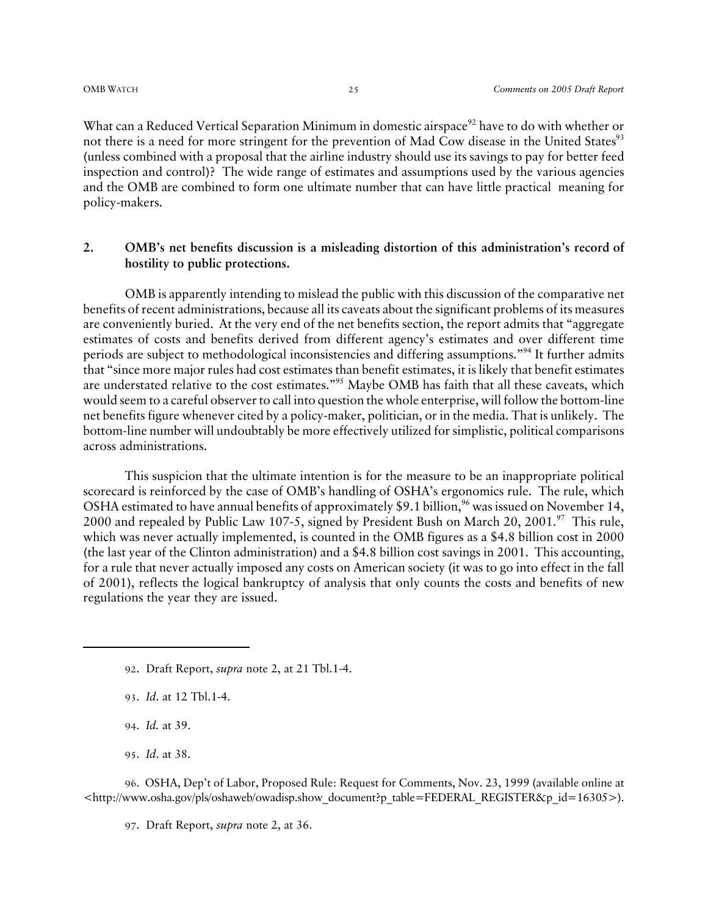What can a Reduced Vertical Separation Minimum in domestic airspace<sup>92</sup> have to do with whether or not there is a need for more stringent for the prevention of Mad Cow disease in the United States<sup>93</sup> (unless combined with a proposal that the airline industry should use its savings to pay for better feed inspection and control)? The wide range of estimates and assumptions used by the various agencies and the OMB are combined to form one ultimate number that can have little practical meaning for policy-makers.

#### **2. OMB's net benefits discussion is a misleading distortion of this administration's record of hostility to public protections.**

OMB is apparently intending to mislead the public with this discussion of the comparative net benefits of recent administrations, because all its caveats about the significant problems of its measures are conveniently buried. At the very end of the net benefits section, the report admits that "aggregate estimates of costs and benefits derived from different agency's estimates and over different time periods are subject to methodological inconsistencies and differing assumptions."94 It further admits that "since more major rules had cost estimates than benefit estimates, it is likely that benefit estimates are understated relative to the cost estimates."<sup>95</sup> Maybe OMB has faith that all these caveats, which would seem to a careful observer to call into question the whole enterprise, will follow the bottom-line net benefits figure whenever cited by a policy-maker, politician, or in the media. That is unlikely. The bottom-line number will undoubtably be more effectively utilized for simplistic, political comparisons across administrations.

This suspicion that the ultimate intention is for the measure to be an inappropriate political scorecard is reinforced by the case of OMB's handling of OSHA's ergonomics rule. The rule, which OSHA estimated to have annual benefits of approximately \$9.1 billion,<sup>96</sup> was issued on November 14, 2000 and repealed by Public Law 107-5, signed by President Bush on March 20, 2001.<sup>97</sup> This rule, which was never actually implemented, is counted in the OMB figures as a \$4.8 billion cost in 2000 (the last year of the Clinton administration) and a \$4.8 billion cost savings in 2001. This accounting, for a rule that never actually imposed any costs on American society (it was to go into effect in the fall of 2001), reflects the logical bankruptcy of analysis that only counts the costs and benefits of new regulations the year they are issued.

- 93. *Id*. at 12 Tbl.1-4.
- 94. *Id.* at 39.
- 95. *Id*. at 38.

96. OSHA, Dep't of Labor, Proposed Rule: Request for Comments, Nov. 23, 1999 (available online at <http://www.osha.gov/pls/oshaweb/owadisp.show\_document?p\_table=FEDERAL\_REGISTER&p\_id=16305>).

97. Draft Report, *supra* note 2, at 36.

<sup>92</sup>. Draft Report, *supra* note 2, at 21 Tbl.1-4.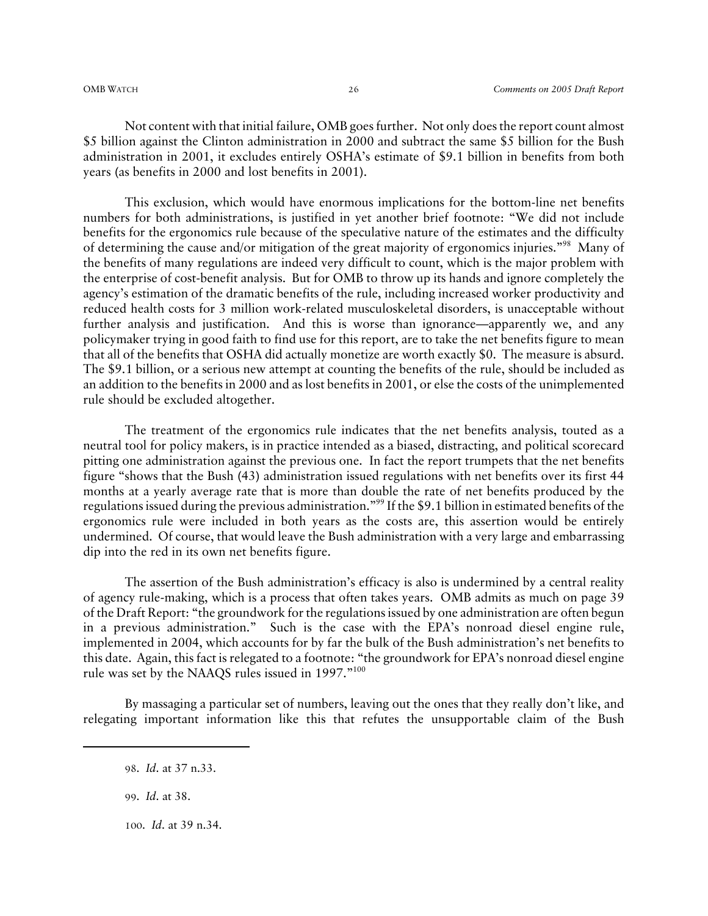Not content with that initial failure, OMB goes further. Not only does the report count almost \$5 billion against the Clinton administration in 2000 and subtract the same \$5 billion for the Bush administration in 2001, it excludes entirely OSHA's estimate of \$9.1 billion in benefits from both years (as benefits in 2000 and lost benefits in 2001).

This exclusion, which would have enormous implications for the bottom-line net benefits numbers for both administrations, is justified in yet another brief footnote: "We did not include benefits for the ergonomics rule because of the speculative nature of the estimates and the difficulty of determining the cause and/or mitigation of the great majority of ergonomics injuries."98 Many of the benefits of many regulations are indeed very difficult to count, which is the major problem with the enterprise of cost-benefit analysis. But for OMB to throw up its hands and ignore completely the agency's estimation of the dramatic benefits of the rule, including increased worker productivity and reduced health costs for 3 million work-related musculoskeletal disorders, is unacceptable without further analysis and justification. And this is worse than ignorance—apparently we, and any policymaker trying in good faith to find use for this report, are to take the net benefits figure to mean that all of the benefits that OSHA did actually monetize are worth exactly \$0. The measure is absurd. The \$9.1 billion, or a serious new attempt at counting the benefits of the rule, should be included as an addition to the benefits in 2000 and as lost benefits in 2001, or else the costs of the unimplemented rule should be excluded altogether.

The treatment of the ergonomics rule indicates that the net benefits analysis, touted as a neutral tool for policy makers, is in practice intended as a biased, distracting, and political scorecard pitting one administration against the previous one. In fact the report trumpets that the net benefits figure "shows that the Bush (43) administration issued regulations with net benefits over its first 44 months at a yearly average rate that is more than double the rate of net benefits produced by the regulations issued during the previous administration."99 If the \$9.1 billion in estimated benefits of the ergonomics rule were included in both years as the costs are, this assertion would be entirely undermined. Of course, that would leave the Bush administration with a very large and embarrassing dip into the red in its own net benefits figure.

The assertion of the Bush administration's efficacy is also is undermined by a central reality of agency rule-making, which is a process that often takes years. OMB admits as much on page 39 of the Draft Report: "the groundwork for the regulations issued by one administration are often begun in a previous administration." Such is the case with the EPA's nonroad diesel engine rule, implemented in 2004, which accounts for by far the bulk of the Bush administration's net benefits to this date. Again, this fact is relegated to a footnote: "the groundwork for EPA's nonroad diesel engine rule was set by the NAAQS rules issued in 1997."<sup>100</sup>

By massaging a particular set of numbers, leaving out the ones that they really don't like, and relegating important information like this that refutes the unsupportable claim of the Bush

100. *Id*. at 39 n.34.

<sup>98</sup>. *Id*. at 37 n.33.

<sup>99</sup>. *Id*. at 38.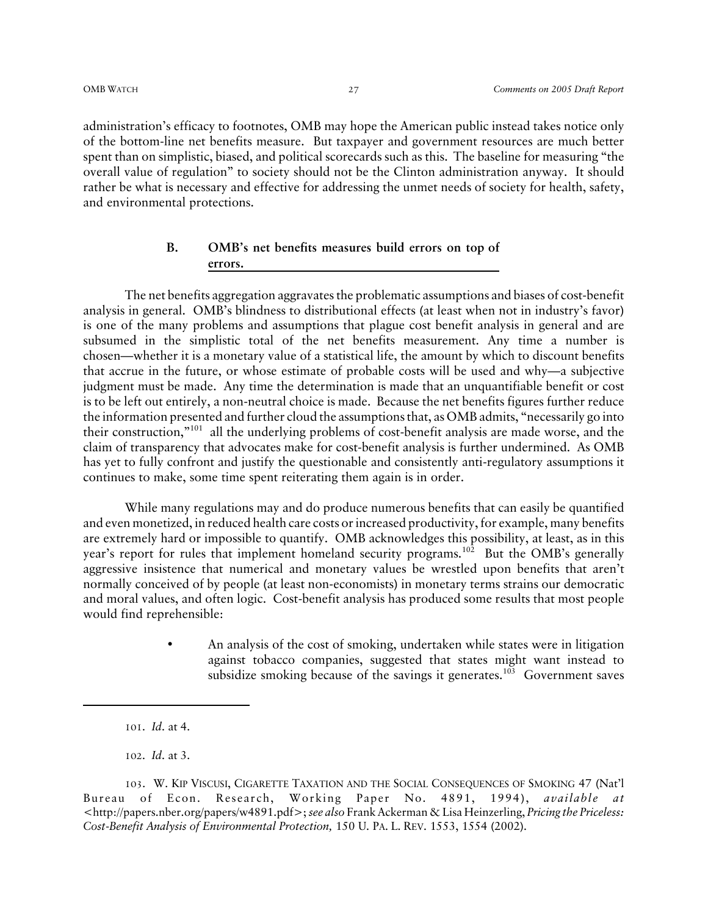administration's efficacy to footnotes, OMB may hope the American public instead takes notice only of the bottom-line net benefits measure. But taxpayer and government resources are much better spent than on simplistic, biased, and political scorecards such as this. The baseline for measuring "the overall value of regulation" to society should not be the Clinton administration anyway. It should rather be what is necessary and effective for addressing the unmet needs of society for health, safety, and environmental protections.

#### **B. OMB's net benefits measures build errors on top of errors.**

The net benefits aggregation aggravates the problematic assumptions and biases of cost-benefit analysis in general. OMB's blindness to distributional effects (at least when not in industry's favor) is one of the many problems and assumptions that plague cost benefit analysis in general and are subsumed in the simplistic total of the net benefits measurement. Any time a number is chosen—whether it is a monetary value of a statistical life, the amount by which to discount benefits that accrue in the future, or whose estimate of probable costs will be used and why—a subjective judgment must be made. Any time the determination is made that an unquantifiable benefit or cost is to be left out entirely, a non-neutral choice is made. Because the net benefits figures further reduce the information presented and further cloud the assumptions that, as OMB admits, "necessarily go into their construction,"101 all the underlying problems of cost-benefit analysis are made worse, and the claim of transparency that advocates make for cost-benefit analysis is further undermined. As OMB has yet to fully confront and justify the questionable and consistently anti-regulatory assumptions it continues to make, some time spent reiterating them again is in order.

While many regulations may and do produce numerous benefits that can easily be quantified and even monetized, in reduced health care costs or increased productivity, for example, many benefits are extremely hard or impossible to quantify. OMB acknowledges this possibility, at least, as in this year's report for rules that implement homeland security programs.<sup>102</sup> But the OMB's generally aggressive insistence that numerical and monetary values be wrestled upon benefits that aren't normally conceived of by people (at least non-economists) in monetary terms strains our democratic and moral values, and often logic. Cost-benefit analysis has produced some results that most people would find reprehensible:

> • An analysis of the cost of smoking, undertaken while states were in litigation against tobacco companies, suggested that states might want instead to subsidize smoking because of the savings it generates.<sup>103</sup> Government saves

<sup>101</sup>. *Id*. at 4.

<sup>102</sup>. *Id*. at 3.

<sup>103</sup>. W. KIP VISCUSI, CIGARETTE TAXATION AND THE SOCIAL CONSEQUENCES OF SMOKING 47 (Nat'l Bureau of Econ. Research, Working Paper No. 4891, 1994), *available at* <http://papers.nber.org/papers/w4891.pdf>; *see also* Frank Ackerman & Lisa Heinzerling, *Pricing the Priceless: Cost-Benefit Analysis of Environmental Protection,* 150 U. PA. L. REV. 1553, 1554 (2002).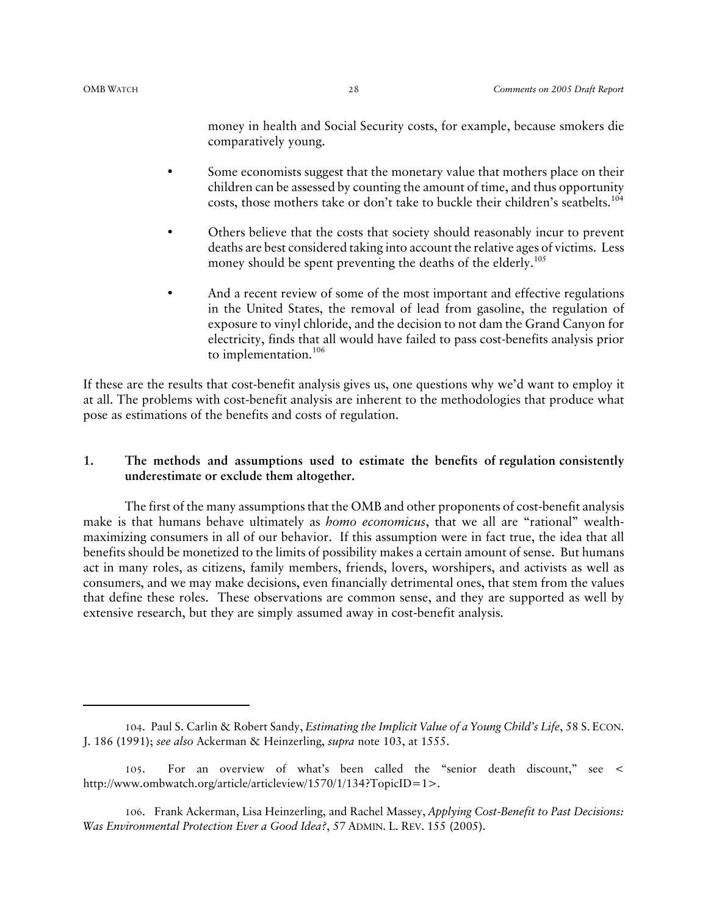money in health and Social Security costs, for example, because smokers die comparatively young.

- Some economists suggest that the monetary value that mothers place on their children can be assessed by counting the amount of time, and thus opportunity costs, those mothers take or don't take to buckle their children's seatbelts.<sup>104</sup>
- Others believe that the costs that society should reasonably incur to prevent deaths are best considered taking into account the relative ages of victims. Less money should be spent preventing the deaths of the elderly.<sup>105</sup>
- And a recent review of some of the most important and effective regulations in the United States, the removal of lead from gasoline, the regulation of exposure to vinyl chloride, and the decision to not dam the Grand Canyon for electricity, finds that all would have failed to pass cost-benefits analysis prior to implementation.106

If these are the results that cost-benefit analysis gives us, one questions why we'd want to employ it at all. The problems with cost-benefit analysis are inherent to the methodologies that produce what pose as estimations of the benefits and costs of regulation.

#### **1. The methods and assumptions used to estimate the benefits of regulation consistently underestimate or exclude them altogether.**

The first of the many assumptions that the OMB and other proponents of cost-benefit analysis make is that humans behave ultimately as *homo economicus*, that we all are "rational" wealthmaximizing consumers in all of our behavior. If this assumption were in fact true, the idea that all benefits should be monetized to the limits of possibility makes a certain amount of sense. But humans act in many roles, as citizens, family members, friends, lovers, worshipers, and activists as well as consumers, and we may make decisions, even financially detrimental ones, that stem from the values that define these roles. These observations are common sense, and they are supported as well by extensive research, but they are simply assumed away in cost-benefit analysis.

<sup>104</sup>. Paul S. Carlin & Robert Sandy, *Estimating the Implicit Value of a Young Child's Life*, 58 S. ECON. J. 186 (1991); *see also* Ackerman & Heinzerling, *supra* note 103, at 1555.

<sup>105</sup>. For an overview of what's been called the "senior death discount," see < http://www.ombwatch.org/article/articleview/1570/1/134?TopicID=1>.

<sup>106</sup>. Frank Ackerman, Lisa Heinzerling, and Rachel Massey, *Applying Cost-Benefit to Past Decisions: Was Environmental Protection Ever a Good Idea?*, 57 ADMIN. L. REV. 155 (2005).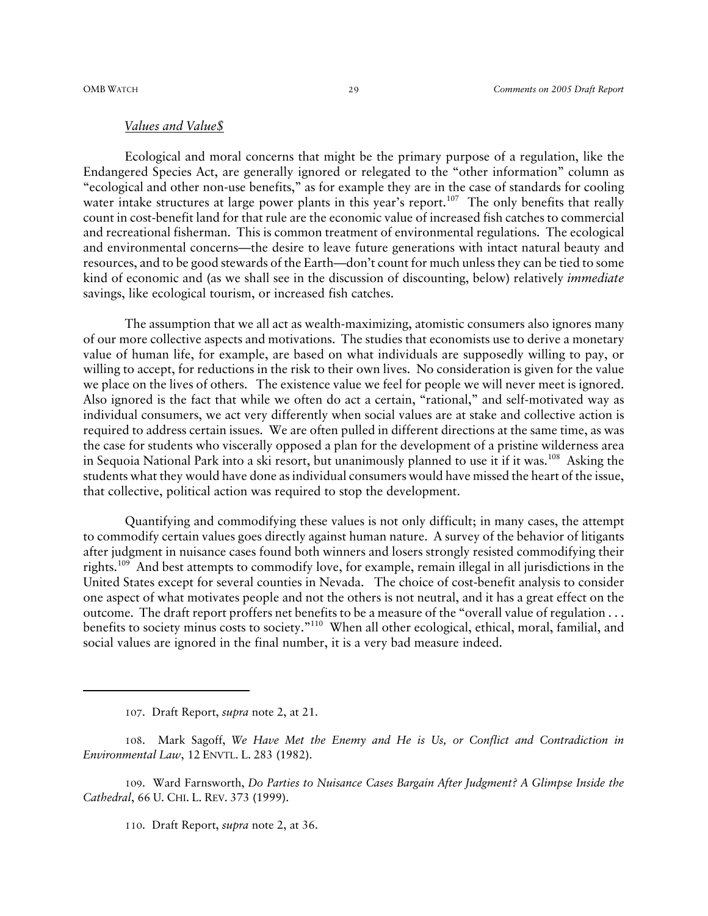#### *Values and Value\$*

Ecological and moral concerns that might be the primary purpose of a regulation, like the Endangered Species Act, are generally ignored or relegated to the "other information" column as "ecological and other non-use benefits," as for example they are in the case of standards for cooling water intake structures at large power plants in this year's report.<sup>107</sup> The only benefits that really count in cost-benefit land for that rule are the economic value of increased fish catches to commercial and recreational fisherman. This is common treatment of environmental regulations. The ecological and environmental concerns—the desire to leave future generations with intact natural beauty and resources, and to be good stewards of the Earth—don't count for much unless they can be tied to some kind of economic and (as we shall see in the discussion of discounting, below) relatively *immediate* savings, like ecological tourism, or increased fish catches.

The assumption that we all act as wealth-maximizing, atomistic consumers also ignores many of our more collective aspects and motivations. The studies that economists use to derive a monetary value of human life, for example, are based on what individuals are supposedly willing to pay, or willing to accept, for reductions in the risk to their own lives. No consideration is given for the value we place on the lives of others. The existence value we feel for people we will never meet is ignored. Also ignored is the fact that while we often do act a certain, "rational," and self-motivated way as individual consumers, we act very differently when social values are at stake and collective action is required to address certain issues. We are often pulled in different directions at the same time, as was the case for students who viscerally opposed a plan for the development of a pristine wilderness area in Sequoia National Park into a ski resort, but unanimously planned to use it if it was.<sup>108</sup> Asking the students what they would have done as individual consumers would have missed the heart of the issue, that collective, political action was required to stop the development.

Quantifying and commodifying these values is not only difficult; in many cases, the attempt to commodify certain values goes directly against human nature. A survey of the behavior of litigants after judgment in nuisance cases found both winners and losers strongly resisted commodifying their rights.109 And best attempts to commodify love, for example, remain illegal in all jurisdictions in the United States except for several counties in Nevada. The choice of cost-benefit analysis to consider one aspect of what motivates people and not the others is not neutral, and it has a great effect on the outcome. The draft report proffers net benefits to be a measure of the "overall value of regulation . . . benefits to society minus costs to society."110 When all other ecological, ethical, moral, familial, and social values are ignored in the final number, it is a very bad measure indeed.

<sup>107</sup>. Draft Report, *supra* note 2, at 21.

<sup>108</sup>. Mark Sagoff, *We Have Met the Enemy and He is Us, or Conflict and Contradiction in Environmental Law*, 12 ENVTL. L. 283 (1982).

<sup>109</sup>. Ward Farnsworth, *Do Parties to Nuisance Cases Bargain After Judgment? A Glimpse Inside the Cathedral*, 66 U. CHI. L. REV. 373 (1999).

<sup>110</sup>. Draft Report, *supra* note 2, at 36.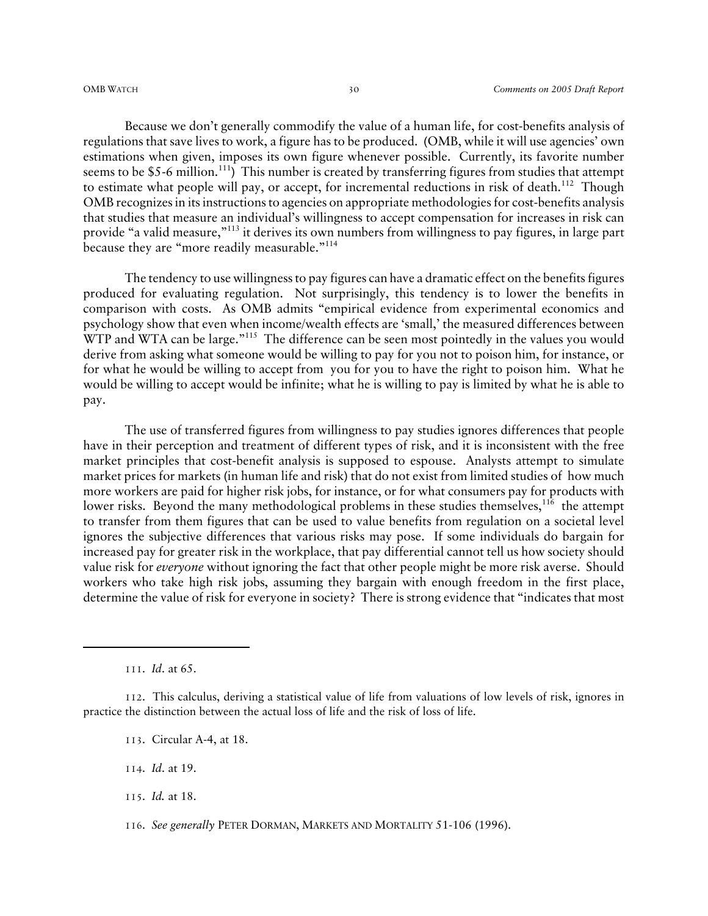Because we don't generally commodify the value of a human life, for cost-benefits analysis of regulations that save lives to work, a figure has to be produced. (OMB, while it will use agencies' own estimations when given, imposes its own figure whenever possible. Currently, its favorite number seems to be \$5-6 million.<sup>111</sup>) This number is created by transferring figures from studies that attempt to estimate what people will pay, or accept, for incremental reductions in risk of death.<sup>112</sup> Though OMB recognizes in its instructions to agencies on appropriate methodologies for cost-benefits analysis that studies that measure an individual's willingness to accept compensation for increases in risk can provide "a valid measure,"113 it derives its own numbers from willingness to pay figures, in large part because they are "more readily measurable."114

The tendency to use willingness to pay figures can have a dramatic effect on the benefits figures produced for evaluating regulation. Not surprisingly, this tendency is to lower the benefits in comparison with costs. As OMB admits "empirical evidence from experimental economics and psychology show that even when income/wealth effects are 'small,' the measured differences between WTP and WTA can be large."<sup>115</sup> The difference can be seen most pointedly in the values you would derive from asking what someone would be willing to pay for you not to poison him, for instance, or for what he would be willing to accept from you for you to have the right to poison him. What he would be willing to accept would be infinite; what he is willing to pay is limited by what he is able to pay.

The use of transferred figures from willingness to pay studies ignores differences that people have in their perception and treatment of different types of risk, and it is inconsistent with the free market principles that cost-benefit analysis is supposed to espouse. Analysts attempt to simulate market prices for markets (in human life and risk) that do not exist from limited studies of how much more workers are paid for higher risk jobs, for instance, or for what consumers pay for products with lower risks. Beyond the many methodological problems in these studies themselves,<sup>116</sup> the attempt to transfer from them figures that can be used to value benefits from regulation on a societal level ignores the subjective differences that various risks may pose. If some individuals do bargain for increased pay for greater risk in the workplace, that pay differential cannot tell us how society should value risk for *everyone* without ignoring the fact that other people might be more risk averse. Should workers who take high risk jobs, assuming they bargain with enough freedom in the first place, determine the value of risk for everyone in society? There is strong evidence that "indicates that most

113. Circular A-4, at 18.

114. *Id*. at 19.

115. *Id.* at 18.

116. *See generally* PETER DORMAN, MARKETS AND MORTALITY 51-106 (1996).

<sup>111</sup>. *Id*. at 65.

<sup>112</sup>. This calculus, deriving a statistical value of life from valuations of low levels of risk, ignores in practice the distinction between the actual loss of life and the risk of loss of life.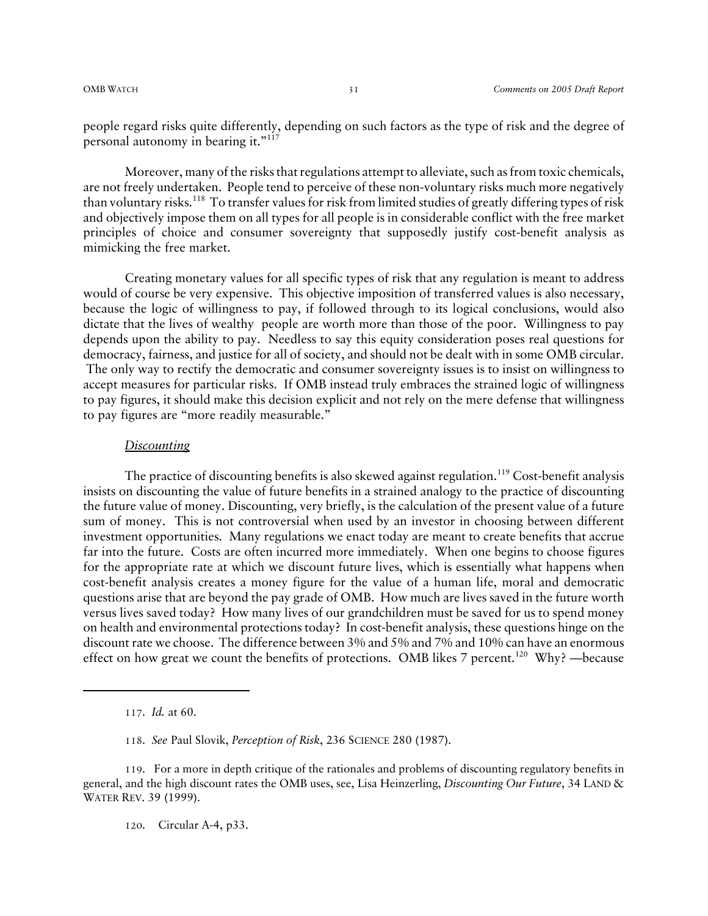people regard risks quite differently, depending on such factors as the type of risk and the degree of personal autonomy in bearing it." $117$ 

Moreover, many of the risks that regulations attempt to alleviate, such as from toxic chemicals, are not freely undertaken. People tend to perceive of these non-voluntary risks much more negatively than voluntary risks.118 To transfer values for risk from limited studies of greatly differing types of risk and objectively impose them on all types for all people is in considerable conflict with the free market principles of choice and consumer sovereignty that supposedly justify cost-benefit analysis as mimicking the free market.

Creating monetary values for all specific types of risk that any regulation is meant to address would of course be very expensive. This objective imposition of transferred values is also necessary, because the logic of willingness to pay, if followed through to its logical conclusions, would also dictate that the lives of wealthy people are worth more than those of the poor. Willingness to pay depends upon the ability to pay. Needless to say this equity consideration poses real questions for democracy, fairness, and justice for all of society, and should not be dealt with in some OMB circular. The only way to rectify the democratic and consumer sovereignty issues is to insist on willingness to accept measures for particular risks. If OMB instead truly embraces the strained logic of willingness to pay figures, it should make this decision explicit and not rely on the mere defense that willingness to pay figures are "more readily measurable."

#### *Discounting*

The practice of discounting benefits is also skewed against regulation.<sup>119</sup> Cost-benefit analysis insists on discounting the value of future benefits in a strained analogy to the practice of discounting the future value of money. Discounting, very briefly, is the calculation of the present value of a future sum of money. This is not controversial when used by an investor in choosing between different investment opportunities. Many regulations we enact today are meant to create benefits that accrue far into the future. Costs are often incurred more immediately. When one begins to choose figures for the appropriate rate at which we discount future lives, which is essentially what happens when cost-benefit analysis creates a money figure for the value of a human life, moral and democratic questions arise that are beyond the pay grade of OMB. How much are lives saved in the future worth versus lives saved today? How many lives of our grandchildren must be saved for us to spend money on health and environmental protections today? In cost-benefit analysis, these questions hinge on the discount rate we choose. The difference between 3% and 5% and 7% and 10% can have an enormous effect on how great we count the benefits of protections. OMB likes 7 percent.<sup>120</sup> Why? —because

120. Circular A-4, p33.

<sup>117</sup>. *Id.* at 60.

<sup>118</sup>. *See* Paul Slovik, *Perception of Risk*, 236 SCIENCE 280 (1987).

<sup>119</sup>. For a more in depth critique of the rationales and problems of discounting regulatory benefits in general, and the high discount rates the OMB uses, see, Lisa Heinzerling, *Discounting Our Future*, 34 LAND & WATER REV. 39 (1999).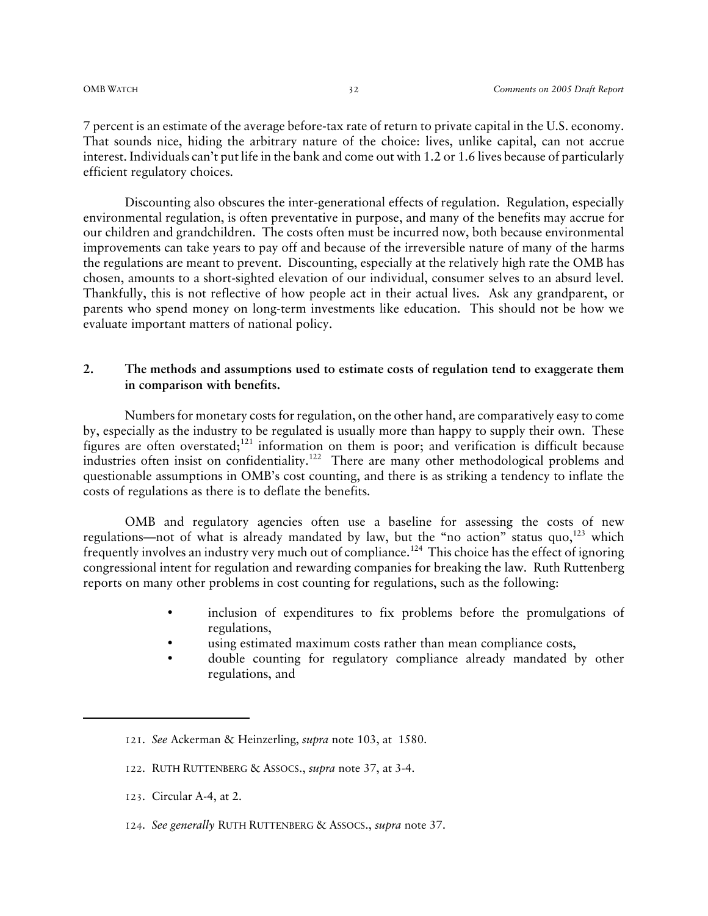7 percent is an estimate of the average before-tax rate of return to private capital in the U.S. economy. That sounds nice, hiding the arbitrary nature of the choice: lives, unlike capital, can not accrue interest. Individuals can't put life in the bank and come out with 1.2 or 1.6 lives because of particularly efficient regulatory choices.

Discounting also obscures the inter-generational effects of regulation. Regulation, especially environmental regulation, is often preventative in purpose, and many of the benefits may accrue for our children and grandchildren. The costs often must be incurred now, both because environmental improvements can take years to pay off and because of the irreversible nature of many of the harms the regulations are meant to prevent. Discounting, especially at the relatively high rate the OMB has chosen, amounts to a short-sighted elevation of our individual, consumer selves to an absurd level. Thankfully, this is not reflective of how people act in their actual lives. Ask any grandparent, or parents who spend money on long-term investments like education. This should not be how we evaluate important matters of national policy.

#### **2. The methods and assumptions used to estimate costs of regulation tend to exaggerate them in comparison with benefits.**

Numbers for monetary costs for regulation, on the other hand, are comparatively easy to come by, especially as the industry to be regulated is usually more than happy to supply their own. These figures are often overstated;<sup>121</sup> information on them is poor; and verification is difficult because industries often insist on confidentiality.<sup>122</sup> There are many other methodological problems and questionable assumptions in OMB's cost counting, and there is as striking a tendency to inflate the costs of regulations as there is to deflate the benefits.

OMB and regulatory agencies often use a baseline for assessing the costs of new regulations—not of what is already mandated by law, but the "no action" status quo, $^{123}$  which frequently involves an industry very much out of compliance.124 This choice has the effect of ignoring congressional intent for regulation and rewarding companies for breaking the law. Ruth Ruttenberg reports on many other problems in cost counting for regulations, such as the following:

- inclusion of expenditures to fix problems before the promulgations of regulations,
- using estimated maximum costs rather than mean compliance costs,
- double counting for regulatory compliance already mandated by other regulations, and

- 122. RUTH RUTTENBERG & ASSOCS., *supra* note 37, at 3-4.
- 123. Circular A-4, at 2.
- 124. *See generally* RUTH RUTTENBERG & ASSOCS., *supra* note 37.

<sup>121</sup>. *See* Ackerman & Heinzerling, *supra* note 103, at 1580.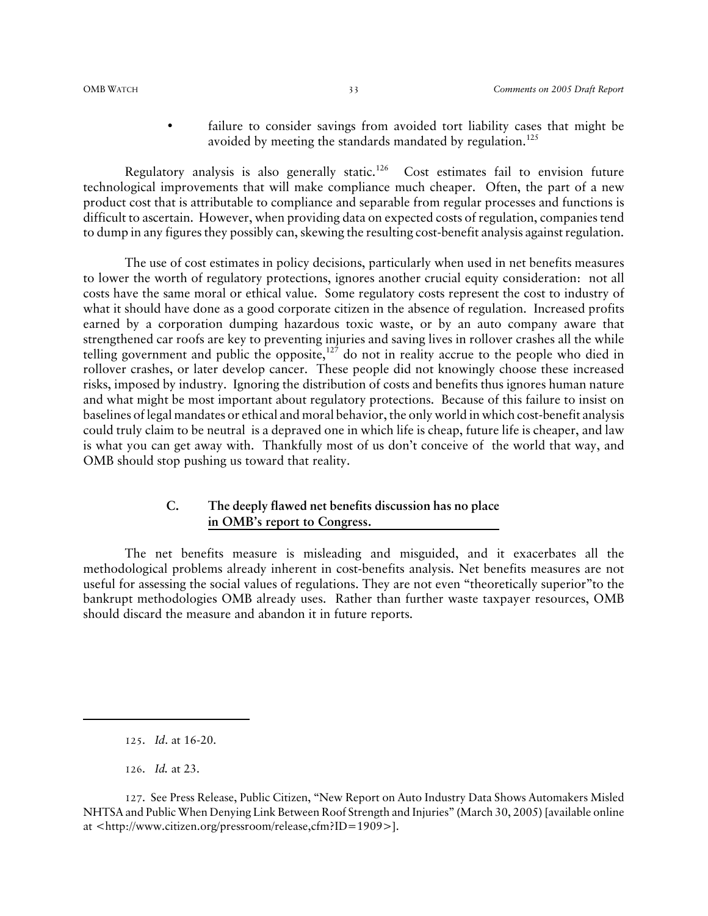failure to consider savings from avoided tort liability cases that might be avoided by meeting the standards mandated by regulation.<sup>125</sup>

Regulatory analysis is also generally static.<sup>126</sup> Cost estimates fail to envision future technological improvements that will make compliance much cheaper. Often, the part of a new product cost that is attributable to compliance and separable from regular processes and functions is difficult to ascertain. However, when providing data on expected costs of regulation, companies tend to dump in any figures they possibly can, skewing the resulting cost-benefit analysis against regulation.

The use of cost estimates in policy decisions, particularly when used in net benefits measures to lower the worth of regulatory protections, ignores another crucial equity consideration: not all costs have the same moral or ethical value. Some regulatory costs represent the cost to industry of what it should have done as a good corporate citizen in the absence of regulation. Increased profits earned by a corporation dumping hazardous toxic waste, or by an auto company aware that strengthened car roofs are key to preventing injuries and saving lives in rollover crashes all the while telling government and public the opposite, $127$  do not in reality accrue to the people who died in rollover crashes, or later develop cancer. These people did not knowingly choose these increased risks, imposed by industry. Ignoring the distribution of costs and benefits thus ignores human nature and what might be most important about regulatory protections. Because of this failure to insist on baselines of legal mandates or ethical and moral behavior, the only world in which cost-benefit analysis could truly claim to be neutral is a depraved one in which life is cheap, future life is cheaper, and law is what you can get away with. Thankfully most of us don't conceive of the world that way, and OMB should stop pushing us toward that reality.

### **C. The deeply flawed net benefits discussion has no place in OMB's report to Congress.**

The net benefits measure is misleading and misguided, and it exacerbates all the methodological problems already inherent in cost-benefits analysis. Net benefits measures are not useful for assessing the social values of regulations. They are not even "theoretically superior"to the bankrupt methodologies OMB already uses. Rather than further waste taxpayer resources, OMB should discard the measure and abandon it in future reports.

126. *Id.* at 23.

<sup>125</sup>. *Id*. at 16-20.

<sup>127</sup>. See Press Release, Public Citizen, "New Report on Auto Industry Data Shows Automakers Misled NHTSA and Public When Denying Link Between Roof Strength and Injuries" (March 30, 2005) [available online at <http://www.citizen.org/pressroom/release,cfm?ID=1909>].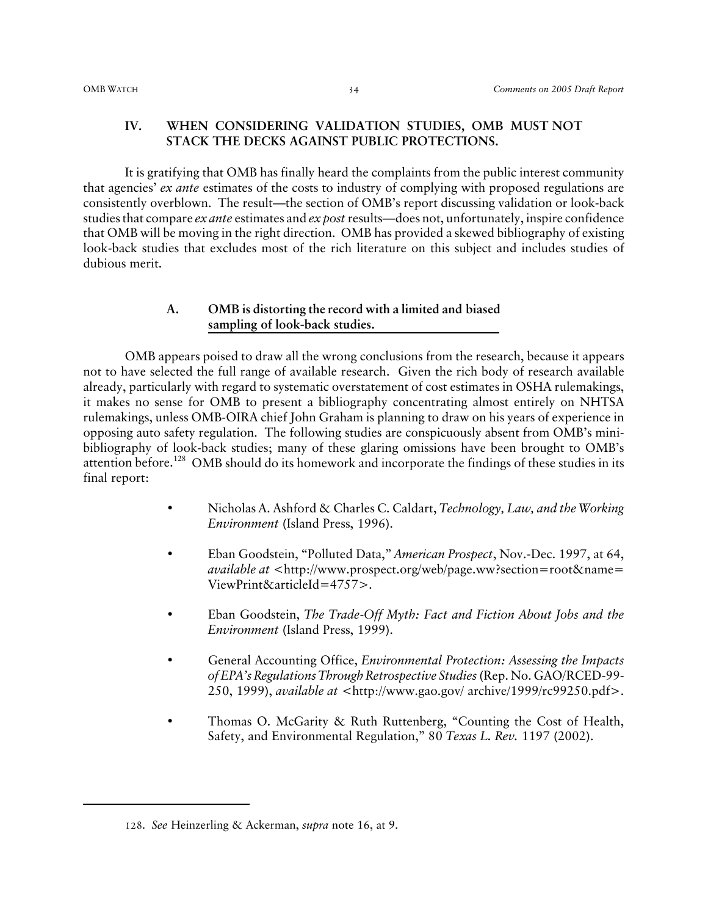#### **IV. WHEN CONSIDERING VALIDATION STUDIES, OMB MUST NOT STACK THE DECKS AGAINST PUBLIC PROTECTIONS.**

It is gratifying that OMB has finally heard the complaints from the public interest community that agencies' *ex ante* estimates of the costs to industry of complying with proposed regulations are consistently overblown. The result—the section of OMB's report discussing validation or look-back studies that compare *ex ante* estimates and *ex post* results—does not, unfortunately, inspire confidence that OMB will be moving in the right direction. OMB has provided a skewed bibliography of existing look-back studies that excludes most of the rich literature on this subject and includes studies of dubious merit.

#### **A. OMB is distorting the record with a limited and biased sampling of look-back studies.**

OMB appears poised to draw all the wrong conclusions from the research, because it appears not to have selected the full range of available research. Given the rich body of research available already, particularly with regard to systematic overstatement of cost estimates in OSHA rulemakings, it makes no sense for OMB to present a bibliography concentrating almost entirely on NHTSA rulemakings, unless OMB-OIRA chief John Graham is planning to draw on his years of experience in opposing auto safety regulation. The following studies are conspicuously absent from OMB's minibibliography of look-back studies; many of these glaring omissions have been brought to OMB's attention before.<sup>128</sup> OMB should do its homework and incorporate the findings of these studies in its final report:

- Nicholas A. Ashford & Charles C. Caldart, *Technology, Law, and the Working Environment* (Island Press, 1996).
- Eban Goodstein, "Polluted Data," *American Prospect*, Nov.-Dec. 1997, at 64, *available at* <http://www.prospect.org/web/page.ww?section=root&name= ViewPrint&articleId=4757>.
- Eban Goodstein, *The Trade-Off Myth: Fact and Fiction About Jobs and the Environment* (Island Press, 1999).
- General Accounting Office, *Environmental Protection: Assessing the Impacts of EPA's Regulations Through Retrospective Studies* (Rep. No. GAO/RCED-99- 250, 1999), *available at* <http://www.gao.gov/ archive/1999/rc99250.pdf>.
- Thomas O. McGarity & Ruth Ruttenberg, "Counting the Cost of Health, Safety, and Environmental Regulation," 80 *Texas L. Rev.* 1197 (2002).

<sup>128</sup>. *See* Heinzerling & Ackerman, *supra* note 16, at 9.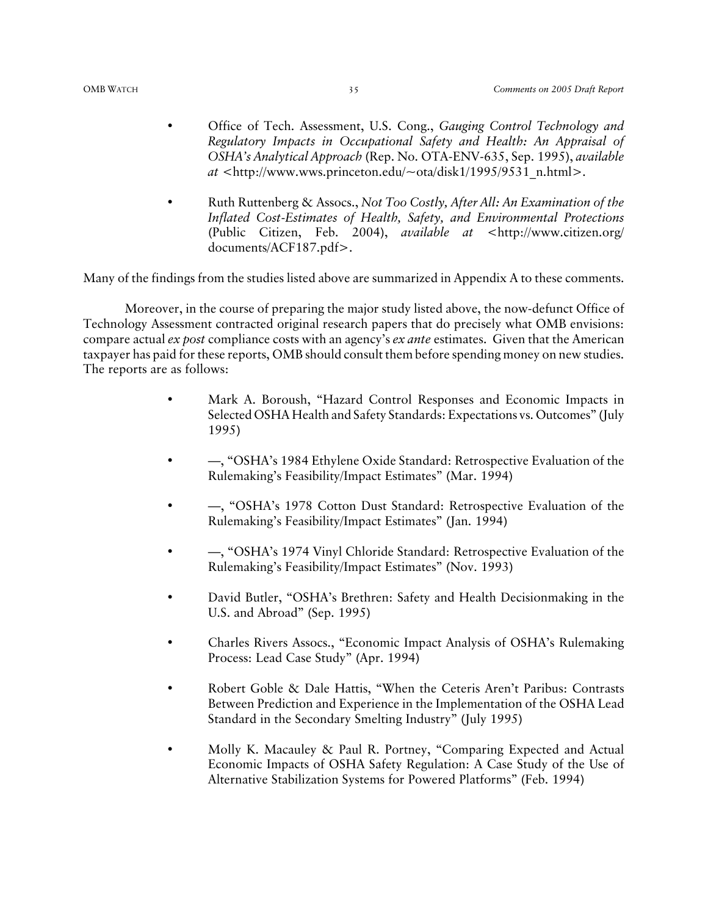- Office of Tech. Assessment, U.S. Cong., *Gauging Control Technology and Regulatory Impacts in Occupational Safety and Health: An Appraisal of OSHA's Analytical Approach* (Rep. No. OTA-ENV-635, Sep. 1995), *available at* <http://www.wws.princeton.edu/~ota/disk1/1995/9531\_n.html>.
- Ruth Ruttenberg & Assocs., *Not Too Costly, After All: An Examination of the Inflated Cost-Estimates of Health, Safety, and Environmental Protections* (Public Citizen, Feb. 2004), *available at* <http://www.citizen.org/ documents/ACF187.pdf>.

Many of the findings from the studies listed above are summarized in Appendix A to these comments.

Moreover, in the course of preparing the major study listed above, the now-defunct Office of Technology Assessment contracted original research papers that do precisely what OMB envisions: compare actual *ex post* compliance costs with an agency's *ex ante* estimates. Given that the American taxpayer has paid for these reports, OMB should consult them before spending money on new studies. The reports are as follows:

- Mark A. Boroush, "Hazard Control Responses and Economic Impacts in Selected OSHA Health and Safety Standards: Expectations vs. Outcomes" (July 1995)
- —, "OSHA's 1984 Ethylene Oxide Standard: Retrospective Evaluation of the Rulemaking's Feasibility/Impact Estimates" (Mar. 1994)
- —, "OSHA's 1978 Cotton Dust Standard: Retrospective Evaluation of the Rulemaking's Feasibility/Impact Estimates" (Jan. 1994)
- —, "OSHA's 1974 Vinyl Chloride Standard: Retrospective Evaluation of the Rulemaking's Feasibility/Impact Estimates" (Nov. 1993)
- David Butler, "OSHA's Brethren: Safety and Health Decisionmaking in the U.S. and Abroad" (Sep. 1995)
- Charles Rivers Assocs., "Economic Impact Analysis of OSHA's Rulemaking Process: Lead Case Study" (Apr. 1994)
- Robert Goble & Dale Hattis, "When the Ceteris Aren't Paribus: Contrasts Between Prediction and Experience in the Implementation of the OSHA Lead Standard in the Secondary Smelting Industry" (July 1995)
- Molly K. Macauley & Paul R. Portney, "Comparing Expected and Actual Economic Impacts of OSHA Safety Regulation: A Case Study of the Use of Alternative Stabilization Systems for Powered Platforms" (Feb. 1994)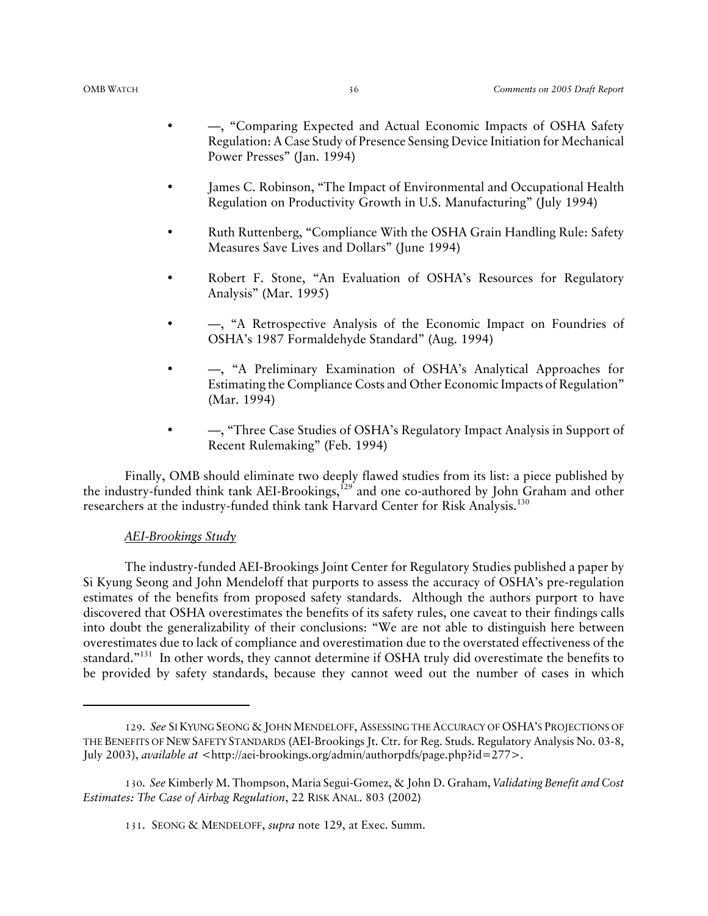- $-$ , "Comparing Expected and Actual Economic Impacts of OSHA Safety Regulation: A Case Study of Presence Sensing Device Initiation for Mechanical Power Presses" (Jan. 1994)
- James C. Robinson, "The Impact of Environmental and Occupational Health Regulation on Productivity Growth in U.S. Manufacturing" (July 1994)
- Ruth Ruttenberg, "Compliance With the OSHA Grain Handling Rule: Safety Measures Save Lives and Dollars" (June 1994)
- Robert F. Stone, "An Evaluation of OSHA's Resources for Regulatory Analysis" (Mar. 1995)
- $-$ , "A Retrospective Analysis of the Economic Impact on Foundries of OSHA's 1987 Formaldehyde Standard" (Aug. 1994)
- $-$ , "A Preliminary Examination of OSHA's Analytical Approaches for Estimating the Compliance Costs and Other Economic Impacts of Regulation" (Mar. 1994)
- — —, "Three Case Studies of OSHA's Regulatory Impact Analysis in Support of Recent Rulemaking" (Feb. 1994)

Finally, OMB should eliminate two deeply flawed studies from its list: a piece published by the industry-funded think tank AEI-Brookings, $^{129'}$  and one co-authored by John Graham and other researchers at the industry-funded think tank Harvard Center for Risk Analysis.130

#### *AEI-Brookings Study*

The industry-funded AEI-Brookings Joint Center for Regulatory Studies published a paper by Si Kyung Seong and John Mendeloff that purports to assess the accuracy of OSHA's pre-regulation estimates of the benefits from proposed safety standards. Although the authors purport to have discovered that OSHA overestimates the benefits of its safety rules, one caveat to their findings calls into doubt the generalizability of their conclusions: "We are not able to distinguish here between overestimates due to lack of compliance and overestimation due to the overstated effectiveness of the standard."<sup>131</sup> In other words, they cannot determine if OSHA truly did overestimate the benefits to be provided by safety standards, because they cannot weed out the number of cases in which

<sup>129</sup>. *See* SI KYUNG SEONG & JOHN MENDELOFF, ASSESSING THE ACCURACY OF OSHA'S PROJECTIONS OF THE BENEFITS OF NEW SAFETY STANDARDS (AEI-Brookings Jt. Ctr. for Reg. Studs. Regulatory Analysis No. 03-8, July 2003), *available at* <http://aei-brookings.org/admin/authorpdfs/page.php?id=277>.

<sup>130</sup>. *See* Kimberly M. Thompson, Maria Segui-Gomez, & John D. Graham, *Validating Benefit and Cost Estimates: The Case of Airbag Regulation*, 22 RISK ANAL. 803 (2002)

<sup>131</sup>. SEONG & MENDELOFF, *supra* note 129, at Exec. Summ.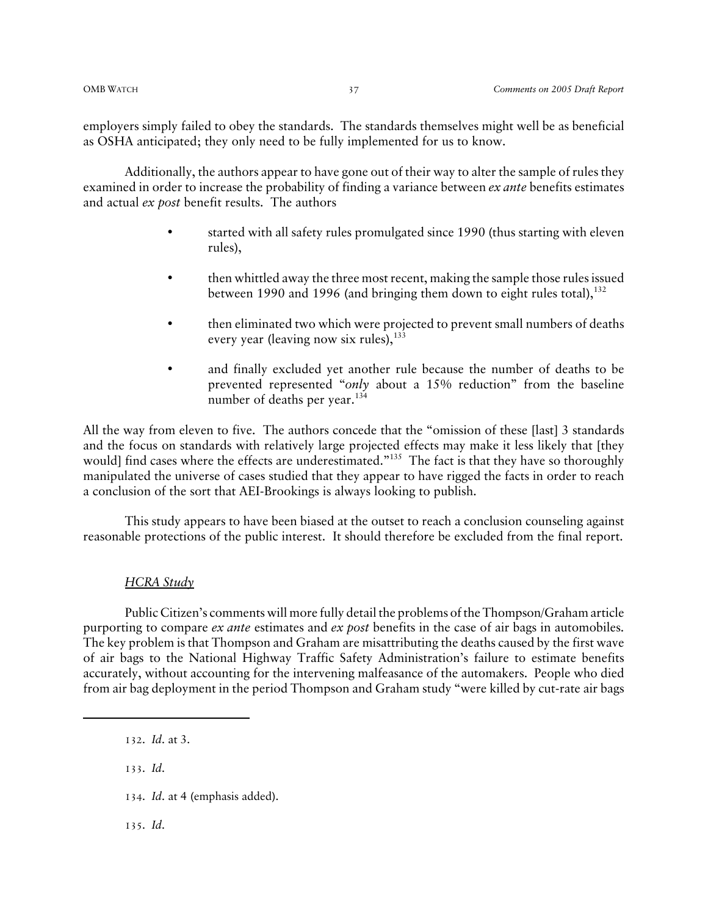employers simply failed to obey the standards. The standards themselves might well be as beneficial as OSHA anticipated; they only need to be fully implemented for us to know.

Additionally, the authors appear to have gone out of their way to alter the sample of rules they examined in order to increase the probability of finding a variance between *ex ante* benefits estimates and actual *ex post* benefit results. The authors

- started with all safety rules promulgated since 1990 (thus starting with eleven rules),
- then whittled away the three most recent, making the sample those rules issued between 1990 and 1996 (and bringing them down to eight rules total),  $132$
- then eliminated two which were projected to prevent small numbers of deaths every year (leaving now six rules),  $133$
- and finally excluded yet another rule because the number of deaths to be prevented represented "*only* about a 15% reduction" from the baseline number of deaths per year.<sup>134</sup>

All the way from eleven to five. The authors concede that the "omission of these [last] 3 standards and the focus on standards with relatively large projected effects may make it less likely that [they would] find cases where the effects are underestimated."<sup>135</sup> The fact is that they have so thoroughly manipulated the universe of cases studied that they appear to have rigged the facts in order to reach a conclusion of the sort that AEI-Brookings is always looking to publish.

This study appears to have been biased at the outset to reach a conclusion counseling against reasonable protections of the public interest. It should therefore be excluded from the final report.

#### *HCRA Study*

Public Citizen's comments will more fully detail the problems of the Thompson/Graham article purporting to compare *ex ante* estimates and *ex post* benefits in the case of air bags in automobiles. The key problem is that Thompson and Graham are misattributing the deaths caused by the first wave of air bags to the National Highway Traffic Safety Administration's failure to estimate benefits accurately, without accounting for the intervening malfeasance of the automakers. People who died from air bag deployment in the period Thompson and Graham study "were killed by cut-rate air bags

133. *Id*.

134. *Id*. at 4 (emphasis added).

135. *Id*.

<sup>132</sup>. *Id*. at 3.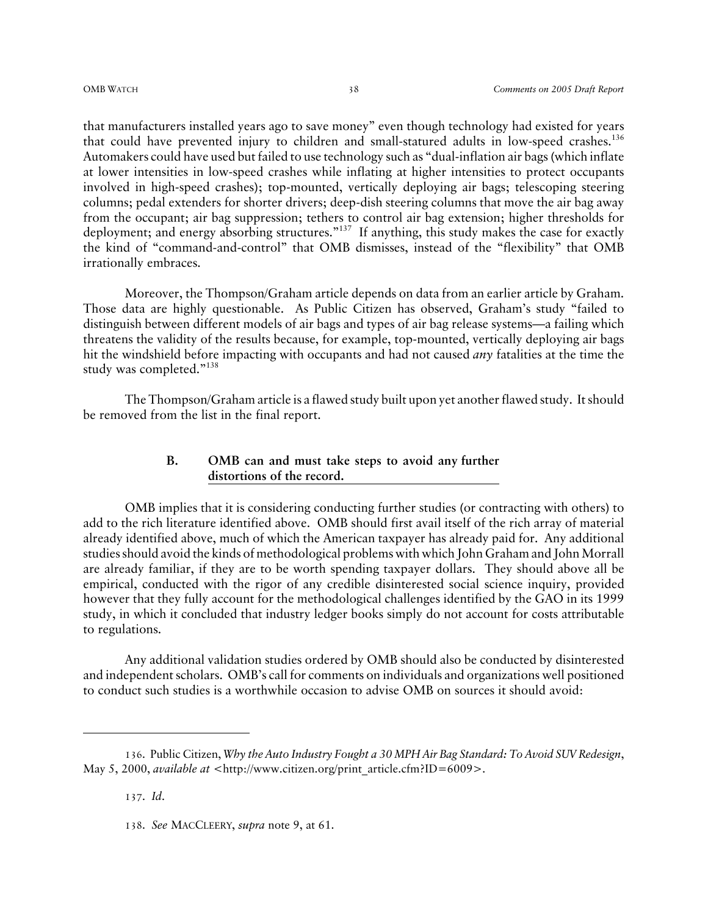that manufacturers installed years ago to save money" even though technology had existed for years that could have prevented injury to children and small-statured adults in low-speed crashes.<sup>136</sup> Automakers could have used but failed to use technology such as "dual-inflation air bags (which inflate at lower intensities in low-speed crashes while inflating at higher intensities to protect occupants involved in high-speed crashes); top-mounted, vertically deploying air bags; telescoping steering columns; pedal extenders for shorter drivers; deep-dish steering columns that move the air bag away from the occupant; air bag suppression; tethers to control air bag extension; higher thresholds for deployment; and energy absorbing structures."<sup>137</sup> If anything, this study makes the case for exactly the kind of "command-and-control" that OMB dismisses, instead of the "flexibility" that OMB irrationally embraces.

Moreover, the Thompson/Graham article depends on data from an earlier article by Graham. Those data are highly questionable. As Public Citizen has observed, Graham's study "failed to distinguish between different models of air bags and types of air bag release systems—a failing which threatens the validity of the results because, for example, top-mounted, vertically deploying air bags hit the windshield before impacting with occupants and had not caused *any* fatalities at the time the study was completed."<sup>138</sup>

The Thompson/Graham article is a flawed study built upon yet another flawed study. It should be removed from the list in the final report.

#### **B. OMB can and must take steps to avoid any further distortions of the record.**

OMB implies that it is considering conducting further studies (or contracting with others) to add to the rich literature identified above. OMB should first avail itself of the rich array of material already identified above, much of which the American taxpayer has already paid for. Any additional studies should avoid the kinds of methodological problems with which John Graham and John Morrall are already familiar, if they are to be worth spending taxpayer dollars. They should above all be empirical, conducted with the rigor of any credible disinterested social science inquiry, provided however that they fully account for the methodological challenges identified by the GAO in its 1999 study, in which it concluded that industry ledger books simply do not account for costs attributable to regulations.

Any additional validation studies ordered by OMB should also be conducted by disinterested and independent scholars. OMB's call for comments on individuals and organizations well positioned to conduct such studies is a worthwhile occasion to advise OMB on sources it should avoid:

137. *Id*.

<sup>136</sup>. Public Citizen, *Why the Auto Industry Fought a 30 MPH Air Bag Standard: To Avoid SUV Redesign*, May 5, 2000, *available at* <http://www.citizen.org/print\_article.cfm?ID=6009>.

<sup>138</sup>. *See* MACCLEERY, *supra* note 9, at 61.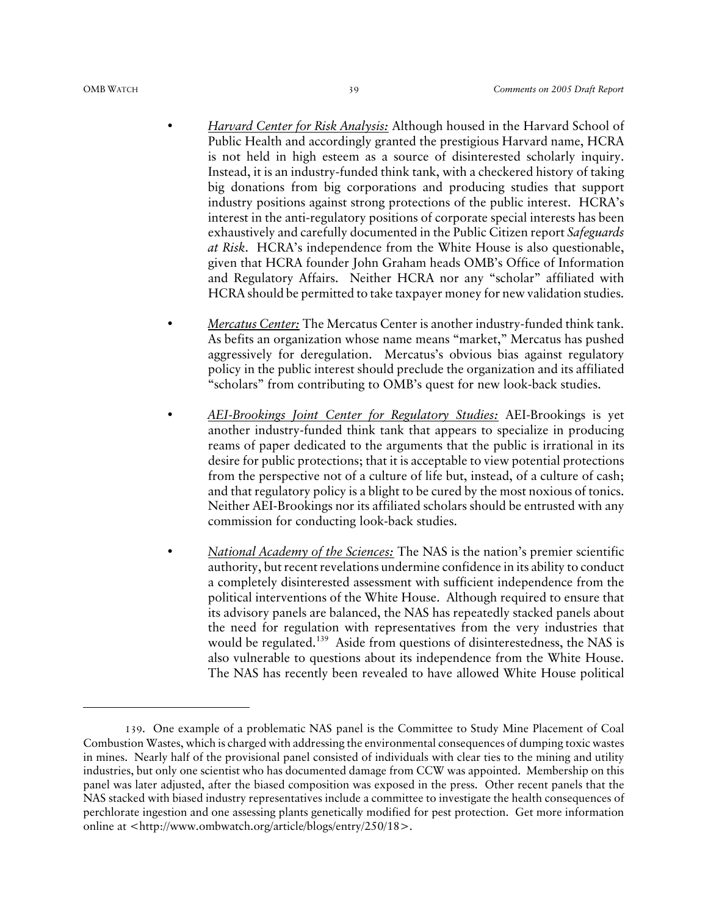- *Harvard Center for Risk Analysis:* Although housed in the Harvard School of Public Health and accordingly granted the prestigious Harvard name, HCRA is not held in high esteem as a source of disinterested scholarly inquiry. Instead, it is an industry-funded think tank, with a checkered history of taking big donations from big corporations and producing studies that support industry positions against strong protections of the public interest. HCRA's interest in the anti-regulatory positions of corporate special interests has been exhaustively and carefully documented in the Public Citizen report *Safeguards at Risk*. HCRA's independence from the White House is also questionable, given that HCRA founder John Graham heads OMB's Office of Information and Regulatory Affairs. Neither HCRA nor any "scholar" affiliated with HCRA should be permitted to take taxpayer money for new validation studies.
- *Mercatus Center:* The Mercatus Center is another industry-funded think tank. As befits an organization whose name means "market," Mercatus has pushed aggressively for deregulation. Mercatus's obvious bias against regulatory policy in the public interest should preclude the organization and its affiliated "scholars" from contributing to OMB's quest for new look-back studies.
- *AEI-Brookings Joint Center for Regulatory Studies:* AEI-Brookings is yet another industry-funded think tank that appears to specialize in producing reams of paper dedicated to the arguments that the public is irrational in its desire for public protections; that it is acceptable to view potential protections from the perspective not of a culture of life but, instead, of a culture of cash; and that regulatory policy is a blight to be cured by the most noxious of tonics. Neither AEI-Brookings nor its affiliated scholars should be entrusted with any commission for conducting look-back studies.
- *National Academy of the Sciences:* The NAS is the nation's premier scientific authority, but recent revelations undermine confidence in its ability to conduct a completely disinterested assessment with sufficient independence from the political interventions of the White House. Although required to ensure that its advisory panels are balanced, the NAS has repeatedly stacked panels about the need for regulation with representatives from the very industries that would be regulated.<sup>139</sup> Aside from questions of disinterestedness, the NAS is also vulnerable to questions about its independence from the White House. The NAS has recently been revealed to have allowed White House political

<sup>139</sup>. One example of a problematic NAS panel is the Committee to Study Mine Placement of Coal Combustion Wastes, which is charged with addressing the environmental consequences of dumping toxic wastes in mines. Nearly half of the provisional panel consisted of individuals with clear ties to the mining and utility industries, but only one scientist who has documented damage from CCW was appointed. Membership on this panel was later adjusted, after the biased composition was exposed in the press. Other recent panels that the NAS stacked with biased industry representatives include a committee to investigate the health consequences of perchlorate ingestion and one assessing plants genetically modified for pest protection. Get more information online at <http://www.ombwatch.org/article/blogs/entry/250/18>.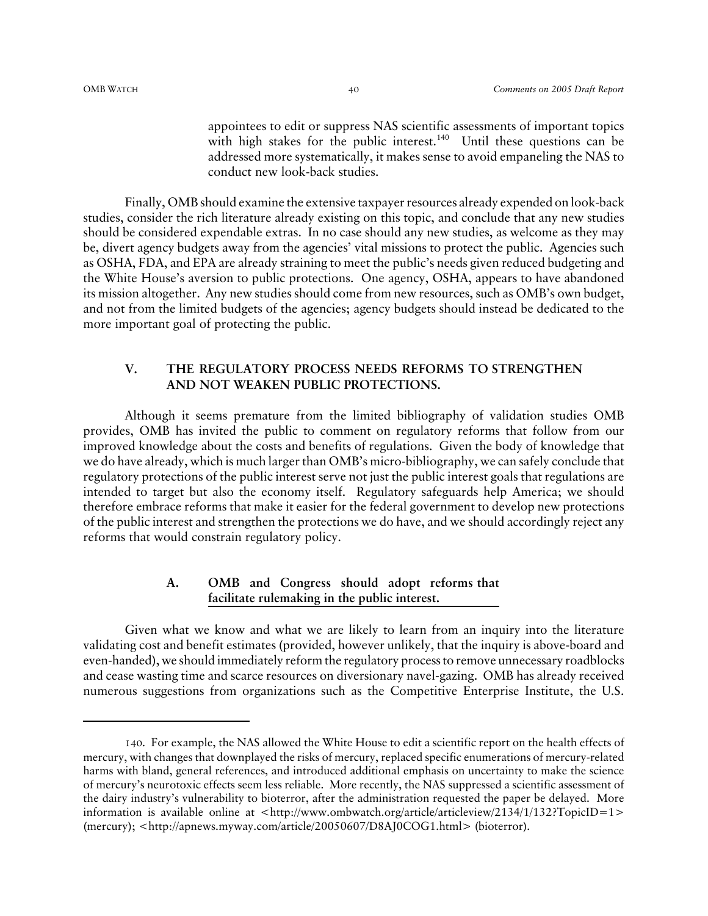appointees to edit or suppress NAS scientific assessments of important topics with high stakes for the public interest.<sup>140</sup> Until these questions can be addressed more systematically, it makes sense to avoid empaneling the NAS to conduct new look-back studies.

Finally, OMB should examine the extensive taxpayer resources already expended on look-back studies, consider the rich literature already existing on this topic, and conclude that any new studies should be considered expendable extras. In no case should any new studies, as welcome as they may be, divert agency budgets away from the agencies' vital missions to protect the public. Agencies such as OSHA, FDA, and EPA are already straining to meet the public's needs given reduced budgeting and the White House's aversion to public protections. One agency, OSHA, appears to have abandoned its mission altogether. Any new studies should come from new resources, such as OMB's own budget, and not from the limited budgets of the agencies; agency budgets should instead be dedicated to the more important goal of protecting the public.

#### **V. THE REGULATORY PROCESS NEEDS REFORMS TO STRENGTHEN AND NOT WEAKEN PUBLIC PROTECTIONS.**

Although it seems premature from the limited bibliography of validation studies OMB provides, OMB has invited the public to comment on regulatory reforms that follow from our improved knowledge about the costs and benefits of regulations. Given the body of knowledge that we do have already, which is much larger than OMB's micro-bibliography, we can safely conclude that regulatory protections of the public interest serve not just the public interest goals that regulations are intended to target but also the economy itself. Regulatory safeguards help America; we should therefore embrace reforms that make it easier for the federal government to develop new protections of the public interest and strengthen the protections we do have, and we should accordingly reject any reforms that would constrain regulatory policy.

#### **A. OMB and Congress should adopt reforms that facilitate rulemaking in the public interest.**

Given what we know and what we are likely to learn from an inquiry into the literature validating cost and benefit estimates (provided, however unlikely, that the inquiry is above-board and even-handed), we should immediately reform the regulatory process to remove unnecessary roadblocks and cease wasting time and scarce resources on diversionary navel-gazing. OMB has already received numerous suggestions from organizations such as the Competitive Enterprise Institute, the U.S.

<sup>140</sup>. For example, the NAS allowed the White House to edit a scientific report on the health effects of mercury, with changes that downplayed the risks of mercury, replaced specific enumerations of mercury-related harms with bland, general references, and introduced additional emphasis on uncertainty to make the science of mercury's neurotoxic effects seem less reliable. More recently, the NAS suppressed a scientific assessment of the dairy industry's vulnerability to bioterror, after the administration requested the paper be delayed. More information is available online at  $\langle \text{http://www.combwatch.org/article/articleview/2134/1/132?TopicID=1>}\rangle$ (mercury); <http://apnews.myway.com/article/20050607/D8AJ0COG1.html> (bioterror).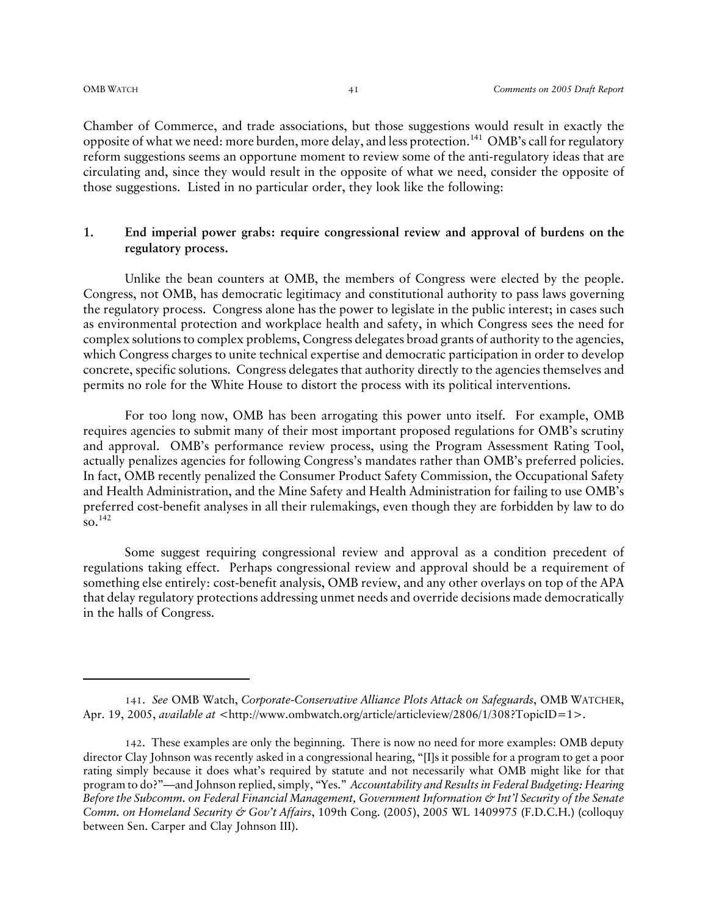Chamber of Commerce, and trade associations, but those suggestions would result in exactly the opposite of what we need: more burden, more delay, and less protection.141 OMB's call for regulatory reform suggestions seems an opportune moment to review some of the anti-regulatory ideas that are circulating and, since they would result in the opposite of what we need, consider the opposite of those suggestions. Listed in no particular order, they look like the following:

#### **1. End imperial power grabs: require congressional review and approval of burdens on the regulatory process.**

Unlike the bean counters at OMB, the members of Congress were elected by the people. Congress, not OMB, has democratic legitimacy and constitutional authority to pass laws governing the regulatory process. Congress alone has the power to legislate in the public interest; in cases such as environmental protection and workplace health and safety, in which Congress sees the need for complex solutions to complex problems, Congress delegates broad grants of authority to the agencies, which Congress charges to unite technical expertise and democratic participation in order to develop concrete, specific solutions. Congress delegates that authority directly to the agencies themselves and permits no role for the White House to distort the process with its political interventions.

For too long now, OMB has been arrogating this power unto itself. For example, OMB requires agencies to submit many of their most important proposed regulations for OMB's scrutiny and approval. OMB's performance review process, using the Program Assessment Rating Tool, actually penalizes agencies for following Congress's mandates rather than OMB's preferred policies. In fact, OMB recently penalized the Consumer Product Safety Commission, the Occupational Safety and Health Administration, and the Mine Safety and Health Administration for failing to use OMB's preferred cost-benefit analyses in all their rulemakings, even though they are forbidden by law to do  $\overline{\text{so}}$ <sup>142</sup>

Some suggest requiring congressional review and approval as a condition precedent of regulations taking effect. Perhaps congressional review and approval should be a requirement of something else entirely: cost-benefit analysis, OMB review, and any other overlays on top of the APA that delay regulatory protections addressing unmet needs and override decisions made democratically in the halls of Congress.

<sup>141</sup>. *See* OMB Watch, *Corporate-Conservative Alliance Plots Attack on Safeguards*, OMB WATCHER, Apr. 19, 2005, *available at* <http://www.ombwatch.org/article/articleview/2806/1/308?TopicID=1>.

<sup>142</sup>. These examples are only the beginning. There is now no need for more examples: OMB deputy director Clay Johnson was recently asked in a congressional hearing, "[I]s it possible for a program to get a poor rating simply because it does what's required by statute and not necessarily what OMB might like for that program to do?"—and Johnson replied, simply, "Yes." *Accountability and Results in Federal Budgeting: Hearing Before the Subcomm. on Federal Financial Management, Government Information & Int'l Security of the Senate Comm. on Homeland Security & Gov't Affairs*, 109th Cong. (2005), 2005 WL 1409975 (F.D.C.H.) (colloquy between Sen. Carper and Clay Johnson III).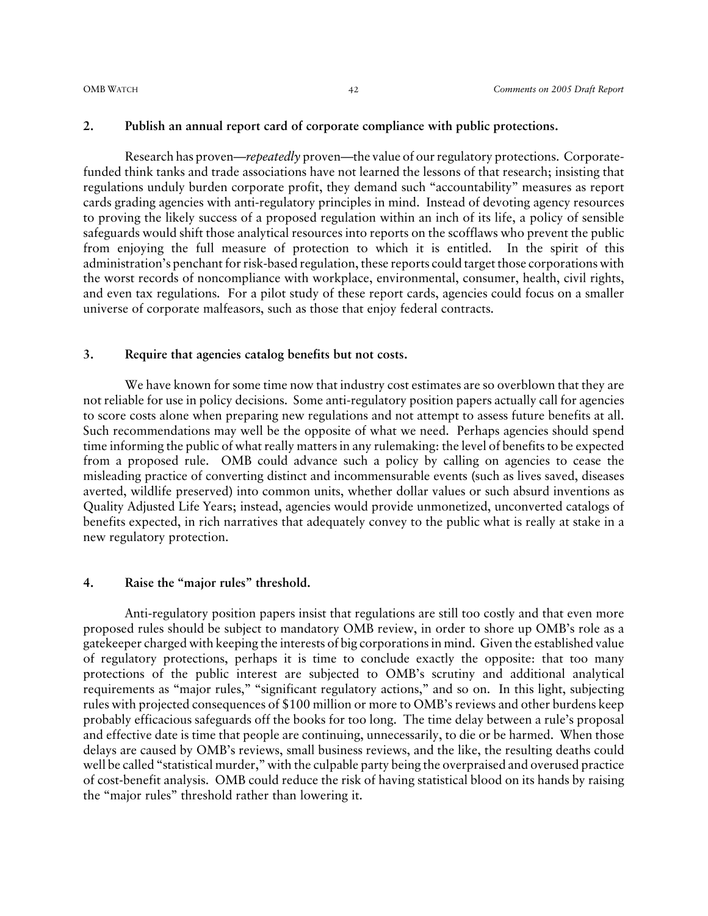#### **2. Publish an annual report card of corporate compliance with public protections.**

Research has proven—*repeatedly* proven—the value of our regulatory protections. Corporatefunded think tanks and trade associations have not learned the lessons of that research; insisting that regulations unduly burden corporate profit, they demand such "accountability" measures as report cards grading agencies with anti-regulatory principles in mind. Instead of devoting agency resources to proving the likely success of a proposed regulation within an inch of its life, a policy of sensible safeguards would shift those analytical resources into reports on the scofflaws who prevent the public from enjoying the full measure of protection to which it is entitled. In the spirit of this administration's penchant for risk-based regulation, these reports could target those corporations with the worst records of noncompliance with workplace, environmental, consumer, health, civil rights, and even tax regulations. For a pilot study of these report cards, agencies could focus on a smaller universe of corporate malfeasors, such as those that enjoy federal contracts.

#### **3. Require that agencies catalog benefits but not costs.**

We have known for some time now that industry cost estimates are so overblown that they are not reliable for use in policy decisions. Some anti-regulatory position papers actually call for agencies to score costs alone when preparing new regulations and not attempt to assess future benefits at all. Such recommendations may well be the opposite of what we need. Perhaps agencies should spend time informing the public of what really matters in any rulemaking: the level of benefits to be expected from a proposed rule. OMB could advance such a policy by calling on agencies to cease the misleading practice of converting distinct and incommensurable events (such as lives saved, diseases averted, wildlife preserved) into common units, whether dollar values or such absurd inventions as Quality Adjusted Life Years; instead, agencies would provide unmonetized, unconverted catalogs of benefits expected, in rich narratives that adequately convey to the public what is really at stake in a new regulatory protection.

#### **4. Raise the "major rules" threshold.**

Anti-regulatory position papers insist that regulations are still too costly and that even more proposed rules should be subject to mandatory OMB review, in order to shore up OMB's role as a gatekeeper charged with keeping the interests of big corporations in mind. Given the established value of regulatory protections, perhaps it is time to conclude exactly the opposite: that too many protections of the public interest are subjected to OMB's scrutiny and additional analytical requirements as "major rules," "significant regulatory actions," and so on. In this light, subjecting rules with projected consequences of \$100 million or more to OMB's reviews and other burdens keep probably efficacious safeguards off the books for too long. The time delay between a rule's proposal and effective date is time that people are continuing, unnecessarily, to die or be harmed. When those delays are caused by OMB's reviews, small business reviews, and the like, the resulting deaths could well be called "statistical murder," with the culpable party being the overpraised and overused practice of cost-benefit analysis. OMB could reduce the risk of having statistical blood on its hands by raising the "major rules" threshold rather than lowering it.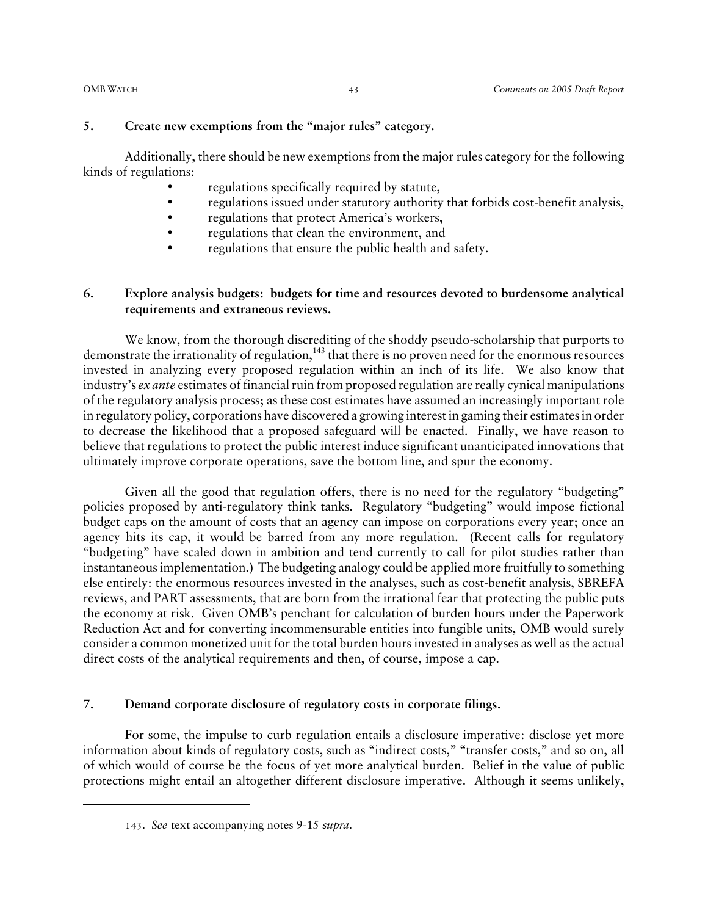#### **5. Create new exemptions from the "major rules" category.**

Additionally, there should be new exemptions from the major rules category for the following kinds of regulations:

- regulations specifically required by statute,
- regulations issued under statutory authority that forbids cost-benefit analysis,
- regulations that protect America's workers,
- regulations that clean the environment, and
- regulations that ensure the public health and safety.

#### **6. Explore analysis budgets: budgets for time and resources devoted to burdensome analytical requirements and extraneous reviews.**

We know, from the thorough discrediting of the shoddy pseudo-scholarship that purports to demonstrate the irrationality of regulation,  $143$  that there is no proven need for the enormous resources invested in analyzing every proposed regulation within an inch of its life. We also know that industry's *ex ante* estimates of financial ruin from proposed regulation are really cynical manipulations of the regulatory analysis process; as these cost estimates have assumed an increasingly important role in regulatory policy, corporations have discovered a growing interest in gaming their estimates in order to decrease the likelihood that a proposed safeguard will be enacted. Finally, we have reason to believe that regulations to protect the public interest induce significant unanticipated innovations that ultimately improve corporate operations, save the bottom line, and spur the economy.

Given all the good that regulation offers, there is no need for the regulatory "budgeting" policies proposed by anti-regulatory think tanks. Regulatory "budgeting" would impose fictional budget caps on the amount of costs that an agency can impose on corporations every year; once an agency hits its cap, it would be barred from any more regulation. (Recent calls for regulatory "budgeting" have scaled down in ambition and tend currently to call for pilot studies rather than instantaneous implementation.) The budgeting analogy could be applied more fruitfully to something else entirely: the enormous resources invested in the analyses, such as cost-benefit analysis, SBREFA reviews, and PART assessments, that are born from the irrational fear that protecting the public puts the economy at risk. Given OMB's penchant for calculation of burden hours under the Paperwork Reduction Act and for converting incommensurable entities into fungible units, OMB would surely consider a common monetized unit for the total burden hours invested in analyses as well as the actual direct costs of the analytical requirements and then, of course, impose a cap.

#### **7. Demand corporate disclosure of regulatory costs in corporate filings.**

For some, the impulse to curb regulation entails a disclosure imperative: disclose yet more information about kinds of regulatory costs, such as "indirect costs," "transfer costs," and so on, all of which would of course be the focus of yet more analytical burden. Belief in the value of public protections might entail an altogether different disclosure imperative. Although it seems unlikely,

<sup>143</sup>. *See* text accompanying notes 9-15 *supra*.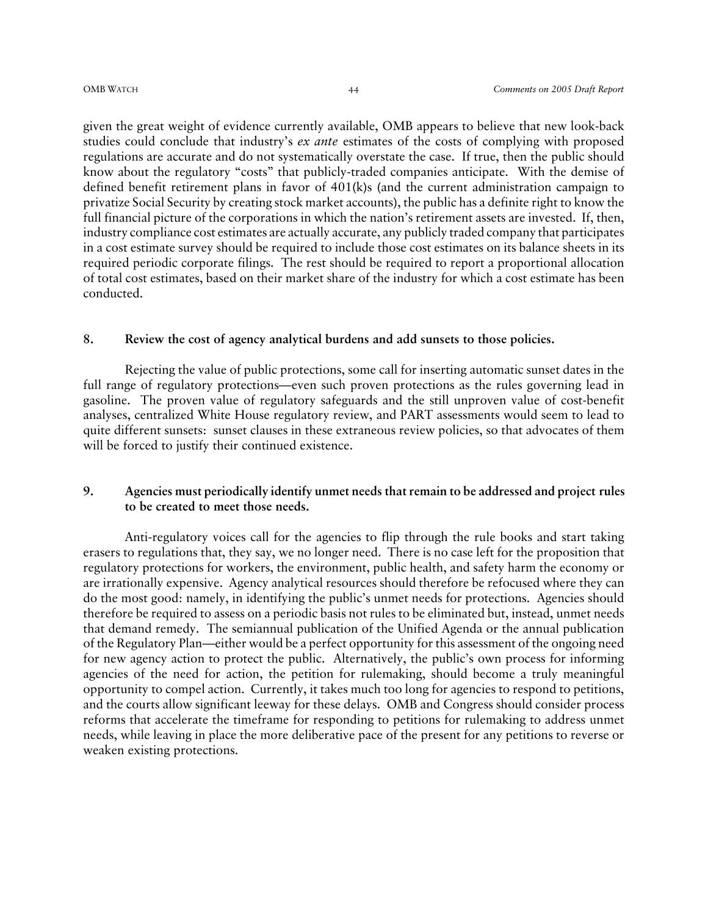given the great weight of evidence currently available, OMB appears to believe that new look-back studies could conclude that industry's *ex ante* estimates of the costs of complying with proposed regulations are accurate and do not systematically overstate the case. If true, then the public should know about the regulatory "costs" that publicly-traded companies anticipate. With the demise of defined benefit retirement plans in favor of 401(k)s (and the current administration campaign to privatize Social Security by creating stock market accounts), the public has a definite right to know the full financial picture of the corporations in which the nation's retirement assets are invested. If, then, industry compliance cost estimates are actually accurate, any publicly traded company that participates in a cost estimate survey should be required to include those cost estimates on its balance sheets in its required periodic corporate filings. The rest should be required to report a proportional allocation of total cost estimates, based on their market share of the industry for which a cost estimate has been conducted.

#### **8. Review the cost of agency analytical burdens and add sunsets to those policies.**

Rejecting the value of public protections, some call for inserting automatic sunset dates in the full range of regulatory protections—even such proven protections as the rules governing lead in gasoline. The proven value of regulatory safeguards and the still unproven value of cost-benefit analyses, centralized White House regulatory review, and PART assessments would seem to lead to quite different sunsets: sunset clauses in these extraneous review policies, so that advocates of them will be forced to justify their continued existence.

#### **9. Agencies must periodically identify unmet needs that remain to be addressed and project rules to be created to meet those needs.**

Anti-regulatory voices call for the agencies to flip through the rule books and start taking erasers to regulations that, they say, we no longer need. There is no case left for the proposition that regulatory protections for workers, the environment, public health, and safety harm the economy or are irrationally expensive. Agency analytical resources should therefore be refocused where they can do the most good: namely, in identifying the public's unmet needs for protections. Agencies should therefore be required to assess on a periodic basis not rules to be eliminated but, instead, unmet needs that demand remedy. The semiannual publication of the Unified Agenda or the annual publication of the Regulatory Plan—either would be a perfect opportunity for this assessment of the ongoing need for new agency action to protect the public. Alternatively, the public's own process for informing agencies of the need for action, the petition for rulemaking, should become a truly meaningful opportunity to compel action. Currently, it takes much too long for agencies to respond to petitions, and the courts allow significant leeway for these delays. OMB and Congress should consider process reforms that accelerate the timeframe for responding to petitions for rulemaking to address unmet needs, while leaving in place the more deliberative pace of the present for any petitions to reverse or weaken existing protections.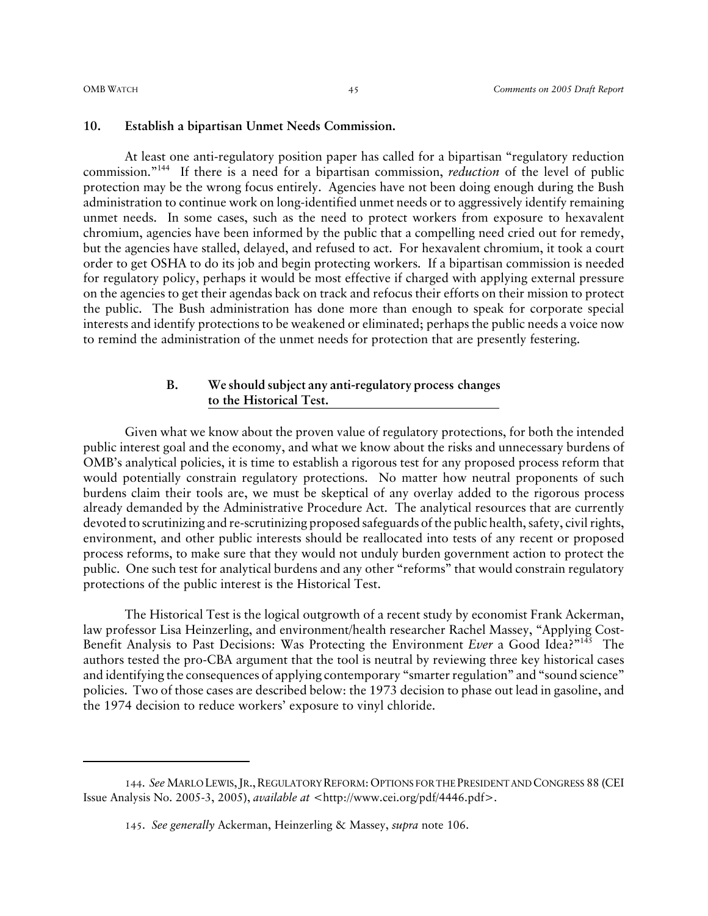#### **10. Establish a bipartisan Unmet Needs Commission.**

At least one anti-regulatory position paper has called for a bipartisan "regulatory reduction commission."144 If there is a need for a bipartisan commission, *reduction* of the level of public protection may be the wrong focus entirely. Agencies have not been doing enough during the Bush administration to continue work on long-identified unmet needs or to aggressively identify remaining unmet needs. In some cases, such as the need to protect workers from exposure to hexavalent chromium, agencies have been informed by the public that a compelling need cried out for remedy, but the agencies have stalled, delayed, and refused to act. For hexavalent chromium, it took a court order to get OSHA to do its job and begin protecting workers. If a bipartisan commission is needed for regulatory policy, perhaps it would be most effective if charged with applying external pressure on the agencies to get their agendas back on track and refocus their efforts on their mission to protect the public. The Bush administration has done more than enough to speak for corporate special interests and identify protections to be weakened or eliminated; perhaps the public needs a voice now to remind the administration of the unmet needs for protection that are presently festering.

#### **B. We should subject any anti-regulatory process changes to the Historical Test.**

Given what we know about the proven value of regulatory protections, for both the intended public interest goal and the economy, and what we know about the risks and unnecessary burdens of OMB's analytical policies, it is time to establish a rigorous test for any proposed process reform that would potentially constrain regulatory protections. No matter how neutral proponents of such burdens claim their tools are, we must be skeptical of any overlay added to the rigorous process already demanded by the Administrative Procedure Act. The analytical resources that are currently devoted to scrutinizing and re-scrutinizing proposed safeguards of the public health, safety, civil rights, environment, and other public interests should be reallocated into tests of any recent or proposed process reforms, to make sure that they would not unduly burden government action to protect the public. One such test for analytical burdens and any other "reforms" that would constrain regulatory protections of the public interest is the Historical Test.

The Historical Test is the logical outgrowth of a recent study by economist Frank Ackerman, law professor Lisa Heinzerling, and environment/health researcher Rachel Massey, "Applying Cost-Benefit Analysis to Past Decisions: Was Protecting the Environment *Ever* a Good Idea?"145 The authors tested the pro-CBA argument that the tool is neutral by reviewing three key historical cases and identifying the consequences of applying contemporary "smarter regulation" and "sound science" policies. Two of those cases are described below: the 1973 decision to phase out lead in gasoline, and the 1974 decision to reduce workers' exposure to vinyl chloride.

<sup>144</sup>. *See* MARLO LEWIS,JR.,REGULATORY REFORM:OPTIONS FOR THE PRESIDENT AND CONGRESS 88 (CEI Issue Analysis No. 2005-3, 2005), *available at* <http://www.cei.org/pdf/4446.pdf>.

<sup>145</sup>. *See generally* Ackerman, Heinzerling & Massey, *supra* note 106.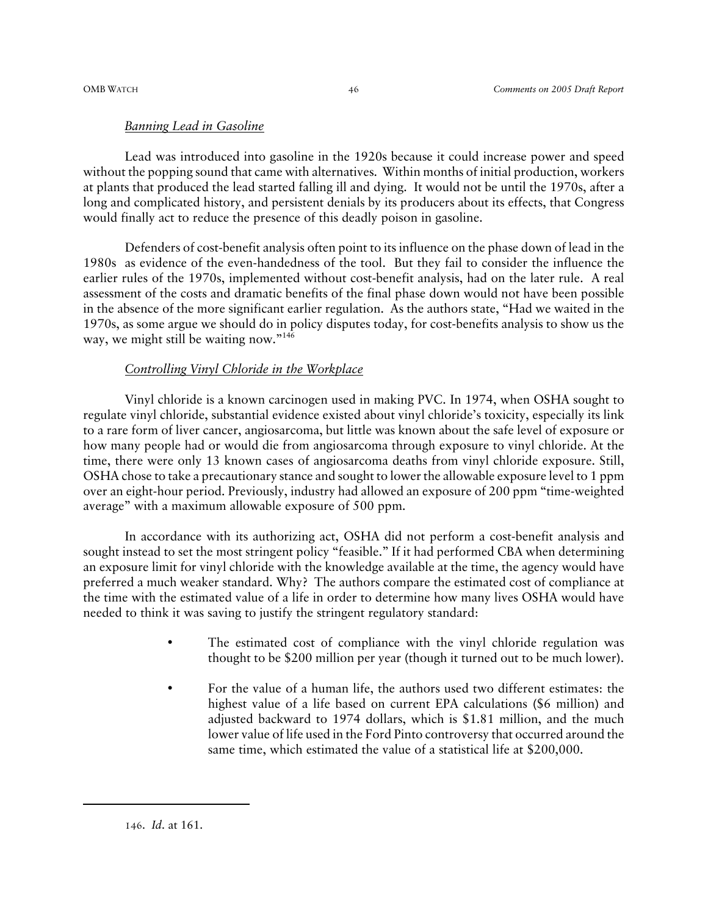#### *Banning Lead in Gasoline*

Lead was introduced into gasoline in the 1920s because it could increase power and speed without the popping sound that came with alternatives. Within months of initial production, workers at plants that produced the lead started falling ill and dying. It would not be until the 1970s, after a long and complicated history, and persistent denials by its producers about its effects, that Congress would finally act to reduce the presence of this deadly poison in gasoline.

Defenders of cost-benefit analysis often point to its influence on the phase down of lead in the 1980s as evidence of the even-handedness of the tool. But they fail to consider the influence the earlier rules of the 1970s, implemented without cost-benefit analysis, had on the later rule. A real assessment of the costs and dramatic benefits of the final phase down would not have been possible in the absence of the more significant earlier regulation. As the authors state, "Had we waited in the 1970s, as some argue we should do in policy disputes today, for cost-benefits analysis to show us the way, we might still be waiting now." $146$ 

#### *Controlling Vinyl Chloride in the Workplace*

Vinyl chloride is a known carcinogen used in making PVC. In 1974, when OSHA sought to regulate vinyl chloride, substantial evidence existed about vinyl chloride's toxicity, especially its link to a rare form of liver cancer, angiosarcoma, but little was known about the safe level of exposure or how many people had or would die from angiosarcoma through exposure to vinyl chloride. At the time, there were only 13 known cases of angiosarcoma deaths from vinyl chloride exposure. Still, OSHA chose to take a precautionary stance and sought to lower the allowable exposure level to 1 ppm over an eight-hour period. Previously, industry had allowed an exposure of 200 ppm "time-weighted average" with a maximum allowable exposure of 500 ppm.

In accordance with its authorizing act, OSHA did not perform a cost-benefit analysis and sought instead to set the most stringent policy "feasible." If it had performed CBA when determining an exposure limit for vinyl chloride with the knowledge available at the time, the agency would have preferred a much weaker standard. Why? The authors compare the estimated cost of compliance at the time with the estimated value of a life in order to determine how many lives OSHA would have needed to think it was saving to justify the stringent regulatory standard:

- The estimated cost of compliance with the vinyl chloride regulation was thought to be \$200 million per year (though it turned out to be much lower).
- For the value of a human life, the authors used two different estimates: the highest value of a life based on current EPA calculations (\$6 million) and adjusted backward to 1974 dollars, which is \$1.81 million, and the much lower value of life used in the Ford Pinto controversy that occurred around the same time, which estimated the value of a statistical life at \$200,000.

<sup>146</sup>. *Id*. at 161.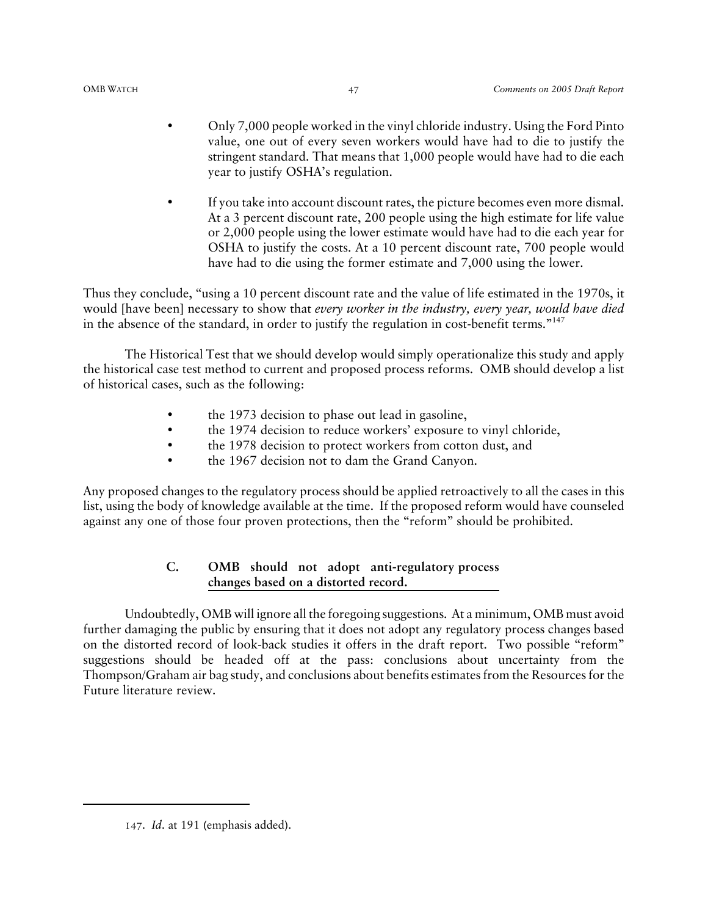- Only 7,000 people worked in the vinyl chloride industry. Using the Ford Pinto value, one out of every seven workers would have had to die to justify the stringent standard. That means that 1,000 people would have had to die each year to justify OSHA's regulation.
- If you take into account discount rates, the picture becomes even more dismal. At a 3 percent discount rate, 200 people using the high estimate for life value or 2,000 people using the lower estimate would have had to die each year for OSHA to justify the costs. At a 10 percent discount rate, 700 people would have had to die using the former estimate and 7,000 using the lower.

Thus they conclude, "using a 10 percent discount rate and the value of life estimated in the 1970s, it would [have been] necessary to show that *every worker in the industry, every year, would have died* in the absence of the standard, in order to justify the regulation in cost-benefit terms."147

The Historical Test that we should develop would simply operationalize this study and apply the historical case test method to current and proposed process reforms. OMB should develop a list of historical cases, such as the following:

- the 1973 decision to phase out lead in gasoline,
- the 1974 decision to reduce workers' exposure to vinyl chloride,
- the 1978 decision to protect workers from cotton dust, and
- the 1967 decision not to dam the Grand Canyon.

Any proposed changes to the regulatory process should be applied retroactively to all the cases in this list, using the body of knowledge available at the time. If the proposed reform would have counseled against any one of those four proven protections, then the "reform" should be prohibited.

#### **C. OMB should not adopt anti-regulatory process changes based on a distorted record.**

Undoubtedly, OMB will ignore all the foregoing suggestions. At a minimum, OMB must avoid further damaging the public by ensuring that it does not adopt any regulatory process changes based on the distorted record of look-back studies it offers in the draft report. Two possible "reform" suggestions should be headed off at the pass: conclusions about uncertainty from the Thompson/Graham air bag study, and conclusions about benefits estimates from the Resources for the Future literature review.

<sup>147</sup>. *Id*. at 191 (emphasis added).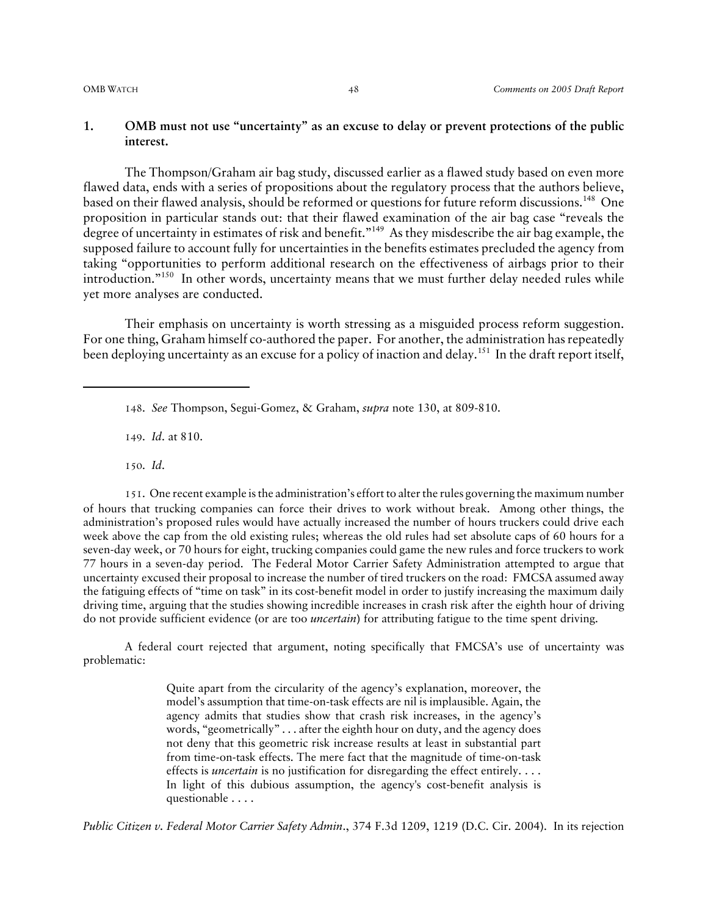#### **1. OMB must not use "uncertainty" as an excuse to delay or prevent protections of the public interest.**

The Thompson/Graham air bag study, discussed earlier as a flawed study based on even more flawed data, ends with a series of propositions about the regulatory process that the authors believe, based on their flawed analysis, should be reformed or questions for future reform discussions.<sup>148</sup> One proposition in particular stands out: that their flawed examination of the air bag case "reveals the degree of uncertainty in estimates of risk and benefit."<sup>149</sup> As they misdescribe the air bag example, the supposed failure to account fully for uncertainties in the benefits estimates precluded the agency from taking "opportunities to perform additional research on the effectiveness of airbags prior to their introduction."150 In other words, uncertainty means that we must further delay needed rules while yet more analyses are conducted.

Their emphasis on uncertainty is worth stressing as a misguided process reform suggestion. For one thing, Graham himself co-authored the paper. For another, the administration has repeatedly been deploying uncertainty as an excuse for a policy of inaction and delay.<sup>151</sup> In the draft report itself,

149. *Id*. at 810.

150. *Id*.

151. One recent example is the administration's effort to alter the rules governing the maximum number of hours that trucking companies can force their drives to work without break. Among other things, the administration's proposed rules would have actually increased the number of hours truckers could drive each week above the cap from the old existing rules; whereas the old rules had set absolute caps of 60 hours for a seven-day week, or 70 hours for eight, trucking companies could game the new rules and force truckers to work 77 hours in a seven-day period. The Federal Motor Carrier Safety Administration attempted to argue that uncertainty excused their proposal to increase the number of tired truckers on the road: FMCSA assumed away the fatiguing effects of "time on task" in its cost-benefit model in order to justify increasing the maximum daily driving time, arguing that the studies showing incredible increases in crash risk after the eighth hour of driving do not provide sufficient evidence (or are too *uncertain*) for attributing fatigue to the time spent driving.

A federal court rejected that argument, noting specifically that FMCSA's use of uncertainty was problematic:

> Quite apart from the circularity of the agency's explanation, moreover, the model's assumption that time-on-task effects are nil is implausible. Again, the agency admits that studies show that crash risk increases, in the agency's words, "geometrically" . . . after the eighth hour on duty, and the agency does not deny that this geometric risk increase results at least in substantial part from time-on-task effects. The mere fact that the magnitude of time-on-task effects is *uncertain* is no justification for disregarding the effect entirely. . . . In light of this dubious assumption, the agency's cost-benefit analysis is questionable . . . .

*Public Citizen v. Federal Motor Carrier Safety Admin*., 374 F.3d 1209, 1219 (D.C. Cir. 2004). In its rejection

<sup>148</sup>. *See* Thompson, Segui-Gomez, & Graham, *supra* note 130, at 809-810.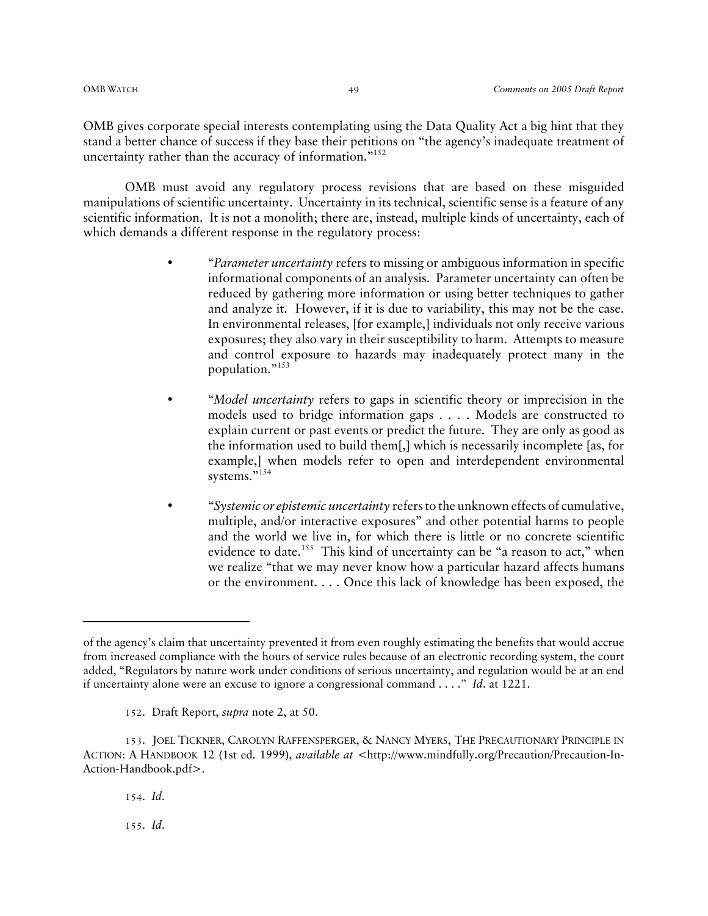OMB gives corporate special interests contemplating using the Data Quality Act a big hint that they stand a better chance of success if they base their petitions on "the agency's inadequate treatment of uncertainty rather than the accuracy of information."<sup>152</sup>

OMB must avoid any regulatory process revisions that are based on these misguided manipulations of scientific uncertainty. Uncertainty in its technical, scientific sense is a feature of any scientific information. It is not a monolith; there are, instead, multiple kinds of uncertainty, each of which demands a different response in the regulatory process:

- "*Parameter uncertainty* refers to missing or ambiguous information in specific informational components of an analysis. Parameter uncertainty can often be reduced by gathering more information or using better techniques to gather and analyze it. However, if it is due to variability, this may not be the case. In environmental releases, [for example,] individuals not only receive various exposures; they also vary in their susceptibility to harm. Attempts to measure and control exposure to hazards may inadequately protect many in the population."153
- "*Model uncertainty* refers to gaps in scientific theory or imprecision in the models used to bridge information gaps . . . . Models are constructed to explain current or past events or predict the future. They are only as good as the information used to build them[,] which is necessarily incomplete [as, for example,] when models refer to open and interdependent environmental systems."<sup>154</sup>
- "*Systemic or epistemic uncertainty* refers to the unknown effects of cumulative, multiple, and/or interactive exposures" and other potential harms to people and the world we live in, for which there is little or no concrete scientific evidence to date.<sup>155</sup> This kind of uncertainty can be "a reason to act," when we realize "that we may never know how a particular hazard affects humans or the environment. . . . Once this lack of knowledge has been exposed, the

152. Draft Report, *supra* note 2, at 50.

155. *Id*.

of the agency's claim that uncertainty prevented it from even roughly estimating the benefits that would accrue from increased compliance with the hours of service rules because of an electronic recording system, the court added, "Regulators by nature work under conditions of serious uncertainty, and regulation would be at an end if uncertainty alone were an excuse to ignore a congressional command . . . ." *Id*. at 1221.

<sup>153</sup>. JOEL TICKNER, CAROLYN RAFFENSPERGER, & NANCY MYERS, THE PRECAUTIONARY PRINCIPLE IN ACTION: A HANDBOOK 12 (1st ed. 1999), *available at* <http://www.mindfully.org/Precaution/Precaution-In-Action-Handbook.pdf>.

<sup>154</sup>. *Id*.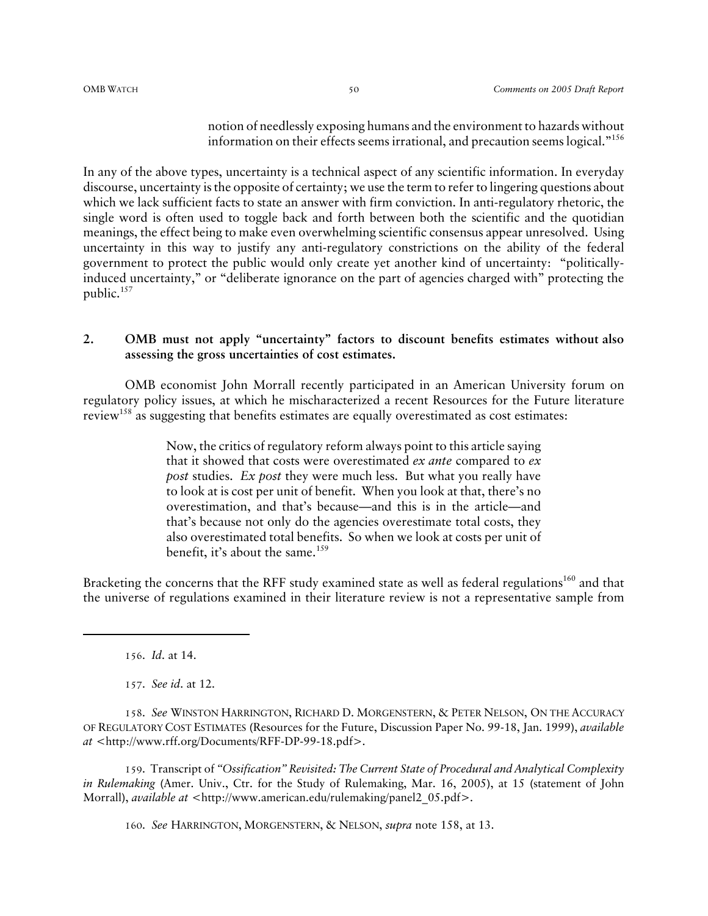notion of needlessly exposing humans and the environment to hazards without information on their effects seems irrational, and precaution seems logical."156

In any of the above types, uncertainty is a technical aspect of any scientific information. In everyday discourse, uncertainty is the opposite of certainty; we use the term to refer to lingering questions about which we lack sufficient facts to state an answer with firm conviction. In anti-regulatory rhetoric, the single word is often used to toggle back and forth between both the scientific and the quotidian meanings, the effect being to make even overwhelming scientific consensus appear unresolved. Using uncertainty in this way to justify any anti-regulatory constrictions on the ability of the federal government to protect the public would only create yet another kind of uncertainty: "politicallyinduced uncertainty," or "deliberate ignorance on the part of agencies charged with" protecting the public.<sup>157</sup>

#### **2. OMB must not apply "uncertainty" factors to discount benefits estimates without also assessing the gross uncertainties of cost estimates.**

OMB economist John Morrall recently participated in an American University forum on regulatory policy issues, at which he mischaracterized a recent Resources for the Future literature review<sup>158</sup> as suggesting that benefits estimates are equally overestimated as cost estimates:

> Now, the critics of regulatory reform always point to this article saying that it showed that costs were overestimated *ex ante* compared to *ex post* studies. *Ex post* they were much less. But what you really have to look at is cost per unit of benefit. When you look at that, there's no overestimation, and that's because—and this is in the article—and that's because not only do the agencies overestimate total costs, they also overestimated total benefits. So when we look at costs per unit of benefit, it's about the same.<sup>159</sup>

Bracketing the concerns that the RFF study examined state as well as federal regulations<sup>160</sup> and that the universe of regulations examined in their literature review is not a representative sample from

156. *Id*. at 14.

157. *See id*. at 12.

158. *See* WINSTON HARRINGTON, RICHARD D. MORGENSTERN, & PETER NELSON, ON THE ACCURACY OF REGULATORY COST ESTIMATES (Resources for the Future, Discussion Paper No. 99-18, Jan. 1999), *available at* <http://www.rff.org/Documents/RFF-DP-99-18.pdf>.

159. Transcript of *"Ossification" Revisited: The Current State of Procedural and Analytical Complexity in Rulemaking* (Amer. Univ., Ctr. for the Study of Rulemaking, Mar. 16, 2005), at 15 (statement of John Morrall), *available at* <http://www.american.edu/rulemaking/panel2\_05.pdf>.

160. *See* HARRINGTON, MORGENSTERN, & NELSON, *supra* note 158, at 13.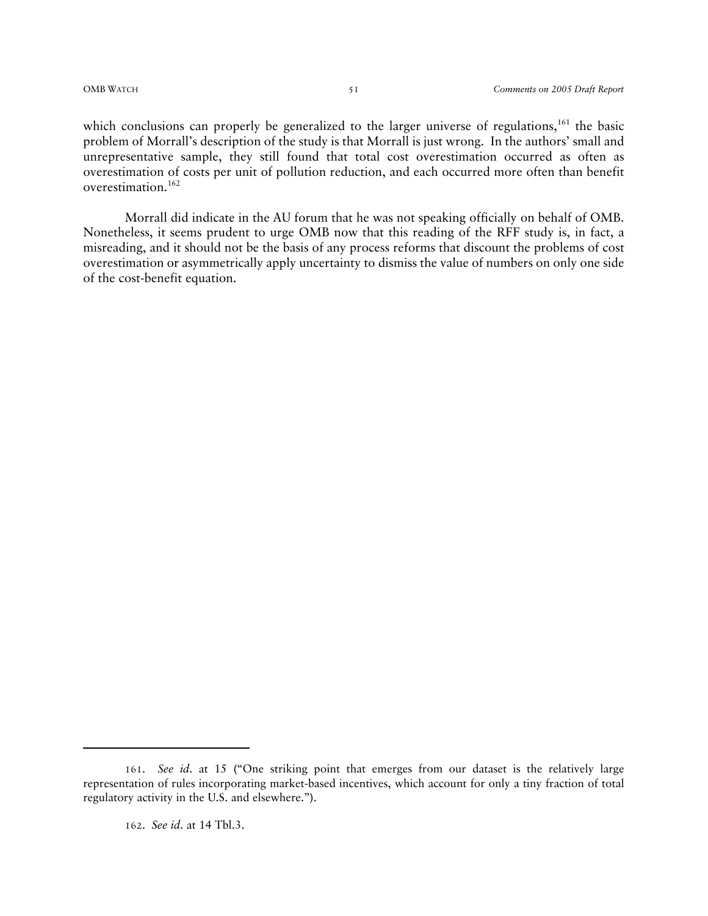which conclusions can properly be generalized to the larger universe of regulations,<sup>161</sup> the basic problem of Morrall's description of the study is that Morrall is just wrong. In the authors' small and unrepresentative sample, they still found that total cost overestimation occurred as often as overestimation of costs per unit of pollution reduction, and each occurred more often than benefit overestimation.<sup>162</sup>

Morrall did indicate in the AU forum that he was not speaking officially on behalf of OMB. Nonetheless, it seems prudent to urge OMB now that this reading of the RFF study is, in fact, a misreading, and it should not be the basis of any process reforms that discount the problems of cost overestimation or asymmetrically apply uncertainty to dismiss the value of numbers on only one side of the cost-benefit equation.

<sup>161</sup>. *See id*. at 15 ("One striking point that emerges from our dataset is the relatively large representation of rules incorporating market-based incentives, which account for only a tiny fraction of total regulatory activity in the U.S. and elsewhere.").

<sup>162</sup>. *See id*. at 14 Tbl.3.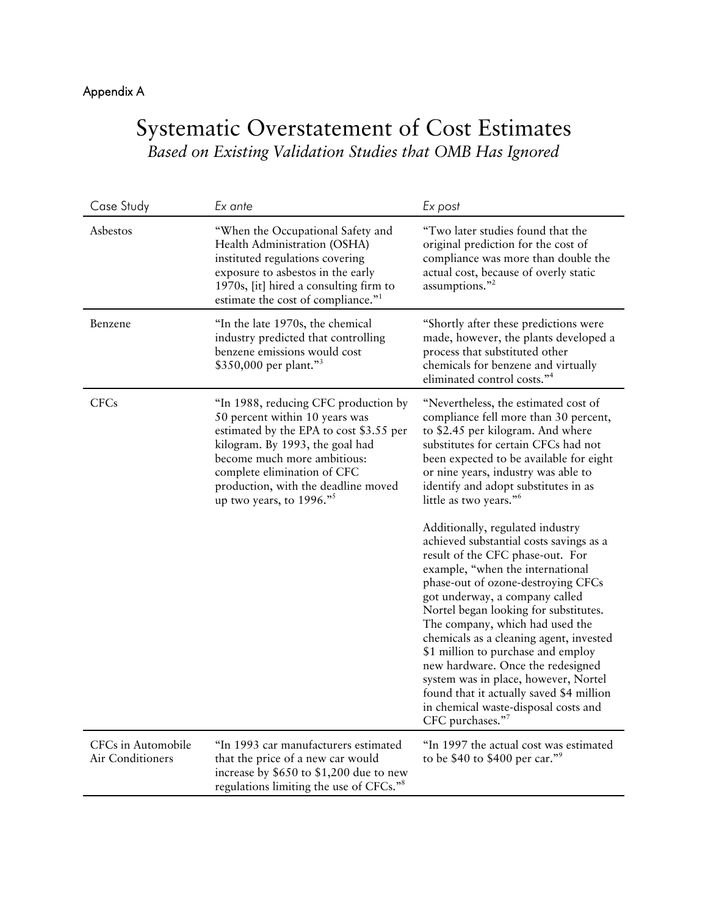# Appendix A

# Systematic Overstatement of Cost Estimates *Based on Existing Validation Studies that OMB Has Ignored*

| Case Study                             | Ex ante                                                                                                                                                                                                                                                                                   | Ex post                                                                                                                                                                                                                                                                                                                                                                                                                                                                                                                                                                                                                                                                                                                                                                                                                                                                                                     |
|----------------------------------------|-------------------------------------------------------------------------------------------------------------------------------------------------------------------------------------------------------------------------------------------------------------------------------------------|-------------------------------------------------------------------------------------------------------------------------------------------------------------------------------------------------------------------------------------------------------------------------------------------------------------------------------------------------------------------------------------------------------------------------------------------------------------------------------------------------------------------------------------------------------------------------------------------------------------------------------------------------------------------------------------------------------------------------------------------------------------------------------------------------------------------------------------------------------------------------------------------------------------|
| Asbestos                               | "When the Occupational Safety and<br>Health Administration (OSHA)<br>instituted regulations covering<br>exposure to asbestos in the early<br>1970s, [it] hired a consulting firm to<br>estimate the cost of compliance." <sup>1</sup>                                                     | "Two later studies found that the<br>original prediction for the cost of<br>compliance was more than double the<br>actual cost, because of overly static<br>assumptions."2                                                                                                                                                                                                                                                                                                                                                                                                                                                                                                                                                                                                                                                                                                                                  |
| Benzene                                | "In the late 1970s, the chemical<br>industry predicted that controlling<br>benzene emissions would cost<br>\$350,000 per plant."3                                                                                                                                                         | "Shortly after these predictions were<br>made, however, the plants developed a<br>process that substituted other<br>chemicals for benzene and virtually<br>eliminated control costs."4                                                                                                                                                                                                                                                                                                                                                                                                                                                                                                                                                                                                                                                                                                                      |
| <b>CFCs</b>                            | "In 1988, reducing CFC production by<br>50 percent within 10 years was<br>estimated by the EPA to cost \$3.55 per<br>kilogram. By 1993, the goal had<br>become much more ambitious:<br>complete elimination of CFC<br>production, with the deadline moved<br>up two years, to $1996.^{5}$ | "Nevertheless, the estimated cost of<br>compliance fell more than 30 percent,<br>to \$2.45 per kilogram. And where<br>substitutes for certain CFCs had not<br>been expected to be available for eight<br>or nine years, industry was able to<br>identify and adopt substitutes in as<br>little as two years." <sup>6</sup><br>Additionally, regulated industry<br>achieved substantial costs savings as a<br>result of the CFC phase-out. For<br>example, "when the international<br>phase-out of ozone-destroying CFCs<br>got underway, a company called<br>Nortel began looking for substitutes.<br>The company, which had used the<br>chemicals as a cleaning agent, invested<br>\$1 million to purchase and employ<br>new hardware. Once the redesigned<br>system was in place, however, Nortel<br>found that it actually saved \$4 million<br>in chemical waste-disposal costs and<br>CFC purchases."7 |
| CFCs in Automobile<br>Air Conditioners | "In 1993 car manufacturers estimated<br>that the price of a new car would<br>increase by \$650 to \$1,200 due to new<br>regulations limiting the use of CFCs." <sup>8</sup>                                                                                                               | "In 1997 the actual cost was estimated<br>to be \$40 to \$400 per car." <sup>9</sup>                                                                                                                                                                                                                                                                                                                                                                                                                                                                                                                                                                                                                                                                                                                                                                                                                        |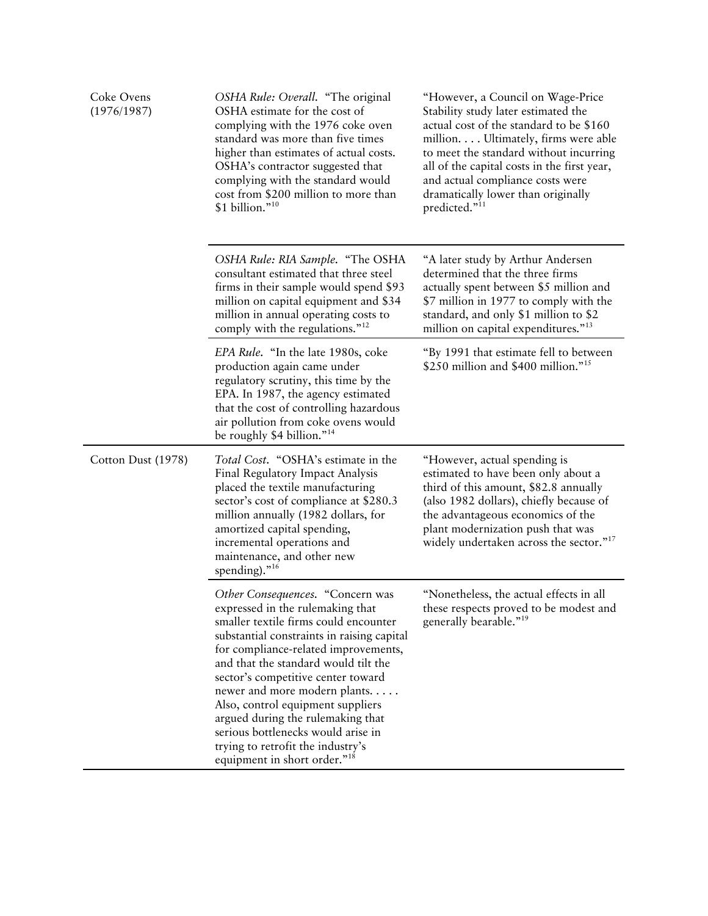| Coke Ovens<br>(1976/1987) | OSHA Rule: Overall. "The original<br>OSHA estimate for the cost of<br>complying with the 1976 coke oven<br>standard was more than five times<br>higher than estimates of actual costs.<br>OSHA's contractor suggested that<br>complying with the standard would<br>cost from \$200 million to more than<br>\$1 billion."10                                                                                                                                                                                         | "However, a Council on Wage-Price<br>Stability study later estimated the<br>actual cost of the standard to be \$160<br>million. Ultimately, firms were able<br>to meet the standard without incurring<br>all of the capital costs in the first year,<br>and actual compliance costs were<br>dramatically lower than originally<br>predicted." <sup>11</sup> |
|---------------------------|--------------------------------------------------------------------------------------------------------------------------------------------------------------------------------------------------------------------------------------------------------------------------------------------------------------------------------------------------------------------------------------------------------------------------------------------------------------------------------------------------------------------|-------------------------------------------------------------------------------------------------------------------------------------------------------------------------------------------------------------------------------------------------------------------------------------------------------------------------------------------------------------|
|                           | OSHA Rule: RIA Sample. "The OSHA<br>consultant estimated that three steel<br>firms in their sample would spend \$93<br>million on capital equipment and \$34<br>million in annual operating costs to<br>comply with the regulations." <sup>12</sup>                                                                                                                                                                                                                                                                | "A later study by Arthur Andersen<br>determined that the three firms<br>actually spent between \$5 million and<br>\$7 million in 1977 to comply with the<br>standard, and only \$1 million to \$2<br>million on capital expenditures." <sup>13</sup>                                                                                                        |
|                           | EPA Rule. "In the late 1980s, coke<br>production again came under<br>regulatory scrutiny, this time by the<br>EPA. In 1987, the agency estimated<br>that the cost of controlling hazardous<br>air pollution from coke ovens would<br>be roughly \$4 billion." <sup>14</sup>                                                                                                                                                                                                                                        | "By 1991 that estimate fell to between<br>\$250 million and \$400 million." <sup>15</sup>                                                                                                                                                                                                                                                                   |
| Cotton Dust (1978)        | <i>Total Cost.</i> "OSHA's estimate in the<br>Final Regulatory Impact Analysis<br>placed the textile manufacturing<br>sector's cost of compliance at \$280.3<br>million annually (1982 dollars, for<br>amortized capital spending,<br>incremental operations and<br>maintenance, and other new<br>spending)." <sup>16</sup>                                                                                                                                                                                        | "However, actual spending is<br>estimated to have been only about a<br>third of this amount, \$82.8 annually<br>(also 1982 dollars), chiefly because of<br>the advantageous economics of the<br>plant modernization push that was<br>widely undertaken across the sector." <sup>17</sup>                                                                    |
|                           | Other Consequences. "Concern was<br>expressed in the rulemaking that<br>smaller textile firms could encounter<br>substantial constraints in raising capital<br>for compliance-related improvements,<br>and that the standard would tilt the<br>sector's competitive center toward<br>newer and more modern plants<br>Also, control equipment suppliers<br>argued during the rulemaking that<br>serious bottlenecks would arise in<br>trying to retrofit the industry's<br>equipment in short order." <sup>18</sup> | "Nonetheless, the actual effects in all<br>these respects proved to be modest and<br>generally bearable." <sup>19</sup>                                                                                                                                                                                                                                     |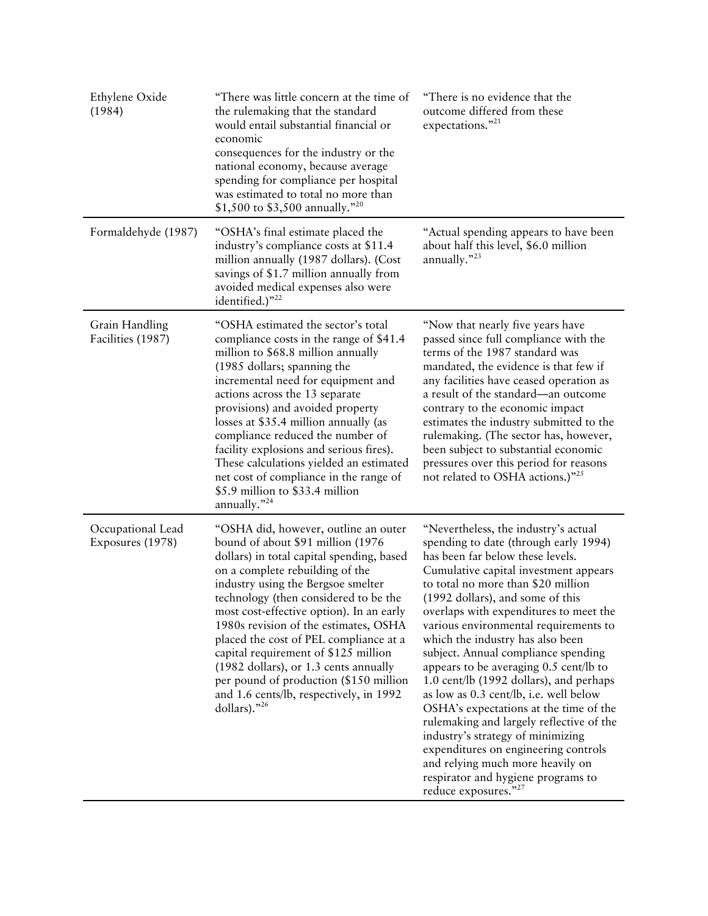| Ethylene Oxide<br>(1984)              | "There was little concern at the time of<br>the rulemaking that the standard<br>would entail substantial financial or<br>economic<br>consequences for the industry or the<br>national economy, because average<br>spending for compliance per hospital<br>was estimated to total no more than<br>\$1,500 to \$3,500 annually."20                                                                                                                                                                                                                              | "There is no evidence that the<br>outcome differed from these<br>expectations."21                                                                                                                                                                                                                                                                                                                                                                                                                                                                                                                                                                                                                                                                                                                      |
|---------------------------------------|---------------------------------------------------------------------------------------------------------------------------------------------------------------------------------------------------------------------------------------------------------------------------------------------------------------------------------------------------------------------------------------------------------------------------------------------------------------------------------------------------------------------------------------------------------------|--------------------------------------------------------------------------------------------------------------------------------------------------------------------------------------------------------------------------------------------------------------------------------------------------------------------------------------------------------------------------------------------------------------------------------------------------------------------------------------------------------------------------------------------------------------------------------------------------------------------------------------------------------------------------------------------------------------------------------------------------------------------------------------------------------|
| Formaldehyde (1987)                   | "OSHA's final estimate placed the<br>industry's compliance costs at \$11.4<br>million annually (1987 dollars). (Cost<br>savings of \$1.7 million annually from<br>avoided medical expenses also were<br>identified.)"22                                                                                                                                                                                                                                                                                                                                       | "Actual spending appears to have been<br>about half this level, \$6.0 million<br>annually. $"^{23}$                                                                                                                                                                                                                                                                                                                                                                                                                                                                                                                                                                                                                                                                                                    |
| Grain Handling<br>Facilities (1987)   | "OSHA estimated the sector's total<br>compliance costs in the range of \$41.4<br>million to \$68.8 million annually<br>(1985 dollars; spanning the<br>incremental need for equipment and<br>actions across the 13 separate<br>provisions) and avoided property<br>losses at \$35.4 million annually (as<br>compliance reduced the number of<br>facility explosions and serious fires).<br>These calculations yielded an estimated<br>net cost of compliance in the range of<br>\$5.9 million to \$33.4 million<br>annually. $"^{24}$                          | "Now that nearly five years have<br>passed since full compliance with the<br>terms of the 1987 standard was<br>mandated, the evidence is that few if<br>any facilities have ceased operation as<br>a result of the standard—an outcome<br>contrary to the economic impact<br>estimates the industry submitted to the<br>rulemaking. (The sector has, however,<br>been subject to substantial economic<br>pressures over this period for reasons<br>not related to OSHA actions.)" <sup>25</sup>                                                                                                                                                                                                                                                                                                        |
| Occupational Lead<br>Exposures (1978) | "OSHA did, however, outline an outer<br>bound of about \$91 million (1976<br>dollars) in total capital spending, based<br>on a complete rebuilding of the<br>industry using the Bergsoe smelter<br>technology (then considered to be the<br>most cost-effective option). In an early<br>1980s revision of the estimates, OSHA<br>placed the cost of PEL compliance at a<br>capital requirement of \$125 million<br>(1982 dollars), or 1.3 cents annually<br>per pound of production (\$150 million<br>and 1.6 cents/lb, respectively, in 1992<br>dollars)."26 | "Nevertheless, the industry's actual<br>spending to date (through early 1994)<br>has been far below these levels.<br>Cumulative capital investment appears<br>to total no more than \$20 million<br>(1992 dollars), and some of this<br>overlaps with expenditures to meet the<br>various environmental requirements to<br>which the industry has also been<br>subject. Annual compliance spending<br>appears to be averaging 0.5 cent/lb to<br>1.0 cent/lb (1992 dollars), and perhaps<br>as low as 0.3 cent/lb, i.e. well below<br>OSHA's expectations at the time of the<br>rulemaking and largely reflective of the<br>industry's strategy of minimizing<br>expenditures on engineering controls<br>and relying much more heavily on<br>respirator and hygiene programs to<br>reduce exposures."27 |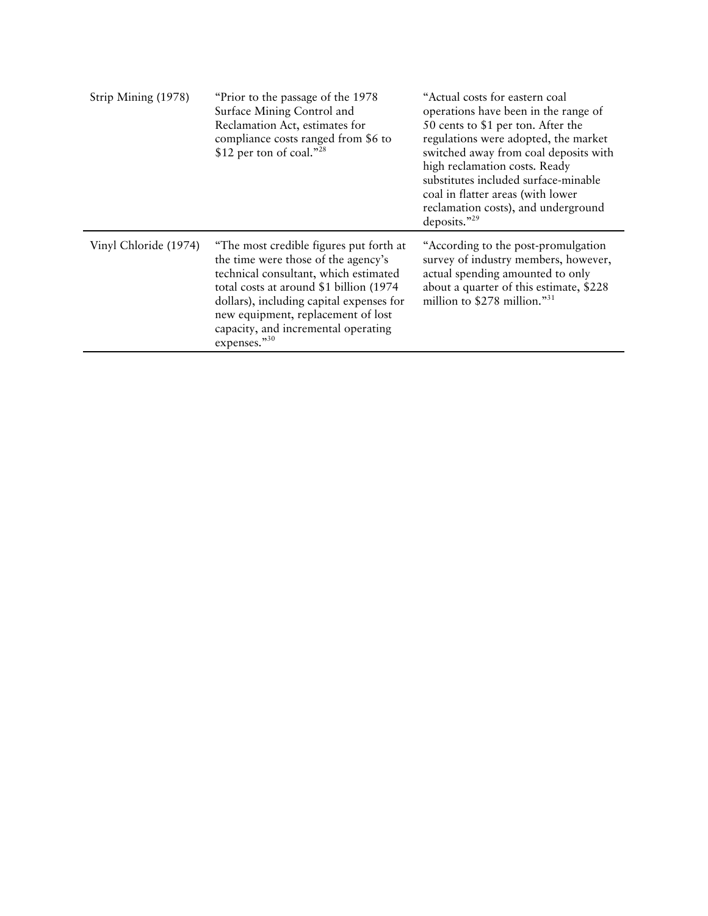| Strip Mining (1978)   | "Prior to the passage of the 1978<br>Surface Mining Control and<br>Reclamation Act, estimates for<br>compliance costs ranged from \$6 to<br>\$12 per ton of coal." $^{28}$                                                                                                                                   | "Actual costs for eastern coal<br>operations have been in the range of<br>50 cents to \$1 per ton. After the<br>regulations were adopted, the market<br>switched away from coal deposits with<br>high reclamation costs. Ready<br>substitutes included surface-minable<br>coal in flatter areas (with lower<br>reclamation costs), and underground<br>deposits."29 |
|-----------------------|--------------------------------------------------------------------------------------------------------------------------------------------------------------------------------------------------------------------------------------------------------------------------------------------------------------|--------------------------------------------------------------------------------------------------------------------------------------------------------------------------------------------------------------------------------------------------------------------------------------------------------------------------------------------------------------------|
| Vinyl Chloride (1974) | "The most credible figures put forth at<br>the time were those of the agency's<br>technical consultant, which estimated<br>total costs at around \$1 billion (1974)<br>dollars), including capital expenses for<br>new equipment, replacement of lost<br>capacity, and incremental operating<br>expenses."30 | "According to the post-promulgation"<br>survey of industry members, however,<br>actual spending amounted to only<br>about a quarter of this estimate, \$228<br>million to \$278 million."31                                                                                                                                                                        |